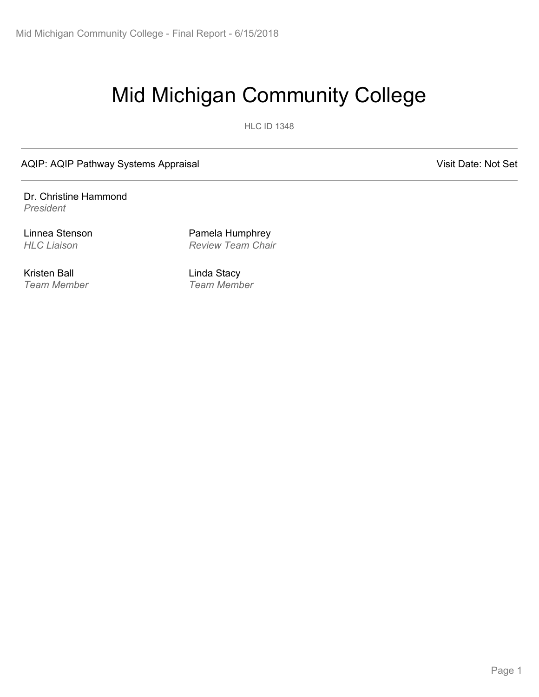# Mid Michigan Community College

HLC ID 1348

AQIP: AQIP Pathway Systems Appraisal Visit Date: Not Set

Dr. Christine Hammond *President*

Kristen Ball *Team Member*

Linnea Stenson Pamela Humphrey *HLC Liaison Review Team Chair*

> Linda Stacy *Team Member*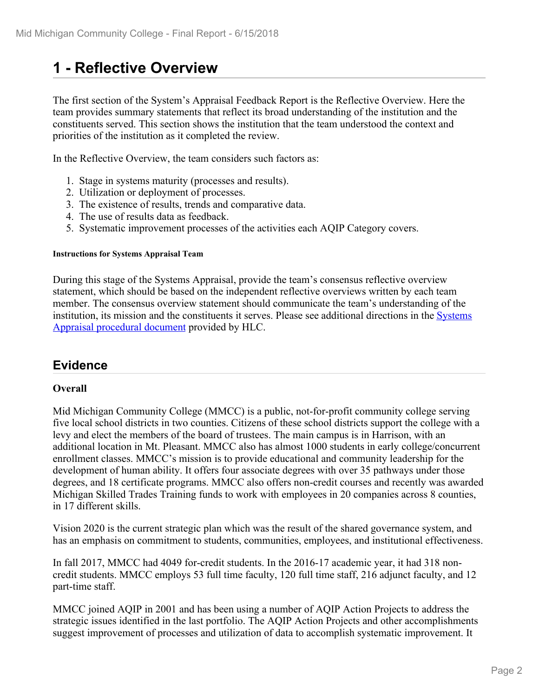## **1 - Reflective Overview**

The first section of the System's Appraisal Feedback Report is the Reflective Overview. Here the team provides summary statements that reflect its broad understanding of the institution and the constituents served. This section shows the institution that the team understood the context and priorities of the institution as it completed the review.

In the Reflective Overview, the team considers such factors as:

- 1. Stage in systems maturity (processes and results).
- 2. Utilization or deployment of processes.
- 3. The existence of results, trends and comparative data.
- 4. The use of results data as feedback.
- 5. Systematic improvement processes of the activities each AQIP Category covers.

#### **Instructions for Systems Appraisal Team**

During this stage of the Systems Appraisal, provide the team's consensus reflective overview statement, which should be based on the independent reflective overviews written by each team member. The consensus overview statement should communicate the team's understanding of the institution, its mission and the constituents it serves. Please see additional directions in the Systems Appraisal procedural document provided by HLC.

## **Evidence**

### **Overall**

Mid Michigan Community College (MMCC) is a public, not-for-profit community college serving five local school districts in two counties. Citizens of these school districts support the college with a levy and elect the members of the board of trustees. The main campus is in Harrison, with an additional location in Mt. Pleasant. MMCC also has almost 1000 students in early college/concurrent enrollment classes. MMCC's mission is to provide educational and community leadership for the development of human ability. It offers four associate degrees with over 35 pathways under those degrees, and 18 certificate programs. MMCC also offers non-credit courses and recently was awarded Michigan Skilled Trades Training funds to work with employees in 20 companies across 8 counties, in 17 different skills.

Vision 2020 is the current strategic plan which was the result of the shared governance system, and has an emphasis on commitment to students, communities, employees, and institutional effectiveness.

In fall 2017, MMCC had 4049 for-credit students. In the 2016-17 academic year, it had 318 noncredit students. MMCC employs 53 full time faculty, 120 full time staff, 216 adjunct faculty, and 12 part-time staff.

MMCC joined AQIP in 2001 and has been using a number of AQIP Action Projects to address the strategic issues identified in the last portfolio. The AQIP Action Projects and other accomplishments suggest improvement of processes and utilization of data to accomplish systematic improvement. It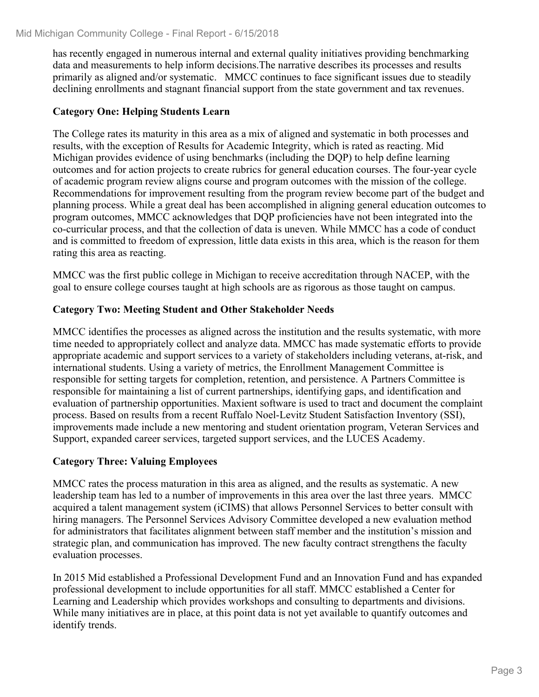has recently engaged in numerous internal and external quality initiatives providing benchmarking data and measurements to help inform decisions.The narrative describes its processes and results primarily as aligned and/or systematic. MMCC continues to face significant issues due to steadily declining enrollments and stagnant financial support from the state government and tax revenues.

### **Category One: Helping Students Learn**

The College rates its maturity in this area as a mix of aligned and systematic in both processes and results, with the exception of Results for Academic Integrity, which is rated as reacting. Mid Michigan provides evidence of using benchmarks (including the DQP) to help define learning outcomes and for action projects to create rubrics for general education courses. The four-year cycle of academic program review aligns course and program outcomes with the mission of the college. Recommendations for improvement resulting from the program review become part of the budget and planning process. While a great deal has been accomplished in aligning general education outcomes to program outcomes, MMCC acknowledges that DQP proficiencies have not been integrated into the co-curricular process, and that the collection of data is uneven. While MMCC has a code of conduct and is committed to freedom of expression, little data exists in this area, which is the reason for them rating this area as reacting.

MMCC was the first public college in Michigan to receive accreditation through NACEP, with the goal to ensure college courses taught at high schools are as rigorous as those taught on campus.

### **Category Two: Meeting Student and Other Stakeholder Needs**

MMCC identifies the processes as aligned across the institution and the results systematic, with more time needed to appropriately collect and analyze data. MMCC has made systematic efforts to provide appropriate academic and support services to a variety of stakeholders including veterans, at-risk, and international students. Using a variety of metrics, the Enrollment Management Committee is responsible for setting targets for completion, retention, and persistence. A Partners Committee is responsible for maintaining a list of current partnerships, identifying gaps, and identification and evaluation of partnership opportunities. Maxient software is used to tract and document the complaint process. Based on results from a recent Ruffalo Noel-Levitz Student Satisfaction Inventory (SSI), improvements made include a new mentoring and student orientation program, Veteran Services and Support, expanded career services, targeted support services, and the LUCES Academy.

## **Category Three: Valuing Employees**

MMCC rates the process maturation in this area as aligned, and the results as systematic. A new leadership team has led to a number of improvements in this area over the last three years. MMCC acquired a talent management system (iCIMS) that allows Personnel Services to better consult with hiring managers. The Personnel Services Advisory Committee developed a new evaluation method for administrators that facilitates alignment between staff member and the institution's mission and strategic plan, and communication has improved. The new faculty contract strengthens the faculty evaluation processes.

In 2015 Mid established a Professional Development Fund and an Innovation Fund and has expanded professional development to include opportunities for all staff. MMCC established a Center for Learning and Leadership which provides workshops and consulting to departments and divisions. While many initiatives are in place, at this point data is not yet available to quantify outcomes and identify trends.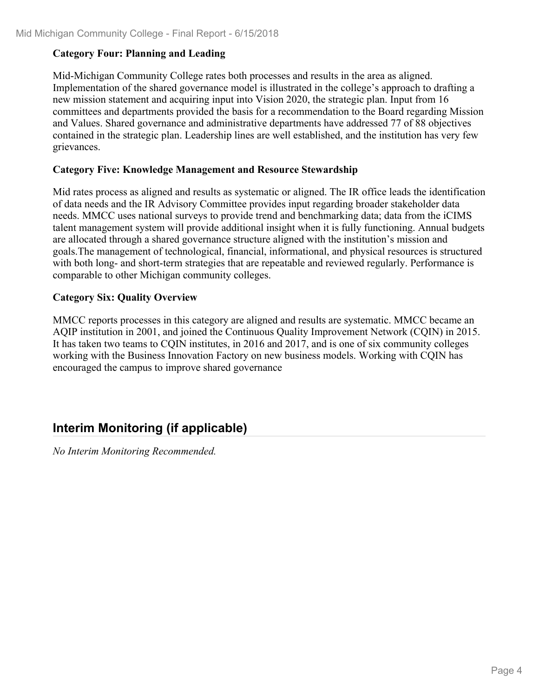## **Category Four: Planning and Leading**

Mid-Michigan Community College rates both processes and results in the area as aligned. Implementation of the shared governance model is illustrated in the college's approach to drafting a new mission statement and acquiring input into Vision 2020, the strategic plan. Input from 16 committees and departments provided the basis for a recommendation to the Board regarding Mission and Values. Shared governance and administrative departments have addressed 77 of 88 objectives contained in the strategic plan. Leadership lines are well established, and the institution has very few grievances.

### **Category Five: Knowledge Management and Resource Stewardship**

Mid rates process as aligned and results as systematic or aligned. The IR office leads the identification of data needs and the IR Advisory Committee provides input regarding broader stakeholder data needs. MMCC uses national surveys to provide trend and benchmarking data; data from the iCIMS talent management system will provide additional insight when it is fully functioning. Annual budgets are allocated through a shared governance structure aligned with the institution's mission and goals.The management of technological, financial, informational, and physical resources is structured with both long- and short-term strategies that are repeatable and reviewed regularly. Performance is comparable to other Michigan community colleges.

## **Category Six: Quality Overview**

MMCC reports processes in this category are aligned and results are systematic. MMCC became an AQIP institution in 2001, and joined the Continuous Quality Improvement Network (CQIN) in 2015. It has taken two teams to CQIN institutes, in 2016 and 2017, and is one of six community colleges working with the Business Innovation Factory on new business models. Working with CQIN has encouraged the campus to improve shared governance

## **Interim Monitoring (if applicable)**

*No Interim Monitoring Recommended.*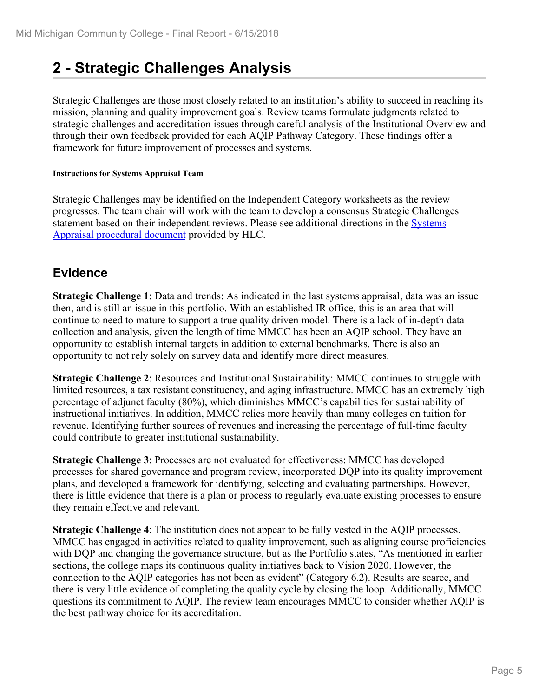## **2 - Strategic Challenges Analysis**

Strategic Challenges are those most closely related to an institution's ability to succeed in reaching its mission, planning and quality improvement goals. Review teams formulate judgments related to strategic challenges and accreditation issues through careful analysis of the Institutional Overview and through their own feedback provided for each AQIP Pathway Category. These findings offer a framework for future improvement of processes and systems.

#### **Instructions for Systems Appraisal Team**

Strategic Challenges may be identified on the Independent Category worksheets as the review progresses. The team chair will work with the team to develop a consensus Strategic Challenges statement based on their independent reviews. Please see additional directions in the Systems Appraisal procedural document provided by HLC.

## **Evidence**

**Strategic Challenge 1**: Data and trends: As indicated in the last systems appraisal, data was an issue then, and is still an issue in this portfolio. With an established IR office, this is an area that will continue to need to mature to support a true quality driven model. There is a lack of in-depth data collection and analysis, given the length of time MMCC has been an AQIP school. They have an opportunity to establish internal targets in addition to external benchmarks. There is also an opportunity to not rely solely on survey data and identify more direct measures.

**Strategic Challenge 2**: Resources and Institutional Sustainability: MMCC continues to struggle with limited resources, a tax resistant constituency, and aging infrastructure. MMCC has an extremely high percentage of adjunct faculty (80%), which diminishes MMCC's capabilities for sustainability of instructional initiatives. In addition, MMCC relies more heavily than many colleges on tuition for revenue. Identifying further sources of revenues and increasing the percentage of full-time faculty could contribute to greater institutional sustainability.

**Strategic Challenge 3**: Processes are not evaluated for effectiveness: MMCC has developed processes for shared governance and program review, incorporated DQP into its quality improvement plans, and developed a framework for identifying, selecting and evaluating partnerships. However, there is little evidence that there is a plan or process to regularly evaluate existing processes to ensure they remain effective and relevant.

**Strategic Challenge 4**: The institution does not appear to be fully vested in the AQIP processes. MMCC has engaged in activities related to quality improvement, such as aligning course proficiencies with DQP and changing the governance structure, but as the Portfolio states, "As mentioned in earlier sections, the college maps its continuous quality initiatives back to Vision 2020. However, the connection to the AQIP categories has not been as evident" (Category 6.2). Results are scarce, and there is very little evidence of completing the quality cycle by closing the loop. Additionally, MMCC questions its commitment to AQIP. The review team encourages MMCC to consider whether AQIP is the best pathway choice for its accreditation.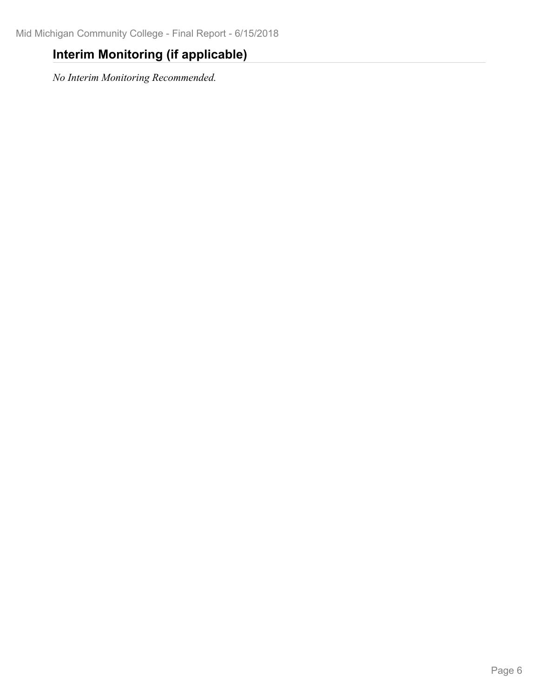## **Interim Monitoring (if applicable)**

*No Interim Monitoring Recommended.*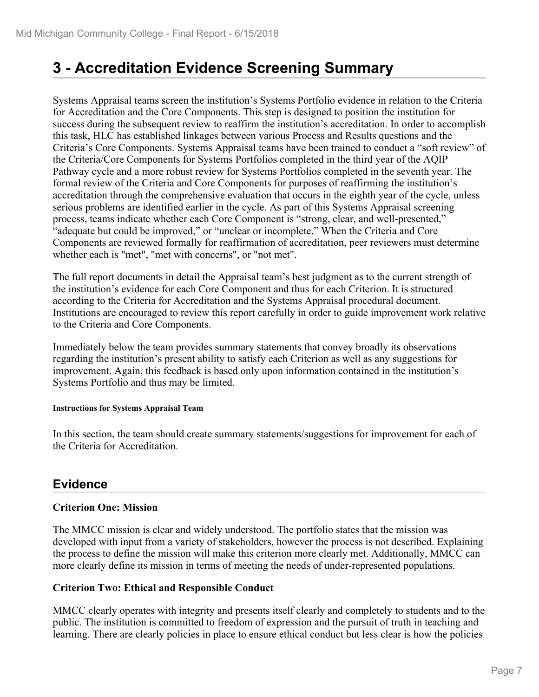## **3 - Accreditation Evidence Screening Summary**

Systems Appraisal teams screen the institution's Systems Portfolio evidence in relation to the Criteria for Accreditation and the Core Components. This step is designed to position the institution for success during the subsequent review to reaffirm the institution's accreditation. In order to accomplish this task, HLC has established linkages between various Process and Results questions and the Criteria's Core Components. Systems Appraisal teams have been trained to conduct a "soft review" of the Criteria/Core Components for Systems Portfolios completed in the third year of the AQIP Pathway cycle and a more robust review for Systems Portfolios completed in the seventh year. The formal review of the Criteria and Core Components for purposes of reaffirming the institution's accreditation through the comprehensive evaluation that occurs in the eighth year of the cycle, unless serious problems are identified earlier in the cycle. As part of this Systems Appraisal screening process, teams indicate whether each Core Component is "strong, clear, and well-presented," "adequate but could be improved," or "unclear or incomplete." When the Criteria and Core Components are reviewed formally for reaffirmation of accreditation, peer reviewers must determine whether each is "met", "met with concerns", or "not met".

The full report documents in detail the Appraisal team's best judgment as to the current strength of the institution's evidence for each Core Component and thus for each Criterion. It is structured according to the Criteria for Accreditation and the Systems Appraisal procedural document. Institutions are encouraged to review this report carefully in order to guide improvement work relative to the Criteria and Core Components.

Immediately below the team provides summary statements that convey broadly its observations regarding the institution's present ability to satisfy each Criterion as well as any suggestions for improvement. Again, this feedback is based only upon information contained in the institution's Systems Portfolio and thus may be limited.

#### **Instructions for Systems Appraisal Team**

In this section, the team should create summary statements/suggestions for improvement for each of the Criteria for Accreditation.

## **Evidence**

## **Criterion One: Mission**

The MMCC mission is clear and widely understood. The portfolio states that the mission was developed with input from a variety of stakeholders, however the process is not described. Explaining the process to define the mission will make this criterion more clearly met. Additionally, MMCC can more clearly define its mission in terms of meeting the needs of under-represented populations.

### **Criterion Two: Ethical and Responsible Conduct**

MMCC clearly operates with integrity and presents itself clearly and completely to students and to the public. The institution is committed to freedom of expression and the pursuit of truth in teaching and learning. There are clearly policies in place to ensure ethical conduct but less clear is how the policies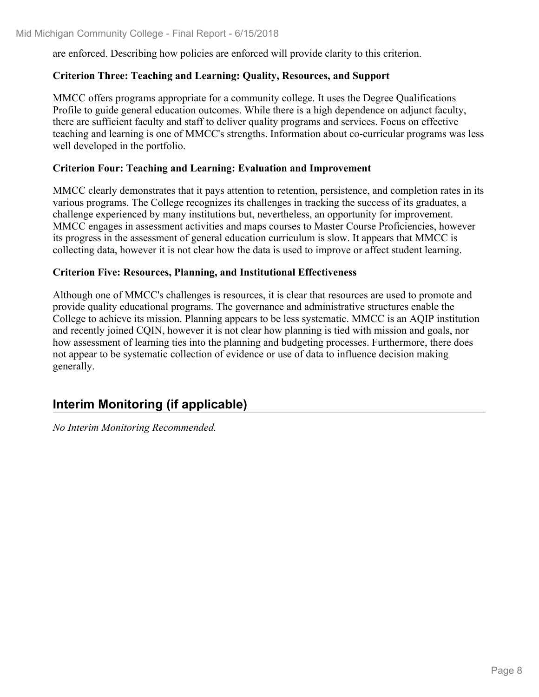are enforced. Describing how policies are enforced will provide clarity to this criterion.

### **Criterion Three: Teaching and Learning: Quality, Resources, and Support**

MMCC offers programs appropriate for a community college. It uses the Degree Qualifications Profile to guide general education outcomes. While there is a high dependence on adjunct faculty, there are sufficient faculty and staff to deliver quality programs and services. Focus on effective teaching and learning is one of MMCC's strengths. Information about co-curricular programs was less well developed in the portfolio.

### **Criterion Four: Teaching and Learning: Evaluation and Improvement**

MMCC clearly demonstrates that it pays attention to retention, persistence, and completion rates in its various programs. The College recognizes its challenges in tracking the success of its graduates, a challenge experienced by many institutions but, nevertheless, an opportunity for improvement. MMCC engages in assessment activities and maps courses to Master Course Proficiencies, however its progress in the assessment of general education curriculum is slow. It appears that MMCC is collecting data, however it is not clear how the data is used to improve or affect student learning.

### **Criterion Five: Resources, Planning, and Institutional Effectiveness**

Although one of MMCC's challenges is resources, it is clear that resources are used to promote and provide quality educational programs. The governance and administrative structures enable the College to achieve its mission. Planning appears to be less systematic. MMCC is an AQIP institution and recently joined CQIN, however it is not clear how planning is tied with mission and goals, nor how assessment of learning ties into the planning and budgeting processes. Furthermore, there does not appear to be systematic collection of evidence or use of data to influence decision making generally.

## **Interim Monitoring (if applicable)**

*No Interim Monitoring Recommended.*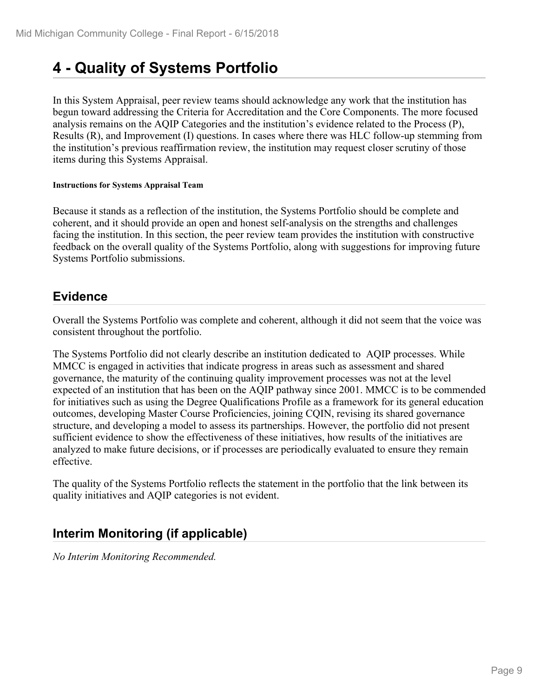## **4 - Quality of Systems Portfolio**

In this System Appraisal, peer review teams should acknowledge any work that the institution has begun toward addressing the Criteria for Accreditation and the Core Components. The more focused analysis remains on the AQIP Categories and the institution's evidence related to the Process (P), Results (R), and Improvement (I) questions. In cases where there was HLC follow-up stemming from the institution's previous reaffirmation review, the institution may request closer scrutiny of those items during this Systems Appraisal.

#### **Instructions for Systems Appraisal Team**

Because it stands as a reflection of the institution, the Systems Portfolio should be complete and coherent, and it should provide an open and honest self-analysis on the strengths and challenges facing the institution. In this section, the peer review team provides the institution with constructive feedback on the overall quality of the Systems Portfolio, along with suggestions for improving future Systems Portfolio submissions.

## **Evidence**

Overall the Systems Portfolio was complete and coherent, although it did not seem that the voice was consistent throughout the portfolio.

The Systems Portfolio did not clearly describe an institution dedicated to AQIP processes. While MMCC is engaged in activities that indicate progress in areas such as assessment and shared governance, the maturity of the continuing quality improvement processes was not at the level expected of an institution that has been on the AQIP pathway since 2001. MMCC is to be commended for initiatives such as using the Degree Qualifications Profile as a framework for its general education outcomes, developing Master Course Proficiencies, joining CQIN, revising its shared governance structure, and developing a model to assess its partnerships. However, the portfolio did not present sufficient evidence to show the effectiveness of these initiatives, how results of the initiatives are analyzed to make future decisions, or if processes are periodically evaluated to ensure they remain effective.

The quality of the Systems Portfolio reflects the statement in the portfolio that the link between its quality initiatives and AQIP categories is not evident.

## **Interim Monitoring (if applicable)**

*No Interim Monitoring Recommended.*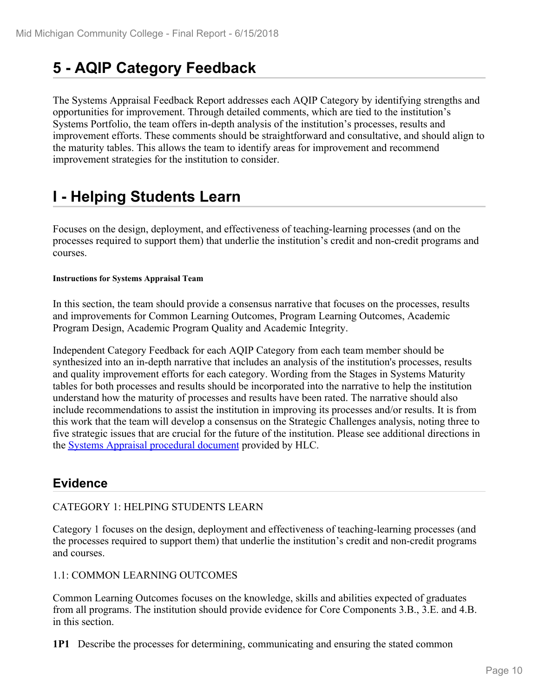## **5 - AQIP Category Feedback**

The Systems Appraisal Feedback Report addresses each AQIP Category by identifying strengths and opportunities for improvement. Through detailed comments, which are tied to the institution's Systems Portfolio, the team offers in-depth analysis of the institution's processes, results and improvement efforts. These comments should be straightforward and consultative, and should align to the maturity tables. This allows the team to identify areas for improvement and recommend improvement strategies for the institution to consider.

## **I - Helping Students Learn**

Focuses on the design, deployment, and effectiveness of teaching-learning processes (and on the processes required to support them) that underlie the institution's credit and non-credit programs and courses.

#### **Instructions for Systems Appraisal Team**

In this section, the team should provide a consensus narrative that focuses on the processes, results and improvements for Common Learning Outcomes, Program Learning Outcomes, Academic Program Design, Academic Program Quality and Academic Integrity.

Independent Category Feedback for each AQIP Category from each team member should be synthesized into an in-depth narrative that includes an analysis of the institution's processes, results and quality improvement efforts for each category. Wording from the Stages in Systems Maturity tables for both processes and results should be incorporated into the narrative to help the institution understand how the maturity of processes and results have been rated. The narrative should also include recommendations to assist the institution in improving its processes and/or results. It is from this work that the team will develop a consensus on the Strategic Challenges analysis, noting three to five strategic issues that are crucial for the future of the institution. Please see additional directions in the Systems Appraisal procedural document provided by HLC.

## **Evidence**

## CATEGORY 1: HELPING STUDENTS LEARN

Category 1 focuses on the design, deployment and effectiveness of teaching-learning processes (and the processes required to support them) that underlie the institution's credit and non-credit programs and courses.

## 1.1: COMMON LEARNING OUTCOMES

Common Learning Outcomes focuses on the knowledge, skills and abilities expected of graduates from all programs. The institution should provide evidence for Core Components 3.B., 3.E. and 4.B. in this section.

**1P1** Describe the processes for determining, communicating and ensuring the stated common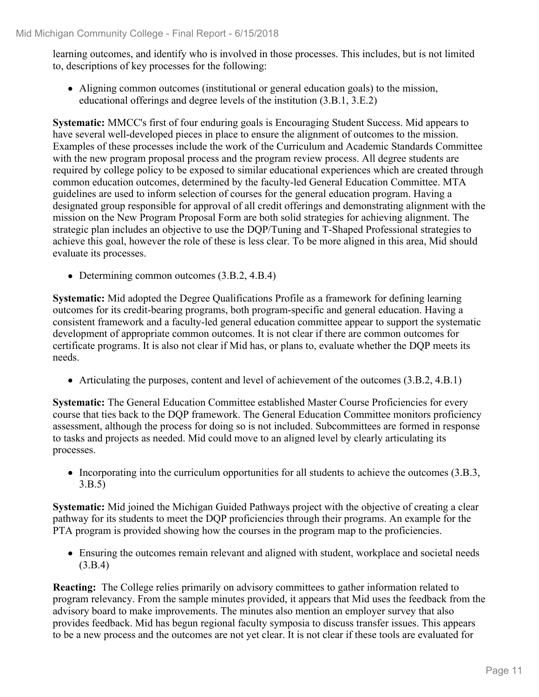learning outcomes, and identify who is involved in those processes. This includes, but is not limited to, descriptions of key processes for the following:

Aligning common outcomes (institutional or general education goals) to the mission, educational offerings and degree levels of the institution (3.B.1, 3.E.2)

**Systematic:** MMCC's first of four enduring goals is Encouraging Student Success. Mid appears to have several well-developed pieces in place to ensure the alignment of outcomes to the mission. Examples of these processes include the work of the Curriculum and Academic Standards Committee with the new program proposal process and the program review process. All degree students are required by college policy to be exposed to similar educational experiences which are created through common education outcomes, determined by the faculty-led General Education Committee. MTA guidelines are used to inform selection of courses for the general education program. Having a designated group responsible for approval of all credit offerings and demonstrating alignment with the mission on the New Program Proposal Form are both solid strategies for achieving alignment. The strategic plan includes an objective to use the DQP/Tuning and T-Shaped Professional strategies to achieve this goal, however the role of these is less clear. To be more aligned in this area, Mid should evaluate its processes.

• Determining common outcomes (3.B.2, 4.B.4)

**Systematic:** Mid adopted the Degree Qualifications Profile as a framework for defining learning outcomes for its credit-bearing programs, both program-specific and general education. Having a consistent framework and a faculty-led general education committee appear to support the systematic development of appropriate common outcomes. It is not clear if there are common outcomes for certificate programs. It is also not clear if Mid has, or plans to, evaluate whether the DQP meets its needs.

Articulating the purposes, content and level of achievement of the outcomes (3.B.2, 4.B.1)

**Systematic:** The General Education Committee established Master Course Proficiencies for every course that ties back to the DQP framework. The General Education Committee monitors proficiency assessment, although the process for doing so is not included. Subcommittees are formed in response to tasks and projects as needed. Mid could move to an aligned level by clearly articulating its processes.

• Incorporating into the curriculum opportunities for all students to achieve the outcomes (3.B.3, 3.B.5)

**Systematic:** Mid joined the Michigan Guided Pathways project with the objective of creating a clear pathway for its students to meet the DQP proficiencies through their programs. An example for the PTA program is provided showing how the courses in the program map to the proficiencies.

Ensuring the outcomes remain relevant and aligned with student, workplace and societal needs (3.B.4)

**Reacting:** The College relies primarily on advisory committees to gather information related to program relevancy. From the sample minutes provided, it appears that Mid uses the feedback from the advisory board to make improvements. The minutes also mention an employer survey that also provides feedback. Mid has begun regional faculty symposia to discuss transfer issues. This appears to be a new process and the outcomes are not yet clear. It is not clear if these tools are evaluated for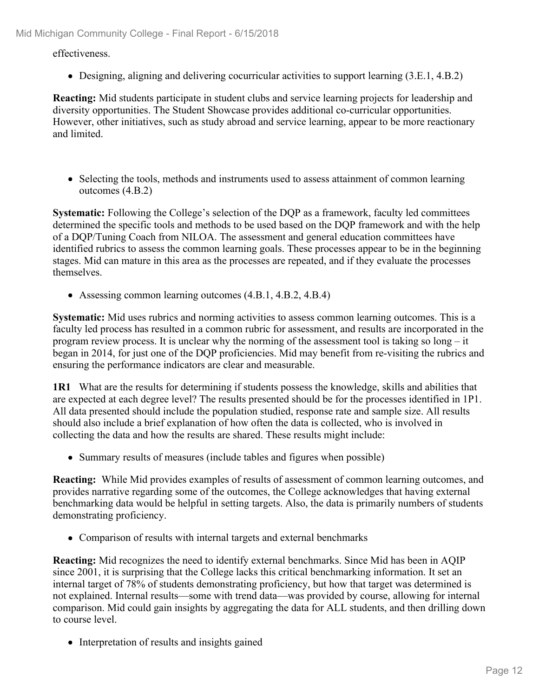effectiveness.

Designing, aligning and delivering cocurricular activities to support learning (3.E.1, 4.B.2)

**Reacting:** Mid students participate in student clubs and service learning projects for leadership and diversity opportunities. The Student Showcase provides additional co-curricular opportunities. However, other initiatives, such as study abroad and service learning, appear to be more reactionary and limited.

• Selecting the tools, methods and instruments used to assess attainment of common learning outcomes (4.B.2)

**Systematic:** Following the College's selection of the DQP as a framework, faculty led committees determined the specific tools and methods to be used based on the DQP framework and with the help of a DQP/Tuning Coach from NILOA. The assessment and general education committees have identified rubrics to assess the common learning goals. These processes appear to be in the beginning stages. Mid can mature in this area as the processes are repeated, and if they evaluate the processes themselves.

Assessing common learning outcomes (4.B.1, 4.B.2, 4.B.4)

**Systematic:** Mid uses rubrics and norming activities to assess common learning outcomes. This is a faculty led process has resulted in a common rubric for assessment, and results are incorporated in the program review process. It is unclear why the norming of the assessment tool is taking so long – it began in 2014, for just one of the DQP proficiencies. Mid may benefit from re-visiting the rubrics and ensuring the performance indicators are clear and measurable.

**1R1** What are the results for determining if students possess the knowledge, skills and abilities that are expected at each degree level? The results presented should be for the processes identified in 1P1. All data presented should include the population studied, response rate and sample size. All results should also include a brief explanation of how often the data is collected, who is involved in collecting the data and how the results are shared. These results might include:

• Summary results of measures (include tables and figures when possible)

**Reacting:** While Mid provides examples of results of assessment of common learning outcomes, and provides narrative regarding some of the outcomes, the College acknowledges that having external benchmarking data would be helpful in setting targets. Also, the data is primarily numbers of students demonstrating proficiency.

• Comparison of results with internal targets and external benchmarks

**Reacting:** Mid recognizes the need to identify external benchmarks. Since Mid has been in AQIP since 2001, it is surprising that the College lacks this critical benchmarking information. It set an internal target of 78% of students demonstrating proficiency, but how that target was determined is not explained. Internal results—some with trend data—was provided by course, allowing for internal comparison. Mid could gain insights by aggregating the data for ALL students, and then drilling down to course level.

• Interpretation of results and insights gained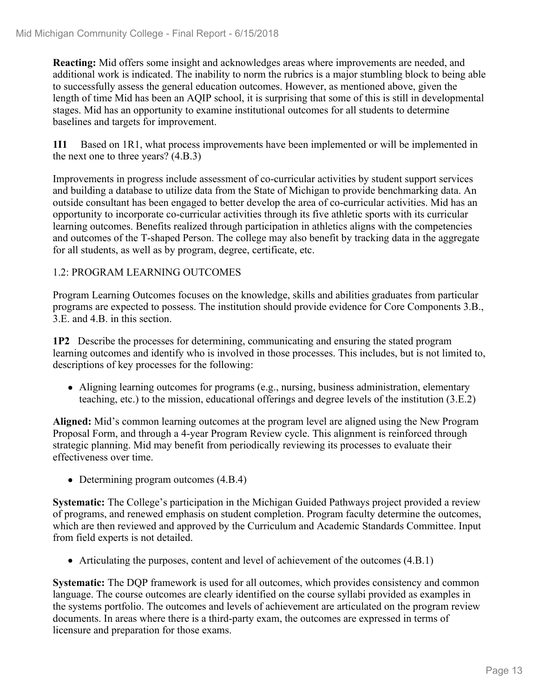**Reacting:** Mid offers some insight and acknowledges areas where improvements are needed, and additional work is indicated. The inability to norm the rubrics is a major stumbling block to being able to successfully assess the general education outcomes. However, as mentioned above, given the length of time Mid has been an AQIP school, it is surprising that some of this is still in developmental stages. Mid has an opportunity to examine institutional outcomes for all students to determine baselines and targets for improvement.

**1I1** Based on 1R1, what process improvements have been implemented or will be implemented in the next one to three years? (4.B.3)

Improvements in progress include assessment of co-curricular activities by student support services and building a database to utilize data from the State of Michigan to provide benchmarking data. An outside consultant has been engaged to better develop the area of co-curricular activities. Mid has an opportunity to incorporate co-curricular activities through its five athletic sports with its curricular learning outcomes. Benefits realized through participation in athletics aligns with the competencies and outcomes of the T-shaped Person. The college may also benefit by tracking data in the aggregate for all students, as well as by program, degree, certificate, etc.

## 1.2: PROGRAM LEARNING OUTCOMES

Program Learning Outcomes focuses on the knowledge, skills and abilities graduates from particular programs are expected to possess. The institution should provide evidence for Core Components 3.B., 3.E. and 4.B. in this section.

**1P2** Describe the processes for determining, communicating and ensuring the stated program learning outcomes and identify who is involved in those processes. This includes, but is not limited to, descriptions of key processes for the following:

Aligning learning outcomes for programs (e.g., nursing, business administration, elementary teaching, etc.) to the mission, educational offerings and degree levels of the institution (3.E.2)

**Aligned:** Mid's common learning outcomes at the program level are aligned using the New Program Proposal Form, and through a 4-year Program Review cycle. This alignment is reinforced through strategic planning. Mid may benefit from periodically reviewing its processes to evaluate their effectiveness over time.

• Determining program outcomes (4.B.4)

**Systematic:** The College's participation in the Michigan Guided Pathways project provided a review of programs, and renewed emphasis on student completion. Program faculty determine the outcomes, which are then reviewed and approved by the Curriculum and Academic Standards Committee. Input from field experts is not detailed.

Articulating the purposes, content and level of achievement of the outcomes (4.B.1)

**Systematic:** The DQP framework is used for all outcomes, which provides consistency and common language. The course outcomes are clearly identified on the course syllabi provided as examples in the systems portfolio. The outcomes and levels of achievement are articulated on the program review documents. In areas where there is a third-party exam, the outcomes are expressed in terms of licensure and preparation for those exams.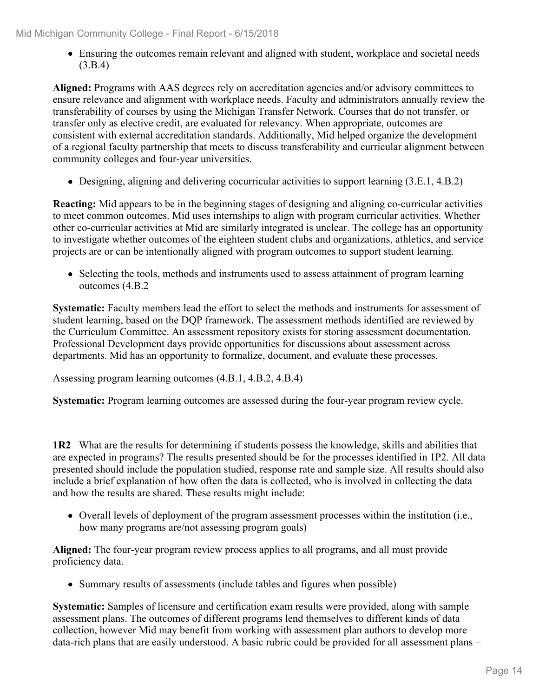Ensuring the outcomes remain relevant and aligned with student, workplace and societal needs (3.B.4)

**Aligned:** Programs with AAS degrees rely on accreditation agencies and/or advisory committees to ensure relevance and alignment with workplace needs. Faculty and administrators annually review the transferability of courses by using the Michigan Transfer Network. Courses that do not transfer, or transfer only as elective credit, are evaluated for relevancy. When appropriate, outcomes are consistent with external accreditation standards. Additionally, Mid helped organize the development of a regional faculty partnership that meets to discuss transferability and curricular alignment between community colleges and four-year universities.

Designing, aligning and delivering cocurricular activities to support learning (3.E.1, 4.B.2)

**Reacting:** Mid appears to be in the beginning stages of designing and aligning co-curricular activities to meet common outcomes. Mid uses internships to align with program curricular activities. Whether other co-curricular activities at Mid are similarly integrated is unclear. The college has an opportunity to investigate whether outcomes of the eighteen student clubs and organizations, athletics, and service projects are or can be intentionally aligned with program outcomes to support student learning.

• Selecting the tools, methods and instruments used to assess attainment of program learning outcomes (4.B.2

**Systematic:** Faculty members lead the effort to select the methods and instruments for assessment of student learning, based on the DQP framework. The assessment methods identified are reviewed by the Curriculum Committee. An assessment repository exists for storing assessment documentation. Professional Development days provide opportunities for discussions about assessment across departments. Mid has an opportunity to formalize, document, and evaluate these processes.

Assessing program learning outcomes (4.B.1, 4.B.2, 4.B.4)

**Systematic:** Program learning outcomes are assessed during the four-year program review cycle.

**1R2** What are the results for determining if students possess the knowledge, skills and abilities that are expected in programs? The results presented should be for the processes identified in 1P2. All data presented should include the population studied, response rate and sample size. All results should also include a brief explanation of how often the data is collected, who is involved in collecting the data and how the results are shared. These results might include:

Overall levels of deployment of the program assessment processes within the institution (i.e., how many programs are/not assessing program goals)

**Aligned:** The four-year program review process applies to all programs, and all must provide proficiency data.

• Summary results of assessments (include tables and figures when possible)

**Systematic:** Samples of licensure and certification exam results were provided, along with sample assessment plans. The outcomes of different programs lend themselves to different kinds of data collection, however Mid may benefit from working with assessment plan authors to develop more data-rich plans that are easily understood. A basic rubric could be provided for all assessment plans –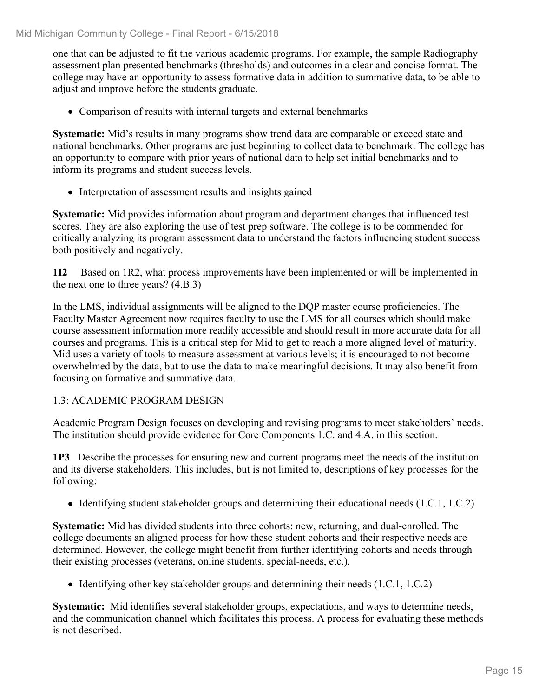one that can be adjusted to fit the various academic programs. For example, the sample Radiography assessment plan presented benchmarks (thresholds) and outcomes in a clear and concise format. The college may have an opportunity to assess formative data in addition to summative data, to be able to adjust and improve before the students graduate.

Comparison of results with internal targets and external benchmarks

**Systematic:** Mid's results in many programs show trend data are comparable or exceed state and national benchmarks. Other programs are just beginning to collect data to benchmark. The college has an opportunity to compare with prior years of national data to help set initial benchmarks and to inform its programs and student success levels.

• Interpretation of assessment results and insights gained

**Systematic:** Mid provides information about program and department changes that influenced test scores. They are also exploring the use of test prep software. The college is to be commended for critically analyzing its program assessment data to understand the factors influencing student success both positively and negatively.

**1I2** Based on 1R2, what process improvements have been implemented or will be implemented in the next one to three years? (4.B.3)

In the LMS, individual assignments will be aligned to the DQP master course proficiencies. The Faculty Master Agreement now requires faculty to use the LMS for all courses which should make course assessment information more readily accessible and should result in more accurate data for all courses and programs. This is a critical step for Mid to get to reach a more aligned level of maturity. Mid uses a variety of tools to measure assessment at various levels; it is encouraged to not become overwhelmed by the data, but to use the data to make meaningful decisions. It may also benefit from focusing on formative and summative data.

## 1.3: ACADEMIC PROGRAM DESIGN

Academic Program Design focuses on developing and revising programs to meet stakeholders' needs. The institution should provide evidence for Core Components 1.C. and 4.A. in this section.

**1P3** Describe the processes for ensuring new and current programs meet the needs of the institution and its diverse stakeholders. This includes, but is not limited to, descriptions of key processes for the following:

• Identifying student stakeholder groups and determining their educational needs (1.C.1, 1.C.2)

**Systematic:** Mid has divided students into three cohorts: new, returning, and dual-enrolled. The college documents an aligned process for how these student cohorts and their respective needs are determined. However, the college might benefit from further identifying cohorts and needs through their existing processes (veterans, online students, special-needs, etc.).

 $\bullet$  Identifying other key stakeholder groups and determining their needs (1.C.1, 1.C.2)

**Systematic:** Mid identifies several stakeholder groups, expectations, and ways to determine needs, and the communication channel which facilitates this process. A process for evaluating these methods is not described.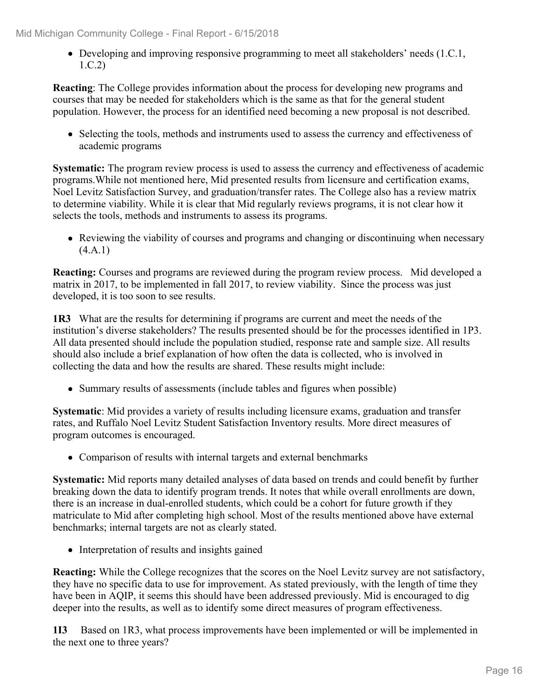• Developing and improving responsive programming to meet all stakeholders' needs (1.C.1, 1.C.2)

**Reacting**: The College provides information about the process for developing new programs and courses that may be needed for stakeholders which is the same as that for the general student population. However, the process for an identified need becoming a new proposal is not described.

• Selecting the tools, methods and instruments used to assess the currency and effectiveness of academic programs

**Systematic:** The program review process is used to assess the currency and effectiveness of academic programs.While not mentioned here, Mid presented results from licensure and certification exams, Noel Levitz Satisfaction Survey, and graduation/transfer rates. The College also has a review matrix to determine viability. While it is clear that Mid regularly reviews programs, it is not clear how it selects the tools, methods and instruments to assess its programs.

Reviewing the viability of courses and programs and changing or discontinuing when necessary (4.A.1)

**Reacting:** Courses and programs are reviewed during the program review process. Mid developed a matrix in 2017, to be implemented in fall 2017, to review viability. Since the process was just developed, it is too soon to see results.

**1R3** What are the results for determining if programs are current and meet the needs of the institution's diverse stakeholders? The results presented should be for the processes identified in 1P3. All data presented should include the population studied, response rate and sample size. All results should also include a brief explanation of how often the data is collected, who is involved in collecting the data and how the results are shared. These results might include:

• Summary results of assessments (include tables and figures when possible)

**Systematic**: Mid provides a variety of results including licensure exams, graduation and transfer rates, and Ruffalo Noel Levitz Student Satisfaction Inventory results. More direct measures of program outcomes is encouraged.

• Comparison of results with internal targets and external benchmarks

**Systematic:** Mid reports many detailed analyses of data based on trends and could benefit by further breaking down the data to identify program trends. It notes that while overall enrollments are down, there is an increase in dual-enrolled students, which could be a cohort for future growth if they matriculate to Mid after completing high school. Most of the results mentioned above have external benchmarks; internal targets are not as clearly stated.

• Interpretation of results and insights gained

**Reacting:** While the College recognizes that the scores on the Noel Levitz survey are not satisfactory, they have no specific data to use for improvement. As stated previously, with the length of time they have been in AQIP, it seems this should have been addressed previously. Mid is encouraged to dig deeper into the results, as well as to identify some direct measures of program effectiveness.

**1I3** Based on 1R3, what process improvements have been implemented or will be implemented in the next one to three years?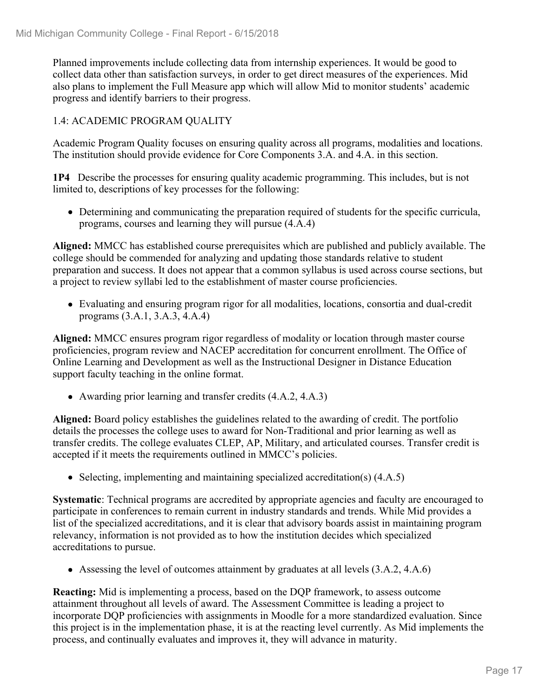Planned improvements include collecting data from internship experiences. It would be good to collect data other than satisfaction surveys, in order to get direct measures of the experiences. Mid also plans to implement the Full Measure app which will allow Mid to monitor students' academic progress and identify barriers to their progress.

## 1.4: ACADEMIC PROGRAM QUALITY

Academic Program Quality focuses on ensuring quality across all programs, modalities and locations. The institution should provide evidence for Core Components 3.A. and 4.A. in this section.

**1P4** Describe the processes for ensuring quality academic programming. This includes, but is not limited to, descriptions of key processes for the following:

Determining and communicating the preparation required of students for the specific curricula, programs, courses and learning they will pursue (4.A.4)

**Aligned:** MMCC has established course prerequisites which are published and publicly available. The college should be commended for analyzing and updating those standards relative to student preparation and success. It does not appear that a common syllabus is used across course sections, but a project to review syllabi led to the establishment of master course proficiencies.

Evaluating and ensuring program rigor for all modalities, locations, consortia and dual-credit programs (3.A.1, 3.A.3, 4.A.4)

**Aligned:** MMCC ensures program rigor regardless of modality or location through master course proficiencies, program review and NACEP accreditation for concurrent enrollment. The Office of Online Learning and Development as well as the Instructional Designer in Distance Education support faculty teaching in the online format.

Awarding prior learning and transfer credits (4.A.2, 4.A.3)

**Aligned:** Board policy establishes the guidelines related to the awarding of credit. The portfolio details the processes the college uses to award for Non-Traditional and prior learning as well as transfer credits. The college evaluates CLEP, AP, Military, and articulated courses. Transfer credit is accepted if it meets the requirements outlined in MMCC's policies.

• Selecting, implementing and maintaining specialized accreditation(s) (4.A.5)

**Systematic**: Technical programs are accredited by appropriate agencies and faculty are encouraged to participate in conferences to remain current in industry standards and trends. While Mid provides a list of the specialized accreditations, and it is clear that advisory boards assist in maintaining program relevancy, information is not provided as to how the institution decides which specialized accreditations to pursue.

Assessing the level of outcomes attainment by graduates at all levels (3.A.2, 4.A.6)

**Reacting:** Mid is implementing a process, based on the DQP framework, to assess outcome attainment throughout all levels of award. The Assessment Committee is leading a project to incorporate DQP proficiencies with assignments in Moodle for a more standardized evaluation. Since this project is in the implementation phase, it is at the reacting level currently. As Mid implements the process, and continually evaluates and improves it, they will advance in maturity.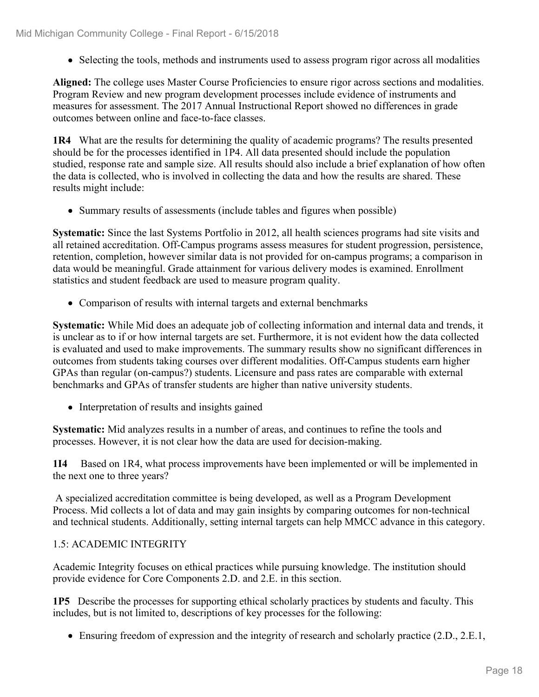• Selecting the tools, methods and instruments used to assess program rigor across all modalities

**Aligned:** The college uses Master Course Proficiencies to ensure rigor across sections and modalities. Program Review and new program development processes include evidence of instruments and measures for assessment. The 2017 Annual Instructional Report showed no differences in grade outcomes between online and face-to-face classes.

**1R4** What are the results for determining the quality of academic programs? The results presented should be for the processes identified in 1P4. All data presented should include the population studied, response rate and sample size. All results should also include a brief explanation of how often the data is collected, who is involved in collecting the data and how the results are shared. These results might include:

• Summary results of assessments (include tables and figures when possible)

**Systematic:** Since the last Systems Portfolio in 2012, all health sciences programs had site visits and all retained accreditation. Off-Campus programs assess measures for student progression, persistence, retention, completion, however similar data is not provided for on-campus programs; a comparison in data would be meaningful. Grade attainment for various delivery modes is examined. Enrollment statistics and student feedback are used to measure program quality.

Comparison of results with internal targets and external benchmarks

**Systematic:** While Mid does an adequate job of collecting information and internal data and trends, it is unclear as to if or how internal targets are set. Furthermore, it is not evident how the data collected is evaluated and used to make improvements. The summary results show no significant differences in outcomes from students taking courses over different modalities. Off-Campus students earn higher GPAs than regular (on-campus?) students. Licensure and pass rates are comparable with external benchmarks and GPAs of transfer students are higher than native university students.

• Interpretation of results and insights gained

**Systematic:** Mid analyzes results in a number of areas, and continues to refine the tools and processes. However, it is not clear how the data are used for decision-making.

**1I4** Based on 1R4, what process improvements have been implemented or will be implemented in the next one to three years?

 A specialized accreditation committee is being developed, as well as a Program Development Process. Mid collects a lot of data and may gain insights by comparing outcomes for non-technical and technical students. Additionally, setting internal targets can help MMCC advance in this category.

## 1.5: ACADEMIC INTEGRITY

Academic Integrity focuses on ethical practices while pursuing knowledge. The institution should provide evidence for Core Components 2.D. and 2.E. in this section.

**1P5** Describe the processes for supporting ethical scholarly practices by students and faculty. This includes, but is not limited to, descriptions of key processes for the following:

Ensuring freedom of expression and the integrity of research and scholarly practice (2.D., 2.E.1,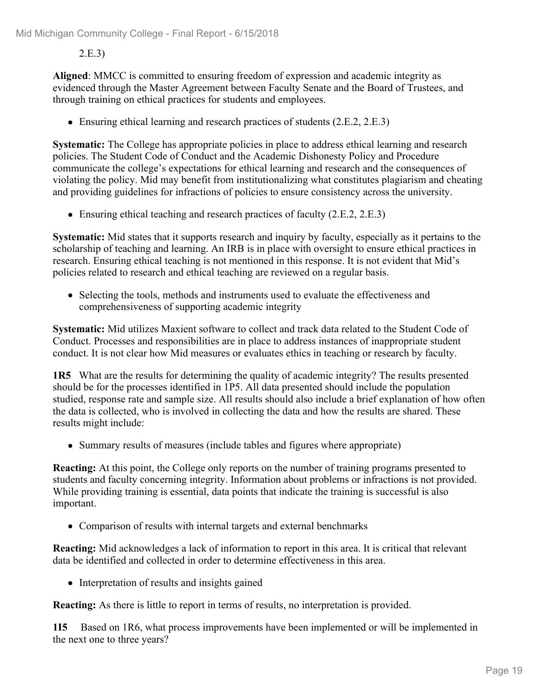## 2.E.3)

**Aligned**: MMCC is committed to ensuring freedom of expression and academic integrity as evidenced through the Master Agreement between Faculty Senate and the Board of Trustees, and through training on ethical practices for students and employees.

• Ensuring ethical learning and research practices of students (2.E.2, 2.E.3)

**Systematic:** The College has appropriate policies in place to address ethical learning and research policies. The Student Code of Conduct and the Academic Dishonesty Policy and Procedure communicate the college's expectations for ethical learning and research and the consequences of violating the policy. Mid may benefit from institutionalizing what constitutes plagiarism and cheating and providing guidelines for infractions of policies to ensure consistency across the university.

• Ensuring ethical teaching and research practices of faculty (2.E.2, 2.E.3)

**Systematic:** Mid states that it supports research and inquiry by faculty, especially as it pertains to the scholarship of teaching and learning. An IRB is in place with oversight to ensure ethical practices in research. Ensuring ethical teaching is not mentioned in this response. It is not evident that Mid's policies related to research and ethical teaching are reviewed on a regular basis.

• Selecting the tools, methods and instruments used to evaluate the effectiveness and comprehensiveness of supporting academic integrity

**Systematic:** Mid utilizes Maxient software to collect and track data related to the Student Code of Conduct. Processes and responsibilities are in place to address instances of inappropriate student conduct. It is not clear how Mid measures or evaluates ethics in teaching or research by faculty.

**1R5** What are the results for determining the quality of academic integrity? The results presented should be for the processes identified in 1P5. All data presented should include the population studied, response rate and sample size. All results should also include a brief explanation of how often the data is collected, who is involved in collecting the data and how the results are shared. These results might include:

• Summary results of measures (include tables and figures where appropriate)

**Reacting:** At this point, the College only reports on the number of training programs presented to students and faculty concerning integrity. Information about problems or infractions is not provided. While providing training is essential, data points that indicate the training is successful is also important.

• Comparison of results with internal targets and external benchmarks

**Reacting:** Mid acknowledges a lack of information to report in this area. It is critical that relevant data be identified and collected in order to determine effectiveness in this area.

• Interpretation of results and insights gained

**Reacting:** As there is little to report in terms of results, no interpretation is provided.

**1I5** Based on 1R6, what process improvements have been implemented or will be implemented in the next one to three years?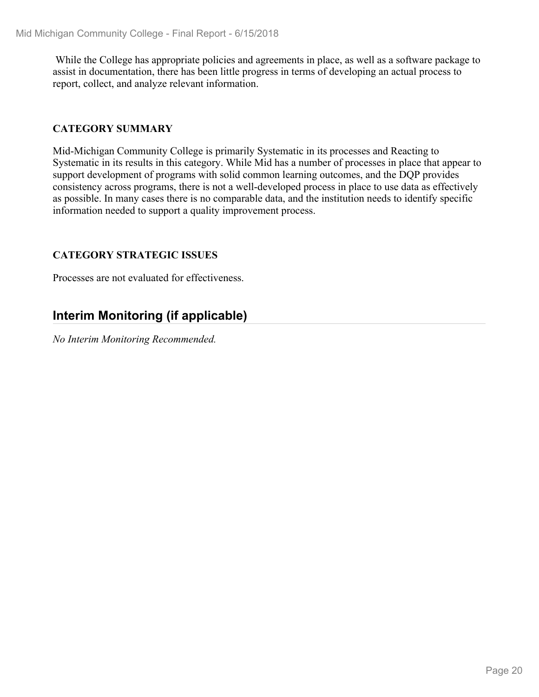While the College has appropriate policies and agreements in place, as well as a software package to assist in documentation, there has been little progress in terms of developing an actual process to report, collect, and analyze relevant information.

## **CATEGORY SUMMARY**

Mid-Michigan Community College is primarily Systematic in its processes and Reacting to Systematic in its results in this category. While Mid has a number of processes in place that appear to support development of programs with solid common learning outcomes, and the DQP provides consistency across programs, there is not a well-developed process in place to use data as effectively as possible. In many cases there is no comparable data, and the institution needs to identify specific information needed to support a quality improvement process.

## **CATEGORY STRATEGIC ISSUES**

Processes are not evaluated for effectiveness.

## **Interim Monitoring (if applicable)**

*No Interim Monitoring Recommended.*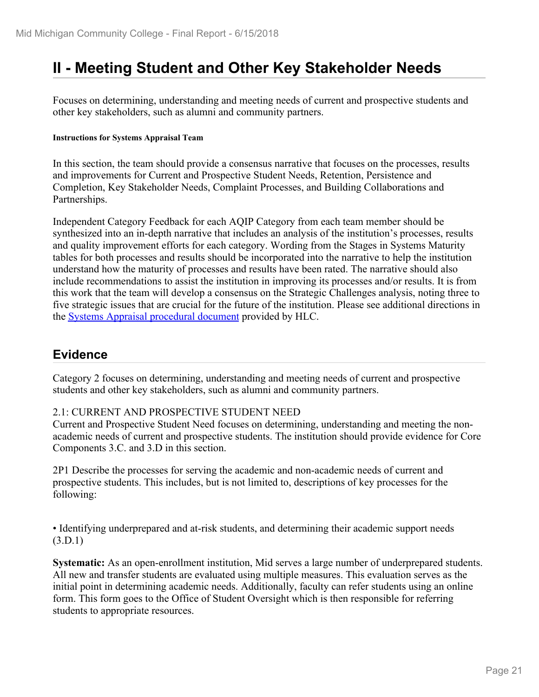## **II - Meeting Student and Other Key Stakeholder Needs**

Focuses on determining, understanding and meeting needs of current and prospective students and other key stakeholders, such as alumni and community partners.

#### **Instructions for Systems Appraisal Team**

In this section, the team should provide a consensus narrative that focuses on the processes, results and improvements for Current and Prospective Student Needs, Retention, Persistence and Completion, Key Stakeholder Needs, Complaint Processes, and Building Collaborations and Partnerships.

Independent Category Feedback for each AQIP Category from each team member should be synthesized into an in-depth narrative that includes an analysis of the institution's processes, results and quality improvement efforts for each category. Wording from the Stages in Systems Maturity tables for both processes and results should be incorporated into the narrative to help the institution understand how the maturity of processes and results have been rated. The narrative should also include recommendations to assist the institution in improving its processes and/or results. It is from this work that the team will develop a consensus on the Strategic Challenges analysis, noting three to five strategic issues that are crucial for the future of the institution. Please see additional directions in the **Systems Appraisal procedural document** provided by HLC.

## **Evidence**

Category 2 focuses on determining, understanding and meeting needs of current and prospective students and other key stakeholders, such as alumni and community partners.

### 2.1: CURRENT AND PROSPECTIVE STUDENT NEED

Current and Prospective Student Need focuses on determining, understanding and meeting the nonacademic needs of current and prospective students. The institution should provide evidence for Core Components 3.C. and 3.D in this section.

2P1 Describe the processes for serving the academic and non-academic needs of current and prospective students. This includes, but is not limited to, descriptions of key processes for the following:

• Identifying underprepared and at-risk students, and determining their academic support needs (3.D.1)

**Systematic:** As an open-enrollment institution, Mid serves a large number of underprepared students. All new and transfer students are evaluated using multiple measures. This evaluation serves as the initial point in determining academic needs. Additionally, faculty can refer students using an online form. This form goes to the Office of Student Oversight which is then responsible for referring students to appropriate resources.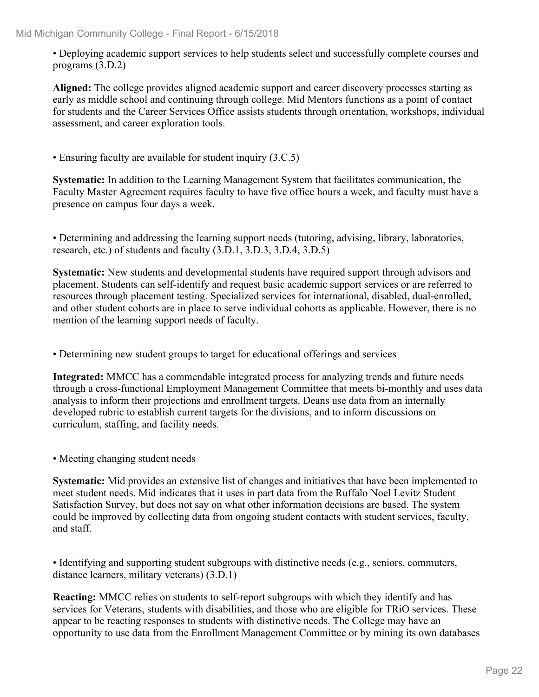• Deploying academic support services to help students select and successfully complete courses and programs (3.D.2)

**Aligned:** The college provides aligned academic support and career discovery processes starting as early as middle school and continuing through college. Mid Mentors functions as a point of contact for students and the Career Services Office assists students through orientation, workshops, individual assessment, and career exploration tools.

• Ensuring faculty are available for student inquiry (3.C.5)

**Systematic:** In addition to the Learning Management System that facilitates communication, the Faculty Master Agreement requires faculty to have five office hours a week, and faculty must have a presence on campus four days a week.

• Determining and addressing the learning support needs (tutoring, advising, library, laboratories, research, etc.) of students and faculty (3.D.1, 3.D.3, 3.D.4, 3.D.5)

**Systematic:** New students and developmental students have required support through advisors and placement. Students can self-identify and request basic academic support services or are referred to resources through placement testing. Specialized services for international, disabled, dual-enrolled, and other student cohorts are in place to serve individual cohorts as applicable. However, there is no mention of the learning support needs of faculty.

• Determining new student groups to target for educational offerings and services

**Integrated:** MMCC has a commendable integrated process for analyzing trends and future needs through a cross-functional Employment Management Committee that meets bi-monthly and uses data analysis to inform their projections and enrollment targets. Deans use data from an internally developed rubric to establish current targets for the divisions, and to inform discussions on curriculum, staffing, and facility needs.

• Meeting changing student needs

**Systematic:** Mid provides an extensive list of changes and initiatives that have been implemented to meet student needs. Mid indicates that it uses in part data from the Ruffalo Noel Levitz Student Satisfaction Survey, but does not say on what other information decisions are based. The system could be improved by collecting data from ongoing student contacts with student services, faculty, and staff.

• Identifying and supporting student subgroups with distinctive needs (e.g., seniors, commuters, distance learners, military veterans) (3.D.1)

**Reacting:** MMCC relies on students to self-report subgroups with which they identify and has services for Veterans, students with disabilities, and those who are eligible for TRiO services. These appear to be reacting responses to students with distinctive needs. The College may have an opportunity to use data from the Enrollment Management Committee or by mining its own databases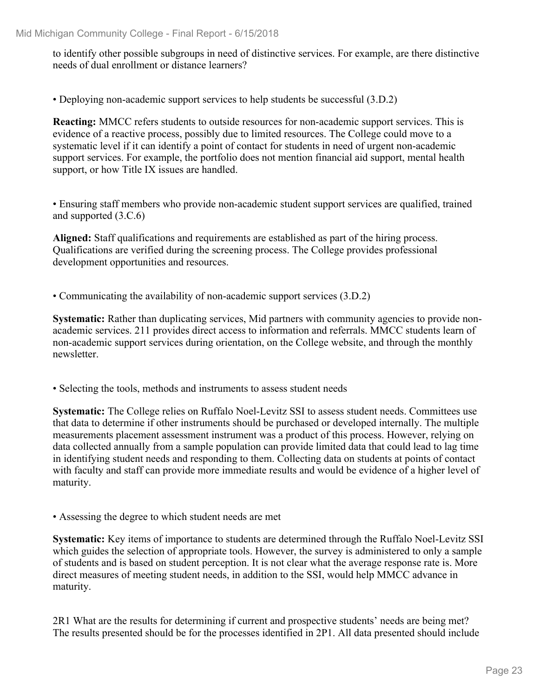to identify other possible subgroups in need of distinctive services. For example, are there distinctive needs of dual enrollment or distance learners?

• Deploying non-academic support services to help students be successful (3.D.2)

**Reacting:** MMCC refers students to outside resources for non-academic support services. This is evidence of a reactive process, possibly due to limited resources. The College could move to a systematic level if it can identify a point of contact for students in need of urgent non-academic support services. For example, the portfolio does not mention financial aid support, mental health support, or how Title IX issues are handled.

• Ensuring staff members who provide non-academic student support services are qualified, trained and supported (3.C.6)

**Aligned:** Staff qualifications and requirements are established as part of the hiring process. Qualifications are verified during the screening process. The College provides professional development opportunities and resources.

• Communicating the availability of non-academic support services (3.D.2)

**Systematic:** Rather than duplicating services, Mid partners with community agencies to provide nonacademic services. 211 provides direct access to information and referrals. MMCC students learn of non-academic support services during orientation, on the College website, and through the monthly newsletter.

• Selecting the tools, methods and instruments to assess student needs

**Systematic:** The College relies on Ruffalo Noel-Levitz SSI to assess student needs. Committees use that data to determine if other instruments should be purchased or developed internally. The multiple measurements placement assessment instrument was a product of this process. However, relying on data collected annually from a sample population can provide limited data that could lead to lag time in identifying student needs and responding to them. Collecting data on students at points of contact with faculty and staff can provide more immediate results and would be evidence of a higher level of maturity.

• Assessing the degree to which student needs are met

**Systematic:** Key items of importance to students are determined through the Ruffalo Noel-Levitz SSI which guides the selection of appropriate tools. However, the survey is administered to only a sample of students and is based on student perception. It is not clear what the average response rate is. More direct measures of meeting student needs, in addition to the SSI, would help MMCC advance in maturity.

2R1 What are the results for determining if current and prospective students' needs are being met? The results presented should be for the processes identified in 2P1. All data presented should include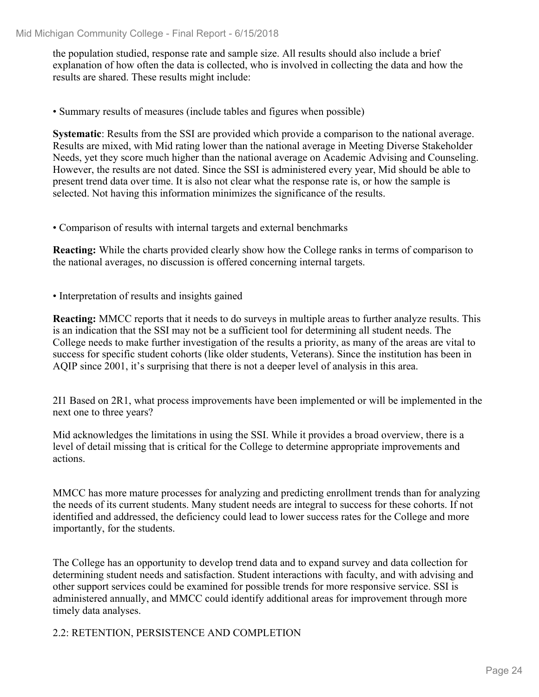the population studied, response rate and sample size. All results should also include a brief explanation of how often the data is collected, who is involved in collecting the data and how the results are shared. These results might include:

• Summary results of measures (include tables and figures when possible)

**Systematic**: Results from the SSI are provided which provide a comparison to the national average. Results are mixed, with Mid rating lower than the national average in Meeting Diverse Stakeholder Needs, yet they score much higher than the national average on Academic Advising and Counseling. However, the results are not dated. Since the SSI is administered every year, Mid should be able to present trend data over time. It is also not clear what the response rate is, or how the sample is selected. Not having this information minimizes the significance of the results.

• Comparison of results with internal targets and external benchmarks

**Reacting:** While the charts provided clearly show how the College ranks in terms of comparison to the national averages, no discussion is offered concerning internal targets.

• Interpretation of results and insights gained

**Reacting:** MMCC reports that it needs to do surveys in multiple areas to further analyze results. This is an indication that the SSI may not be a sufficient tool for determining all student needs. The College needs to make further investigation of the results a priority, as many of the areas are vital to success for specific student cohorts (like older students, Veterans). Since the institution has been in AQIP since 2001, it's surprising that there is not a deeper level of analysis in this area.

2I1 Based on 2R1, what process improvements have been implemented or will be implemented in the next one to three years?

Mid acknowledges the limitations in using the SSI. While it provides a broad overview, there is a level of detail missing that is critical for the College to determine appropriate improvements and actions.

MMCC has more mature processes for analyzing and predicting enrollment trends than for analyzing the needs of its current students. Many student needs are integral to success for these cohorts. If not identified and addressed, the deficiency could lead to lower success rates for the College and more importantly, for the students.

The College has an opportunity to develop trend data and to expand survey and data collection for determining student needs and satisfaction. Student interactions with faculty, and with advising and other support services could be examined for possible trends for more responsive service. SSI is administered annually, and MMCC could identify additional areas for improvement through more timely data analyses.

2.2: RETENTION, PERSISTENCE AND COMPLETION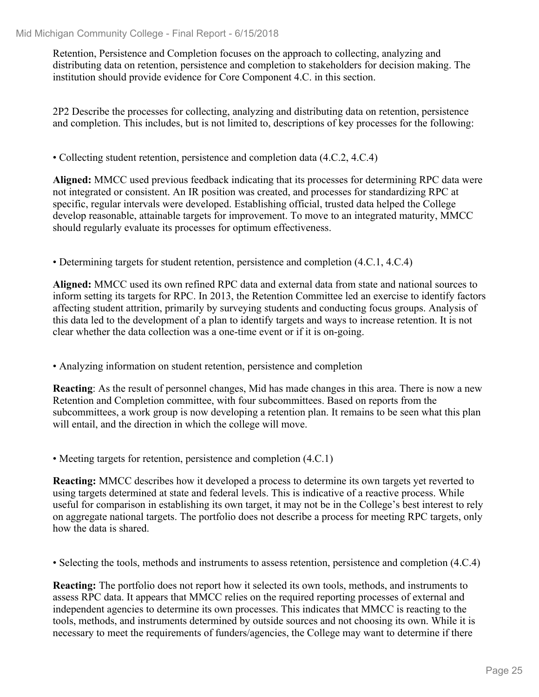Retention, Persistence and Completion focuses on the approach to collecting, analyzing and distributing data on retention, persistence and completion to stakeholders for decision making. The institution should provide evidence for Core Component 4.C. in this section.

2P2 Describe the processes for collecting, analyzing and distributing data on retention, persistence and completion. This includes, but is not limited to, descriptions of key processes for the following:

• Collecting student retention, persistence and completion data (4.C.2, 4.C.4)

**Aligned:** MMCC used previous feedback indicating that its processes for determining RPC data were not integrated or consistent. An IR position was created, and processes for standardizing RPC at specific, regular intervals were developed. Establishing official, trusted data helped the College develop reasonable, attainable targets for improvement. To move to an integrated maturity, MMCC should regularly evaluate its processes for optimum effectiveness.

• Determining targets for student retention, persistence and completion (4.C.1, 4.C.4)

**Aligned:** MMCC used its own refined RPC data and external data from state and national sources to inform setting its targets for RPC. In 2013, the Retention Committee led an exercise to identify factors affecting student attrition, primarily by surveying students and conducting focus groups. Analysis of this data led to the development of a plan to identify targets and ways to increase retention. It is not clear whether the data collection was a one-time event or if it is on-going.

• Analyzing information on student retention, persistence and completion

**Reacting**: As the result of personnel changes, Mid has made changes in this area. There is now a new Retention and Completion committee, with four subcommittees. Based on reports from the subcommittees, a work group is now developing a retention plan. It remains to be seen what this plan will entail, and the direction in which the college will move.

• Meeting targets for retention, persistence and completion (4.C.1)

**Reacting:** MMCC describes how it developed a process to determine its own targets yet reverted to using targets determined at state and federal levels. This is indicative of a reactive process. While useful for comparison in establishing its own target, it may not be in the College's best interest to rely on aggregate national targets. The portfolio does not describe a process for meeting RPC targets, only how the data is shared.

• Selecting the tools, methods and instruments to assess retention, persistence and completion (4.C.4)

**Reacting:** The portfolio does not report how it selected its own tools, methods, and instruments to assess RPC data. It appears that MMCC relies on the required reporting processes of external and independent agencies to determine its own processes. This indicates that MMCC is reacting to the tools, methods, and instruments determined by outside sources and not choosing its own. While it is necessary to meet the requirements of funders/agencies, the College may want to determine if there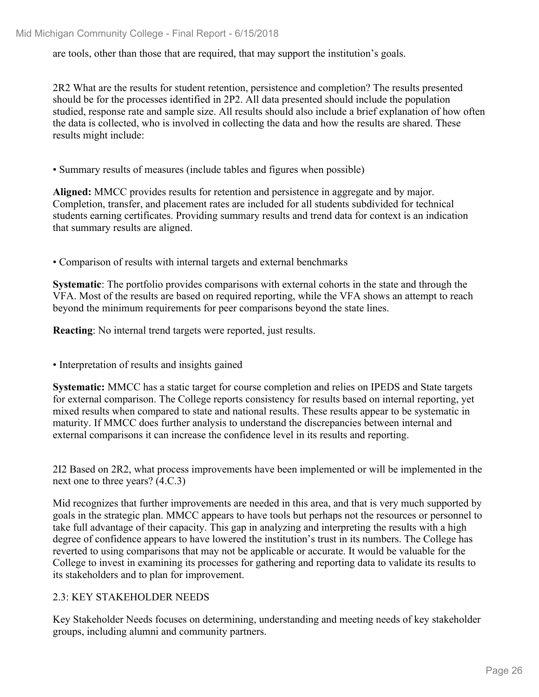are tools, other than those that are required, that may support the institution's goals.

2R2 What are the results for student retention, persistence and completion? The results presented should be for the processes identified in 2P2. All data presented should include the population studied, response rate and sample size. All results should also include a brief explanation of how often the data is collected, who is involved in collecting the data and how the results are shared. These results might include:

• Summary results of measures (include tables and figures when possible)

**Aligned:** MMCC provides results for retention and persistence in aggregate and by major. Completion, transfer, and placement rates are included for all students subdivided for technical students earning certificates. Providing summary results and trend data for context is an indication that summary results are aligned.

• Comparison of results with internal targets and external benchmarks

**Systematic**: The portfolio provides comparisons with external cohorts in the state and through the VFA. Most of the results are based on required reporting, while the VFA shows an attempt to reach beyond the minimum requirements for peer comparisons beyond the state lines.

**Reacting**: No internal trend targets were reported, just results.

• Interpretation of results and insights gained

**Systematic:** MMCC has a static target for course completion and relies on IPEDS and State targets for external comparison. The College reports consistency for results based on internal reporting, yet mixed results when compared to state and national results. These results appear to be systematic in maturity. If MMCC does further analysis to understand the discrepancies between internal and external comparisons it can increase the confidence level in its results and reporting.

2I2 Based on 2R2, what process improvements have been implemented or will be implemented in the next one to three years? (4.C.3)

Mid recognizes that further improvements are needed in this area, and that is very much supported by goals in the strategic plan. MMCC appears to have tools but perhaps not the resources or personnel to take full advantage of their capacity. This gap in analyzing and interpreting the results with a high degree of confidence appears to have lowered the institution's trust in its numbers. The College has reverted to using comparisons that may not be applicable or accurate. It would be valuable for the College to invest in examining its processes for gathering and reporting data to validate its results to its stakeholders and to plan for improvement.

### 2.3: KEY STAKEHOLDER NEEDS

Key Stakeholder Needs focuses on determining, understanding and meeting needs of key stakeholder groups, including alumni and community partners.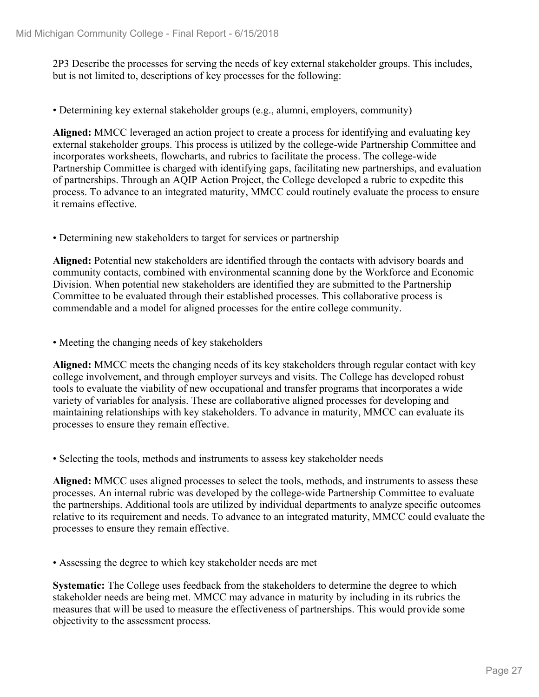2P3 Describe the processes for serving the needs of key external stakeholder groups. This includes, but is not limited to, descriptions of key processes for the following:

• Determining key external stakeholder groups (e.g., alumni, employers, community)

**Aligned:** MMCC leveraged an action project to create a process for identifying and evaluating key external stakeholder groups. This process is utilized by the college-wide Partnership Committee and incorporates worksheets, flowcharts, and rubrics to facilitate the process. The college-wide Partnership Committee is charged with identifying gaps, facilitating new partnerships, and evaluation of partnerships. Through an AQIP Action Project, the College developed a rubric to expedite this process. To advance to an integrated maturity, MMCC could routinely evaluate the process to ensure it remains effective.

• Determining new stakeholders to target for services or partnership

**Aligned:** Potential new stakeholders are identified through the contacts with advisory boards and community contacts, combined with environmental scanning done by the Workforce and Economic Division. When potential new stakeholders are identified they are submitted to the Partnership Committee to be evaluated through their established processes. This collaborative process is commendable and a model for aligned processes for the entire college community.

• Meeting the changing needs of key stakeholders

**Aligned:** MMCC meets the changing needs of its key stakeholders through regular contact with key college involvement, and through employer surveys and visits. The College has developed robust tools to evaluate the viability of new occupational and transfer programs that incorporates a wide variety of variables for analysis. These are collaborative aligned processes for developing and maintaining relationships with key stakeholders. To advance in maturity, MMCC can evaluate its processes to ensure they remain effective.

• Selecting the tools, methods and instruments to assess key stakeholder needs

**Aligned:** MMCC uses aligned processes to select the tools, methods, and instruments to assess these processes. An internal rubric was developed by the college-wide Partnership Committee to evaluate the partnerships. Additional tools are utilized by individual departments to analyze specific outcomes relative to its requirement and needs. To advance to an integrated maturity, MMCC could evaluate the processes to ensure they remain effective.

• Assessing the degree to which key stakeholder needs are met

**Systematic:** The College uses feedback from the stakeholders to determine the degree to which stakeholder needs are being met. MMCC may advance in maturity by including in its rubrics the measures that will be used to measure the effectiveness of partnerships. This would provide some objectivity to the assessment process.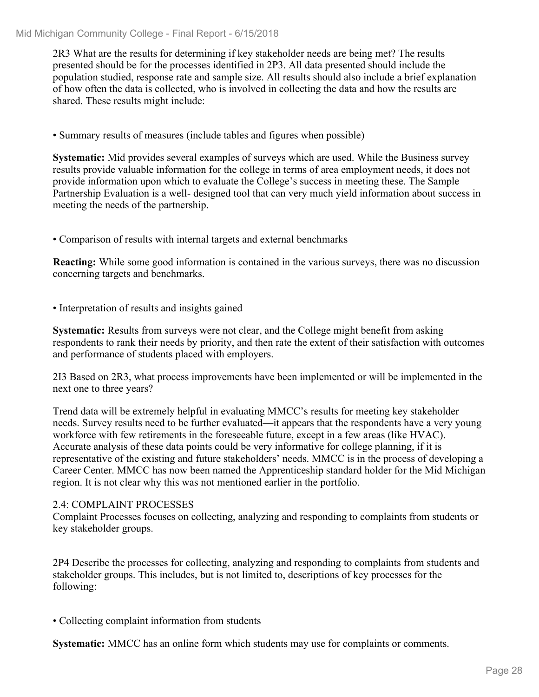2R3 What are the results for determining if key stakeholder needs are being met? The results presented should be for the processes identified in 2P3. All data presented should include the population studied, response rate and sample size. All results should also include a brief explanation of how often the data is collected, who is involved in collecting the data and how the results are shared. These results might include:

• Summary results of measures (include tables and figures when possible)

**Systematic:** Mid provides several examples of surveys which are used. While the Business survey results provide valuable information for the college in terms of area employment needs, it does not provide information upon which to evaluate the College's success in meeting these. The Sample Partnership Evaluation is a well- designed tool that can very much yield information about success in meeting the needs of the partnership.

• Comparison of results with internal targets and external benchmarks

**Reacting:** While some good information is contained in the various surveys, there was no discussion concerning targets and benchmarks.

• Interpretation of results and insights gained

**Systematic:** Results from surveys were not clear, and the College might benefit from asking respondents to rank their needs by priority, and then rate the extent of their satisfaction with outcomes and performance of students placed with employers.

2I3 Based on 2R3, what process improvements have been implemented or will be implemented in the next one to three years?

Trend data will be extremely helpful in evaluating MMCC's results for meeting key stakeholder needs. Survey results need to be further evaluated—it appears that the respondents have a very young workforce with few retirements in the foreseeable future, except in a few areas (like HVAC). Accurate analysis of these data points could be very informative for college planning, if it is representative of the existing and future stakeholders' needs. MMCC is in the process of developing a Career Center. MMCC has now been named the Apprenticeship standard holder for the Mid Michigan region. It is not clear why this was not mentioned earlier in the portfolio.

## 2.4: COMPLAINT PROCESSES

Complaint Processes focuses on collecting, analyzing and responding to complaints from students or key stakeholder groups.

2P4 Describe the processes for collecting, analyzing and responding to complaints from students and stakeholder groups. This includes, but is not limited to, descriptions of key processes for the following:

• Collecting complaint information from students

**Systematic:** MMCC has an online form which students may use for complaints or comments.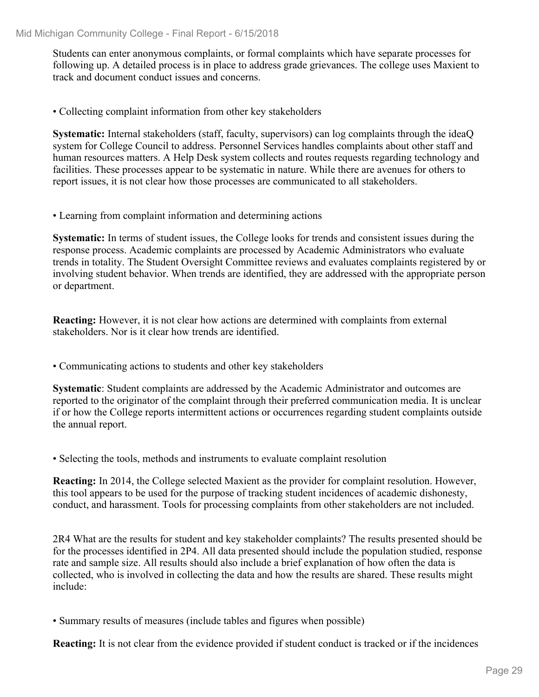Students can enter anonymous complaints, or formal complaints which have separate processes for following up. A detailed process is in place to address grade grievances. The college uses Maxient to track and document conduct issues and concerns.

• Collecting complaint information from other key stakeholders

**Systematic:** Internal stakeholders (staff, faculty, supervisors) can log complaints through the ideaQ system for College Council to address. Personnel Services handles complaints about other staff and human resources matters. A Help Desk system collects and routes requests regarding technology and facilities. These processes appear to be systematic in nature. While there are avenues for others to report issues, it is not clear how those processes are communicated to all stakeholders.

• Learning from complaint information and determining actions

**Systematic:** In terms of student issues, the College looks for trends and consistent issues during the response process. Academic complaints are processed by Academic Administrators who evaluate trends in totality. The Student Oversight Committee reviews and evaluates complaints registered by or involving student behavior. When trends are identified, they are addressed with the appropriate person or department.

**Reacting:** However, it is not clear how actions are determined with complaints from external stakeholders. Nor is it clear how trends are identified.

• Communicating actions to students and other key stakeholders

**Systematic**: Student complaints are addressed by the Academic Administrator and outcomes are reported to the originator of the complaint through their preferred communication media. It is unclear if or how the College reports intermittent actions or occurrences regarding student complaints outside the annual report.

• Selecting the tools, methods and instruments to evaluate complaint resolution

**Reacting:** In 2014, the College selected Maxient as the provider for complaint resolution. However, this tool appears to be used for the purpose of tracking student incidences of academic dishonesty, conduct, and harassment. Tools for processing complaints from other stakeholders are not included.

2R4 What are the results for student and key stakeholder complaints? The results presented should be for the processes identified in 2P4. All data presented should include the population studied, response rate and sample size. All results should also include a brief explanation of how often the data is collected, who is involved in collecting the data and how the results are shared. These results might include:

• Summary results of measures (include tables and figures when possible)

**Reacting:** It is not clear from the evidence provided if student conduct is tracked or if the incidences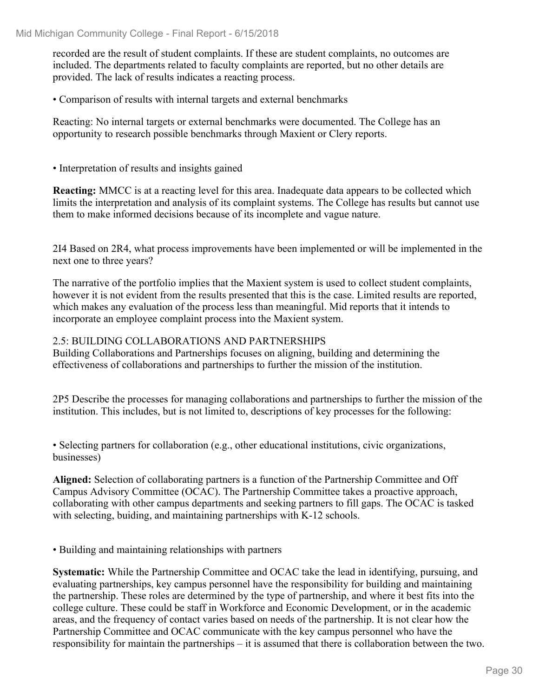recorded are the result of student complaints. If these are student complaints, no outcomes are included. The departments related to faculty complaints are reported, but no other details are provided. The lack of results indicates a reacting process.

• Comparison of results with internal targets and external benchmarks

Reacting: No internal targets or external benchmarks were documented. The College has an opportunity to research possible benchmarks through Maxient or Clery reports.

• Interpretation of results and insights gained

**Reacting:** MMCC is at a reacting level for this area. Inadequate data appears to be collected which limits the interpretation and analysis of its complaint systems. The College has results but cannot use them to make informed decisions because of its incomplete and vague nature.

2I4 Based on 2R4, what process improvements have been implemented or will be implemented in the next one to three years?

The narrative of the portfolio implies that the Maxient system is used to collect student complaints, however it is not evident from the results presented that this is the case. Limited results are reported, which makes any evaluation of the process less than meaningful. Mid reports that it intends to incorporate an employee complaint process into the Maxient system.

### 2.5: BUILDING COLLABORATIONS AND PARTNERSHIPS

Building Collaborations and Partnerships focuses on aligning, building and determining the effectiveness of collaborations and partnerships to further the mission of the institution.

2P5 Describe the processes for managing collaborations and partnerships to further the mission of the institution. This includes, but is not limited to, descriptions of key processes for the following:

• Selecting partners for collaboration (e.g., other educational institutions, civic organizations, businesses)

**Aligned:** Selection of collaborating partners is a function of the Partnership Committee and Off Campus Advisory Committee (OCAC). The Partnership Committee takes a proactive approach, collaborating with other campus departments and seeking partners to fill gaps. The OCAC is tasked with selecting, buiding, and maintaining partnerships with K-12 schools.

• Building and maintaining relationships with partners

**Systematic:** While the Partnership Committee and OCAC take the lead in identifying, pursuing, and evaluating partnerships, key campus personnel have the responsibility for building and maintaining the partnership. These roles are determined by the type of partnership, and where it best fits into the college culture. These could be staff in Workforce and Economic Development, or in the academic areas, and the frequency of contact varies based on needs of the partnership. It is not clear how the Partnership Committee and OCAC communicate with the key campus personnel who have the responsibility for maintain the partnerships – it is assumed that there is collaboration between the two.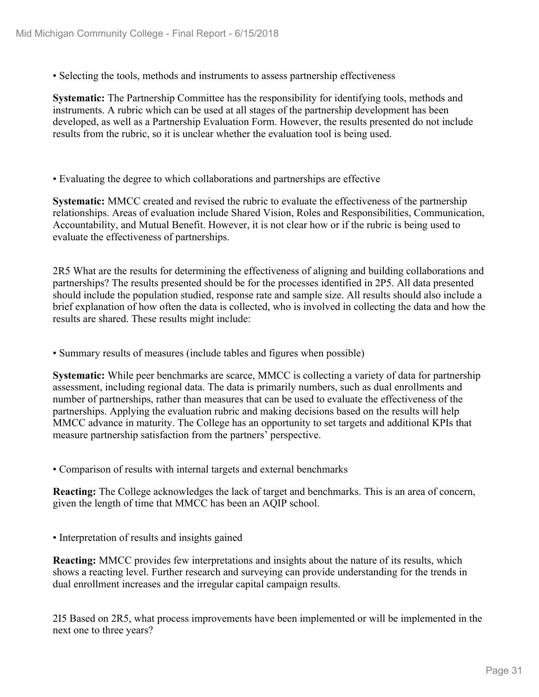• Selecting the tools, methods and instruments to assess partnership effectiveness

**Systematic:** The Partnership Committee has the responsibility for identifying tools, methods and instruments. A rubric which can be used at all stages of the partnership development has been developed, as well as a Partnership Evaluation Form. However, the results presented do not include results from the rubric, so it is unclear whether the evaluation tool is being used.

• Evaluating the degree to which collaborations and partnerships are effective

**Systematic:** MMCC created and revised the rubric to evaluate the effectiveness of the partnership relationships. Areas of evaluation include Shared Vision, Roles and Responsibilities, Communication, Accountability, and Mutual Benefit. However, it is not clear how or if the rubric is being used to evaluate the effectiveness of partnerships.

2R5 What are the results for determining the effectiveness of aligning and building collaborations and partnerships? The results presented should be for the processes identified in 2P5. All data presented should include the population studied, response rate and sample size. All results should also include a brief explanation of how often the data is collected, who is involved in collecting the data and how the results are shared. These results might include:

• Summary results of measures (include tables and figures when possible)

**Systematic:** While peer benchmarks are scarce, MMCC is collecting a variety of data for partnership assessment, including regional data. The data is primarily numbers, such as dual enrollments and number of partnerships, rather than measures that can be used to evaluate the effectiveness of the partnerships. Applying the evaluation rubric and making decisions based on the results will help MMCC advance in maturity. The College has an opportunity to set targets and additional KPIs that measure partnership satisfaction from the partners' perspective.

• Comparison of results with internal targets and external benchmarks

**Reacting:** The College acknowledges the lack of target and benchmarks. This is an area of concern, given the length of time that MMCC has been an AQIP school.

• Interpretation of results and insights gained

**Reacting:** MMCC provides few interpretations and insights about the nature of its results, which shows a reacting level. Further research and surveying can provide understanding for the trends in dual enrollment increases and the irregular capital campaign results.

2I5 Based on 2R5, what process improvements have been implemented or will be implemented in the next one to three years?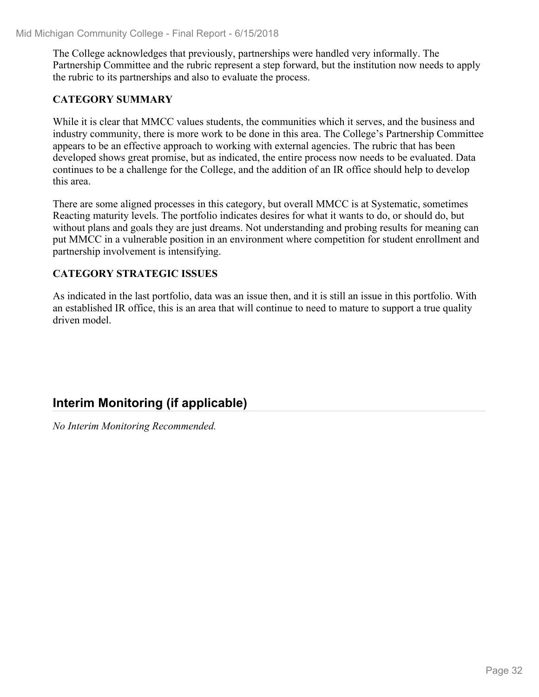The College acknowledges that previously, partnerships were handled very informally. The Partnership Committee and the rubric represent a step forward, but the institution now needs to apply the rubric to its partnerships and also to evaluate the process.

## **CATEGORY SUMMARY**

While it is clear that MMCC values students, the communities which it serves, and the business and industry community, there is more work to be done in this area. The College's Partnership Committee appears to be an effective approach to working with external agencies. The rubric that has been developed shows great promise, but as indicated, the entire process now needs to be evaluated. Data continues to be a challenge for the College, and the addition of an IR office should help to develop this area.

There are some aligned processes in this category, but overall MMCC is at Systematic, sometimes Reacting maturity levels. The portfolio indicates desires for what it wants to do, or should do, but without plans and goals they are just dreams. Not understanding and probing results for meaning can put MMCC in a vulnerable position in an environment where competition for student enrollment and partnership involvement is intensifying.

## **CATEGORY STRATEGIC ISSUES**

As indicated in the last portfolio, data was an issue then, and it is still an issue in this portfolio. With an established IR office, this is an area that will continue to need to mature to support a true quality driven model.

## **Interim Monitoring (if applicable)**

*No Interim Monitoring Recommended.*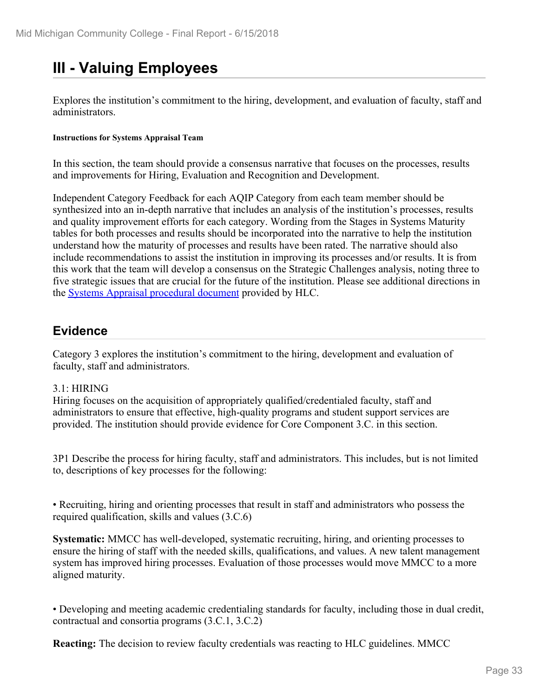## **III - Valuing Employees**

Explores the institution's commitment to the hiring, development, and evaluation of faculty, staff and administrators.

#### **Instructions for Systems Appraisal Team**

In this section, the team should provide a consensus narrative that focuses on the processes, results and improvements for Hiring, Evaluation and Recognition and Development.

Independent Category Feedback for each AQIP Category from each team member should be synthesized into an in-depth narrative that includes an analysis of the institution's processes, results and quality improvement efforts for each category. Wording from the Stages in Systems Maturity tables for both processes and results should be incorporated into the narrative to help the institution understand how the maturity of processes and results have been rated. The narrative should also include recommendations to assist the institution in improving its processes and/or results. It is from this work that the team will develop a consensus on the Strategic Challenges analysis, noting three to five strategic issues that are crucial for the future of the institution. Please see additional directions in the Systems Appraisal procedural document provided by HLC.

## **Evidence**

Category 3 explores the institution's commitment to the hiring, development and evaluation of faculty, staff and administrators.

### 3.1: HIRING

Hiring focuses on the acquisition of appropriately qualified/credentialed faculty, staff and administrators to ensure that effective, high-quality programs and student support services are provided. The institution should provide evidence for Core Component 3.C. in this section.

3P1 Describe the process for hiring faculty, staff and administrators. This includes, but is not limited to, descriptions of key processes for the following:

• Recruiting, hiring and orienting processes that result in staff and administrators who possess the required qualification, skills and values (3.C.6)

**Systematic:** MMCC has well-developed, systematic recruiting, hiring, and orienting processes to ensure the hiring of staff with the needed skills, qualifications, and values. A new talent management system has improved hiring processes. Evaluation of those processes would move MMCC to a more aligned maturity.

• Developing and meeting academic credentialing standards for faculty, including those in dual credit, contractual and consortia programs (3.C.1, 3.C.2)

**Reacting:** The decision to review faculty credentials was reacting to HLC guidelines. MMCC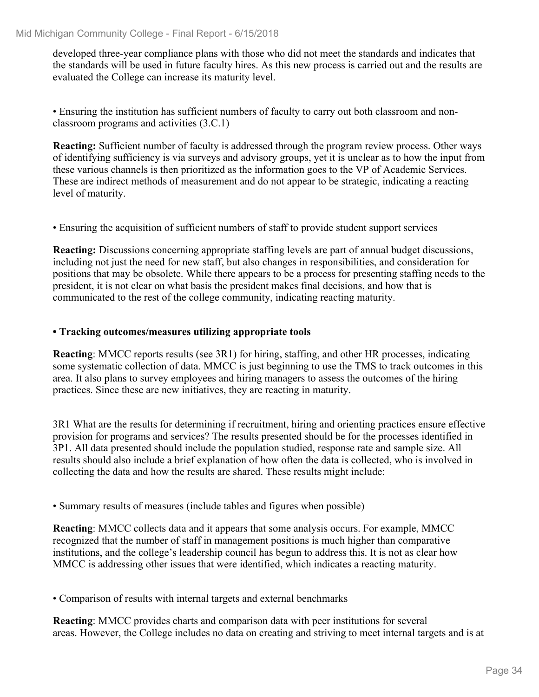developed three-year compliance plans with those who did not meet the standards and indicates that the standards will be used in future faculty hires. As this new process is carried out and the results are evaluated the College can increase its maturity level.

• Ensuring the institution has sufficient numbers of faculty to carry out both classroom and nonclassroom programs and activities (3.C.1)

**Reacting:** Sufficient number of faculty is addressed through the program review process. Other ways of identifying sufficiency is via surveys and advisory groups, yet it is unclear as to how the input from these various channels is then prioritized as the information goes to the VP of Academic Services. These are indirect methods of measurement and do not appear to be strategic, indicating a reacting level of maturity.

• Ensuring the acquisition of sufficient numbers of staff to provide student support services

**Reacting:** Discussions concerning appropriate staffing levels are part of annual budget discussions, including not just the need for new staff, but also changes in responsibilities, and consideration for positions that may be obsolete. While there appears to be a process for presenting staffing needs to the president, it is not clear on what basis the president makes final decisions, and how that is communicated to the rest of the college community, indicating reacting maturity.

### **• Tracking outcomes/measures utilizing appropriate tools**

**Reacting:** MMCC reports results (see 3R1) for hiring, staffing, and other HR processes, indicating some systematic collection of data. MMCC is just beginning to use the TMS to track outcomes in this area. It also plans to survey employees and hiring managers to assess the outcomes of the hiring practices. Since these are new initiatives, they are reacting in maturity.

3R1 What are the results for determining if recruitment, hiring and orienting practices ensure effective provision for programs and services? The results presented should be for the processes identified in 3P1. All data presented should include the population studied, response rate and sample size. All results should also include a brief explanation of how often the data is collected, who is involved in collecting the data and how the results are shared. These results might include:

• Summary results of measures (include tables and figures when possible)

**Reacting**: MMCC collects data and it appears that some analysis occurs. For example, MMCC recognized that the number of staff in management positions is much higher than comparative institutions, and the college's leadership council has begun to address this. It is not as clear how MMCC is addressing other issues that were identified, which indicates a reacting maturity.

• Comparison of results with internal targets and external benchmarks

**Reacting**: MMCC provides charts and comparison data with peer institutions for several areas. However, the College includes no data on creating and striving to meet internal targets and is at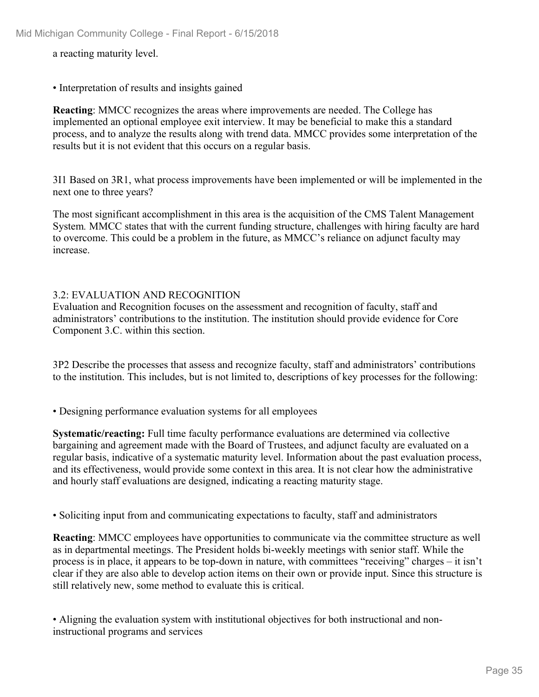a reacting maturity level.

• Interpretation of results and insights gained

**Reacting**: MMCC recognizes the areas where improvements are needed. The College has implemented an optional employee exit interview. It may be beneficial to make this a standard process, and to analyze the results along with trend data. MMCC provides some interpretation of the results but it is not evident that this occurs on a regular basis.

3I1 Based on 3R1, what process improvements have been implemented or will be implemented in the next one to three years?

The most significant accomplishment in this area is the acquisition of the CMS Talent Management System*.* MMCC states that with the current funding structure, challenges with hiring faculty are hard to overcome. This could be a problem in the future, as MMCC's reliance on adjunct faculty may increase.

### 3.2: EVALUATION AND RECOGNITION

Evaluation and Recognition focuses on the assessment and recognition of faculty, staff and administrators' contributions to the institution. The institution should provide evidence for Core Component 3.C. within this section.

3P2 Describe the processes that assess and recognize faculty, staff and administrators' contributions to the institution. This includes, but is not limited to, descriptions of key processes for the following:

• Designing performance evaluation systems for all employees

**Systematic/reacting:** Full time faculty performance evaluations are determined via collective bargaining and agreement made with the Board of Trustees, and adjunct faculty are evaluated on a regular basis, indicative of a systematic maturity level. Information about the past evaluation process, and its effectiveness, would provide some context in this area. It is not clear how the administrative and hourly staff evaluations are designed, indicating a reacting maturity stage.

• Soliciting input from and communicating expectations to faculty, staff and administrators

**Reacting**: MMCC employees have opportunities to communicate via the committee structure as well as in departmental meetings. The President holds bi-weekly meetings with senior staff. While the process is in place, it appears to be top-down in nature, with committees "receiving" charges – it isn't clear if they are also able to develop action items on their own or provide input. Since this structure is still relatively new, some method to evaluate this is critical.

• Aligning the evaluation system with institutional objectives for both instructional and noninstructional programs and services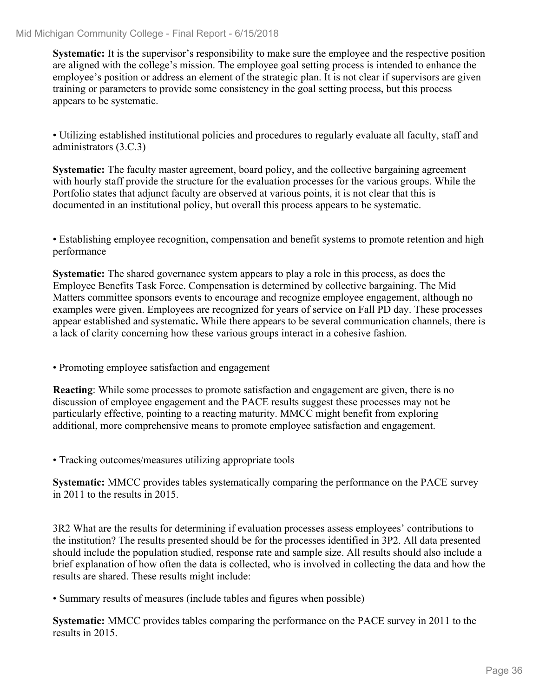**Systematic:** It is the supervisor's responsibility to make sure the employee and the respective position are aligned with the college's mission. The employee goal setting process is intended to enhance the employee's position or address an element of the strategic plan. It is not clear if supervisors are given training or parameters to provide some consistency in the goal setting process, but this process appears to be systematic.

• Utilizing established institutional policies and procedures to regularly evaluate all faculty, staff and administrators (3.C.3)

**Systematic:** The faculty master agreement, board policy, and the collective bargaining agreement with hourly staff provide the structure for the evaluation processes for the various groups. While the Portfolio states that adjunct faculty are observed at various points, it is not clear that this is documented in an institutional policy, but overall this process appears to be systematic.

• Establishing employee recognition, compensation and benefit systems to promote retention and high performance

**Systematic:** The shared governance system appears to play a role in this process, as does the Employee Benefits Task Force. Compensation is determined by collective bargaining. The Mid Matters committee sponsors events to encourage and recognize employee engagement, although no examples were given. Employees are recognized for years of service on Fall PD day. These processes appear established and systematic**.** While there appears to be several communication channels, there is a lack of clarity concerning how these various groups interact in a cohesive fashion.

• Promoting employee satisfaction and engagement

**Reacting**: While some processes to promote satisfaction and engagement are given, there is no discussion of employee engagement and the PACE results suggest these processes may not be particularly effective, pointing to a reacting maturity. MMCC might benefit from exploring additional, more comprehensive means to promote employee satisfaction and engagement.

• Tracking outcomes/measures utilizing appropriate tools

**Systematic:** MMCC provides tables systematically comparing the performance on the PACE survey in 2011 to the results in 2015.

3R2 What are the results for determining if evaluation processes assess employees' contributions to the institution? The results presented should be for the processes identified in 3P2. All data presented should include the population studied, response rate and sample size. All results should also include a brief explanation of how often the data is collected, who is involved in collecting the data and how the results are shared. These results might include:

• Summary results of measures (include tables and figures when possible)

**Systematic:** MMCC provides tables comparing the performance on the PACE survey in 2011 to the results in 2015.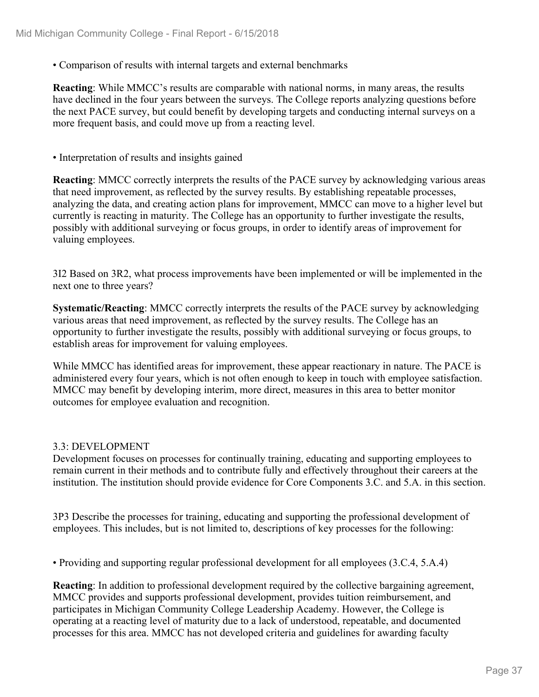• Comparison of results with internal targets and external benchmarks

**Reacting**: While MMCC's results are comparable with national norms, in many areas, the results have declined in the four years between the surveys. The College reports analyzing questions before the next PACE survey, but could benefit by developing targets and conducting internal surveys on a more frequent basis, and could move up from a reacting level.

• Interpretation of results and insights gained

**Reacting**: MMCC correctly interprets the results of the PACE survey by acknowledging various areas that need improvement, as reflected by the survey results. By establishing repeatable processes, analyzing the data, and creating action plans for improvement, MMCC can move to a higher level but currently is reacting in maturity. The College has an opportunity to further investigate the results, possibly with additional surveying or focus groups, in order to identify areas of improvement for valuing employees.

3I2 Based on 3R2, what process improvements have been implemented or will be implemented in the next one to three years?

**Systematic/Reacting**: MMCC correctly interprets the results of the PACE survey by acknowledging various areas that need improvement, as reflected by the survey results. The College has an opportunity to further investigate the results, possibly with additional surveying or focus groups, to establish areas for improvement for valuing employees.

While MMCC has identified areas for improvement, these appear reactionary in nature. The PACE is administered every four years, which is not often enough to keep in touch with employee satisfaction. MMCC may benefit by developing interim, more direct, measures in this area to better monitor outcomes for employee evaluation and recognition.

#### 3.3: DEVELOPMENT

Development focuses on processes for continually training, educating and supporting employees to remain current in their methods and to contribute fully and effectively throughout their careers at the institution. The institution should provide evidence for Core Components 3.C. and 5.A. in this section.

3P3 Describe the processes for training, educating and supporting the professional development of employees. This includes, but is not limited to, descriptions of key processes for the following:

• Providing and supporting regular professional development for all employees (3.C.4, 5.A.4)

**Reacting**: In addition to professional development required by the collective bargaining agreement, MMCC provides and supports professional development, provides tuition reimbursement, and participates in Michigan Community College Leadership Academy. However, the College is operating at a reacting level of maturity due to a lack of understood, repeatable, and documented processes for this area. MMCC has not developed criteria and guidelines for awarding faculty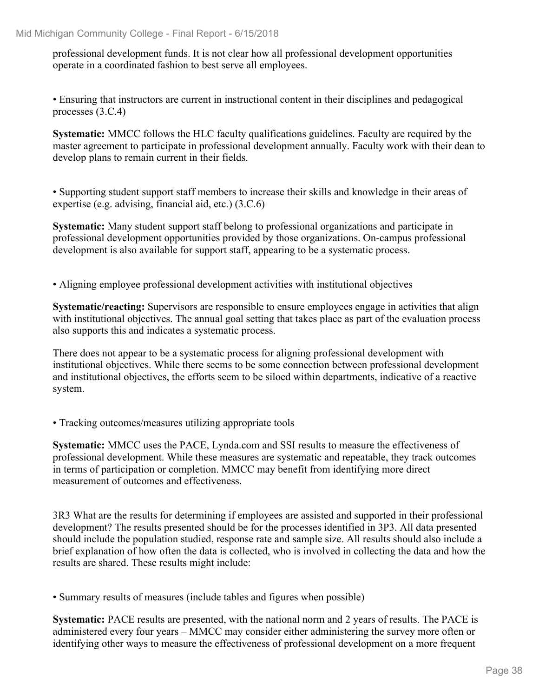professional development funds. It is not clear how all professional development opportunities operate in a coordinated fashion to best serve all employees.

• Ensuring that instructors are current in instructional content in their disciplines and pedagogical processes (3.C.4)

**Systematic:** MMCC follows the HLC faculty qualifications guidelines. Faculty are required by the master agreement to participate in professional development annually. Faculty work with their dean to develop plans to remain current in their fields.

• Supporting student support staff members to increase their skills and knowledge in their areas of expertise (e.g. advising, financial aid, etc.) (3.C.6)

**Systematic:** Many student support staff belong to professional organizations and participate in professional development opportunities provided by those organizations. On-campus professional development is also available for support staff, appearing to be a systematic process.

• Aligning employee professional development activities with institutional objectives

**Systematic/reacting:** Supervisors are responsible to ensure employees engage in activities that align with institutional objectives. The annual goal setting that takes place as part of the evaluation process also supports this and indicates a systematic process.

There does not appear to be a systematic process for aligning professional development with institutional objectives. While there seems to be some connection between professional development and institutional objectives, the efforts seem to be siloed within departments, indicative of a reactive system.

• Tracking outcomes/measures utilizing appropriate tools

**Systematic:** MMCC uses the PACE, Lynda.com and SSI results to measure the effectiveness of professional development. While these measures are systematic and repeatable, they track outcomes in terms of participation or completion. MMCC may benefit from identifying more direct measurement of outcomes and effectiveness.

3R3 What are the results for determining if employees are assisted and supported in their professional development? The results presented should be for the processes identified in 3P3. All data presented should include the population studied, response rate and sample size. All results should also include a brief explanation of how often the data is collected, who is involved in collecting the data and how the results are shared. These results might include:

• Summary results of measures (include tables and figures when possible)

**Systematic:** PACE results are presented, with the national norm and 2 years of results. The PACE is administered every four years – MMCC may consider either administering the survey more often or identifying other ways to measure the effectiveness of professional development on a more frequent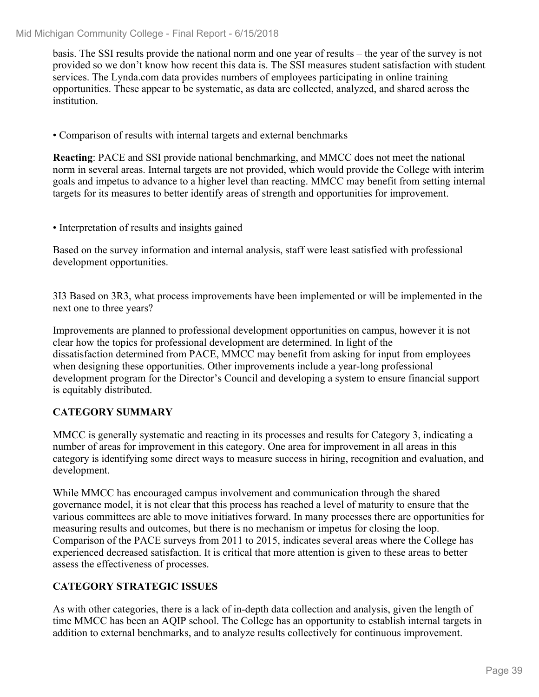basis. The SSI results provide the national norm and one year of results – the year of the survey is not provided so we don't know how recent this data is. The SSI measures student satisfaction with student services. The Lynda.com data provides numbers of employees participating in online training opportunities. These appear to be systematic, as data are collected, analyzed, and shared across the institution.

• Comparison of results with internal targets and external benchmarks

**Reacting**: PACE and SSI provide national benchmarking, and MMCC does not meet the national norm in several areas. Internal targets are not provided, which would provide the College with interim goals and impetus to advance to a higher level than reacting. MMCC may benefit from setting internal targets for its measures to better identify areas of strength and opportunities for improvement.

• Interpretation of results and insights gained

Based on the survey information and internal analysis, staff were least satisfied with professional development opportunities.

3I3 Based on 3R3, what process improvements have been implemented or will be implemented in the next one to three years?

Improvements are planned to professional development opportunities on campus, however it is not clear how the topics for professional development are determined. In light of the dissatisfaction determined from PACE, MMCC may benefit from asking for input from employees when designing these opportunities. Other improvements include a year-long professional development program for the Director's Council and developing a system to ensure financial support is equitably distributed.

#### **CATEGORY SUMMARY**

MMCC is generally systematic and reacting in its processes and results for Category 3, indicating a number of areas for improvement in this category. One area for improvement in all areas in this category is identifying some direct ways to measure success in hiring, recognition and evaluation, and development.

While MMCC has encouraged campus involvement and communication through the shared governance model, it is not clear that this process has reached a level of maturity to ensure that the various committees are able to move initiatives forward. In many processes there are opportunities for measuring results and outcomes, but there is no mechanism or impetus for closing the loop. Comparison of the PACE surveys from 2011 to 2015, indicates several areas where the College has experienced decreased satisfaction. It is critical that more attention is given to these areas to better assess the effectiveness of processes.

#### **CATEGORY STRATEGIC ISSUES**

As with other categories, there is a lack of in-depth data collection and analysis, given the length of time MMCC has been an AQIP school. The College has an opportunity to establish internal targets in addition to external benchmarks, and to analyze results collectively for continuous improvement.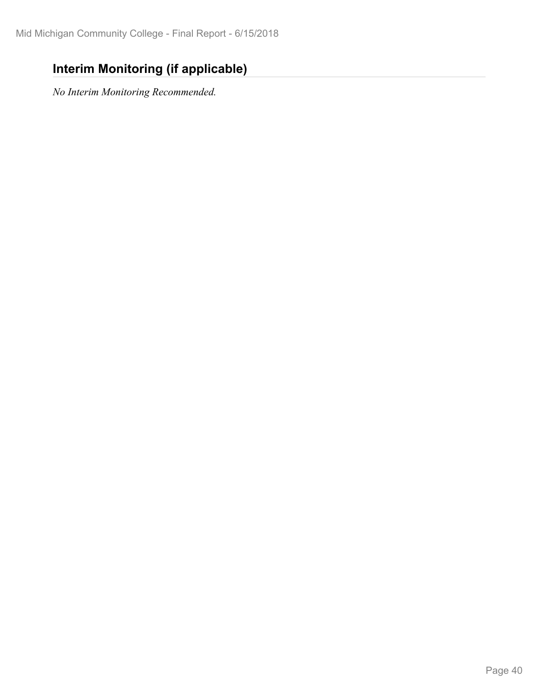## **Interim Monitoring (if applicable)**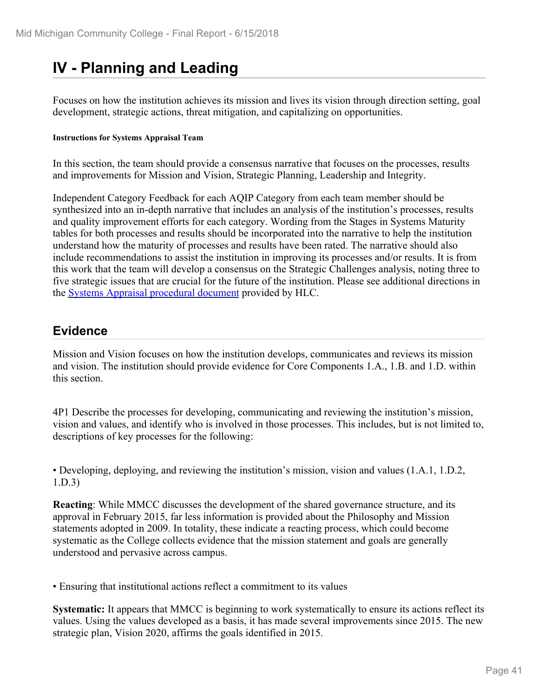# **IV - Planning and Leading**

Focuses on how the institution achieves its mission and lives its vision through direction setting, goal development, strategic actions, threat mitigation, and capitalizing on opportunities.

#### **Instructions for Systems Appraisal Team**

In this section, the team should provide a consensus narrative that focuses on the processes, results and improvements for Mission and Vision, Strategic Planning, Leadership and Integrity.

Independent Category Feedback for each AQIP Category from each team member should be synthesized into an in-depth narrative that includes an analysis of the institution's processes, results and quality improvement efforts for each category. Wording from the Stages in Systems Maturity tables for both processes and results should be incorporated into the narrative to help the institution understand how the maturity of processes and results have been rated. The narrative should also include recommendations to assist the institution in improving its processes and/or results. It is from this work that the team will develop a consensus on the Strategic Challenges analysis, noting three to five strategic issues that are crucial for the future of the institution. Please see additional directions in the **Systems Appraisal procedural document** provided by HLC.

#### **Evidence**

Mission and Vision focuses on how the institution develops, communicates and reviews its mission and vision. The institution should provide evidence for Core Components 1.A., 1.B. and 1.D. within this section.

4P1 Describe the processes for developing, communicating and reviewing the institution's mission, vision and values, and identify who is involved in those processes. This includes, but is not limited to, descriptions of key processes for the following:

• Developing, deploying, and reviewing the institution's mission, vision and values (1.A.1, 1.D.2, 1.D.3)

**Reacting**: While MMCC discusses the development of the shared governance structure, and its approval in February 2015, far less information is provided about the Philosophy and Mission statements adopted in 2009. In totality, these indicate a reacting process, which could become systematic as the College collects evidence that the mission statement and goals are generally understood and pervasive across campus.

• Ensuring that institutional actions reflect a commitment to its values

**Systematic:** It appears that MMCC is beginning to work systematically to ensure its actions reflect its values. Using the values developed as a basis, it has made several improvements since 2015. The new strategic plan, Vision 2020, affirms the goals identified in 2015.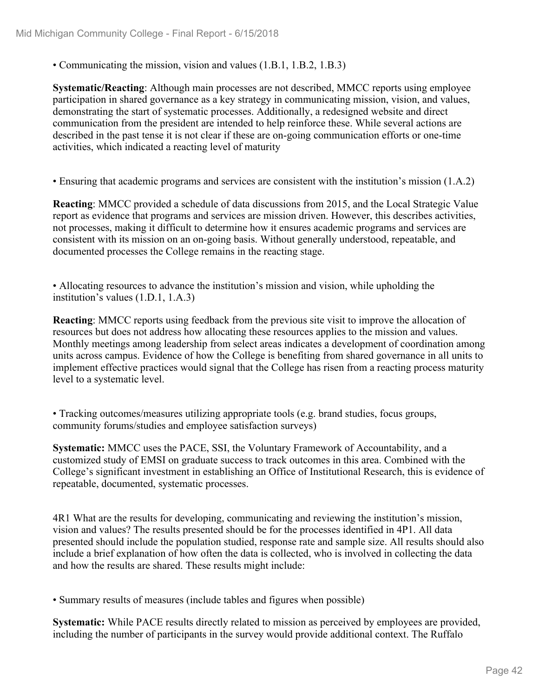• Communicating the mission, vision and values (1.B.1, 1.B.2, 1.B.3)

**Systematic/Reacting**: Although main processes are not described, MMCC reports using employee participation in shared governance as a key strategy in communicating mission, vision, and values, demonstrating the start of systematic processes. Additionally, a redesigned website and direct communication from the president are intended to help reinforce these. While several actions are described in the past tense it is not clear if these are on-going communication efforts or one-time activities, which indicated a reacting level of maturity

• Ensuring that academic programs and services are consistent with the institution's mission (1.A.2)

**Reacting**: MMCC provided a schedule of data discussions from 2015, and the Local Strategic Value report as evidence that programs and services are mission driven. However, this describes activities, not processes, making it difficult to determine how it ensures academic programs and services are consistent with its mission on an on-going basis. Without generally understood, repeatable, and documented processes the College remains in the reacting stage.

• Allocating resources to advance the institution's mission and vision, while upholding the institution's values (1.D.1, 1.A.3)

**Reacting**: MMCC reports using feedback from the previous site visit to improve the allocation of resources but does not address how allocating these resources applies to the mission and values. Monthly meetings among leadership from select areas indicates a development of coordination among units across campus. Evidence of how the College is benefiting from shared governance in all units to implement effective practices would signal that the College has risen from a reacting process maturity level to a systematic level.

• Tracking outcomes/measures utilizing appropriate tools (e.g. brand studies, focus groups, community forums/studies and employee satisfaction surveys)

**Systematic:** MMCC uses the PACE, SSI, the Voluntary Framework of Accountability, and a customized study of EMSI on graduate success to track outcomes in this area. Combined with the College's significant investment in establishing an Office of Institutional Research, this is evidence of repeatable, documented, systematic processes.

4R1 What are the results for developing, communicating and reviewing the institution's mission, vision and values? The results presented should be for the processes identified in 4P1. All data presented should include the population studied, response rate and sample size. All results should also include a brief explanation of how often the data is collected, who is involved in collecting the data and how the results are shared. These results might include:

• Summary results of measures (include tables and figures when possible)

**Systematic:** While PACE results directly related to mission as perceived by employees are provided, including the number of participants in the survey would provide additional context. The Ruffalo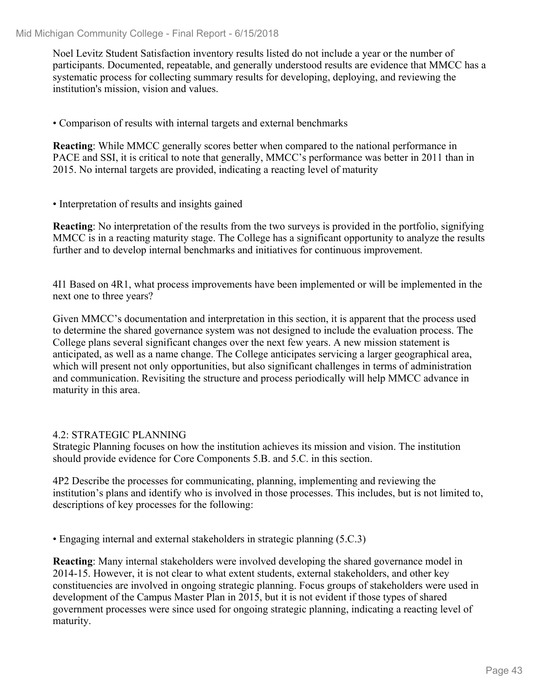Noel Levitz Student Satisfaction inventory results listed do not include a year or the number of participants. Documented, repeatable, and generally understood results are evidence that MMCC has a systematic process for collecting summary results for developing, deploying, and reviewing the institution's mission, vision and values.

• Comparison of results with internal targets and external benchmarks

**Reacting**: While MMCC generally scores better when compared to the national performance in PACE and SSI, it is critical to note that generally, MMCC's performance was better in 2011 than in 2015. No internal targets are provided, indicating a reacting level of maturity

• Interpretation of results and insights gained

**Reacting**: No interpretation of the results from the two surveys is provided in the portfolio, signifying MMCC is in a reacting maturity stage. The College has a significant opportunity to analyze the results further and to develop internal benchmarks and initiatives for continuous improvement.

4I1 Based on 4R1, what process improvements have been implemented or will be implemented in the next one to three years?

Given MMCC's documentation and interpretation in this section, it is apparent that the process used to determine the shared governance system was not designed to include the evaluation process. The College plans several significant changes over the next few years. A new mission statement is anticipated, as well as a name change. The College anticipates servicing a larger geographical area, which will present not only opportunities, but also significant challenges in terms of administration and communication. Revisiting the structure and process periodically will help MMCC advance in maturity in this area.

#### 4.2: STRATEGIC PLANNING

Strategic Planning focuses on how the institution achieves its mission and vision. The institution should provide evidence for Core Components 5.B. and 5.C. in this section.

4P2 Describe the processes for communicating, planning, implementing and reviewing the institution's plans and identify who is involved in those processes. This includes, but is not limited to, descriptions of key processes for the following:

• Engaging internal and external stakeholders in strategic planning (5.C.3)

**Reacting**: Many internal stakeholders were involved developing the shared governance model in 2014-15. However, it is not clear to what extent students, external stakeholders, and other key constituencies are involved in ongoing strategic planning. Focus groups of stakeholders were used in development of the Campus Master Plan in 2015, but it is not evident if those types of shared government processes were since used for ongoing strategic planning, indicating a reacting level of maturity.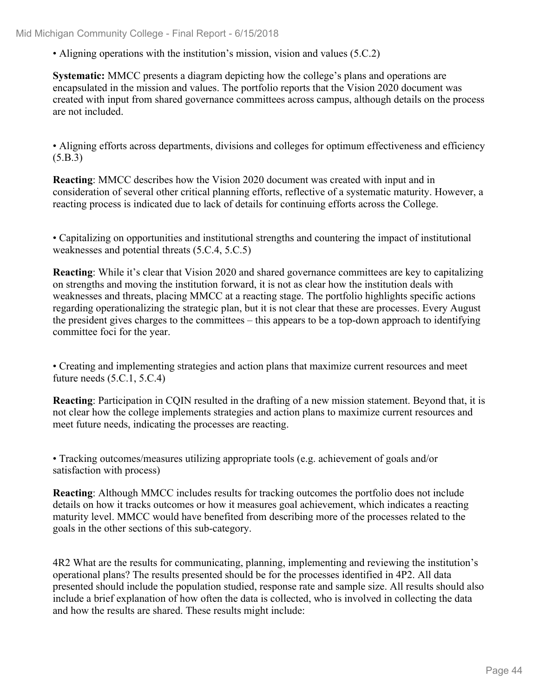• Aligning operations with the institution's mission, vision and values (5.C.2)

**Systematic:** MMCC presents a diagram depicting how the college's plans and operations are encapsulated in the mission and values. The portfolio reports that the Vision 2020 document was created with input from shared governance committees across campus, although details on the process are not included.

• Aligning efforts across departments, divisions and colleges for optimum effectiveness and efficiency (5.B.3)

**Reacting**: MMCC describes how the Vision 2020 document was created with input and in consideration of several other critical planning efforts, reflective of a systematic maturity. However, a reacting process is indicated due to lack of details for continuing efforts across the College.

• Capitalizing on opportunities and institutional strengths and countering the impact of institutional weaknesses and potential threats (5.C.4, 5.C.5)

**Reacting**: While it's clear that Vision 2020 and shared governance committees are key to capitalizing on strengths and moving the institution forward, it is not as clear how the institution deals with weaknesses and threats, placing MMCC at a reacting stage. The portfolio highlights specific actions regarding operationalizing the strategic plan, but it is not clear that these are processes. Every August the president gives charges to the committees – this appears to be a top-down approach to identifying committee foci for the year.

• Creating and implementing strategies and action plans that maximize current resources and meet future needs (5.C.1, 5.C.4)

**Reacting**: Participation in CQIN resulted in the drafting of a new mission statement. Beyond that, it is not clear how the college implements strategies and action plans to maximize current resources and meet future needs, indicating the processes are reacting.

• Tracking outcomes/measures utilizing appropriate tools (e.g. achievement of goals and/or satisfaction with process)

**Reacting**: Although MMCC includes results for tracking outcomes the portfolio does not include details on how it tracks outcomes or how it measures goal achievement, which indicates a reacting maturity level. MMCC would have benefited from describing more of the processes related to the goals in the other sections of this sub-category.

4R2 What are the results for communicating, planning, implementing and reviewing the institution's operational plans? The results presented should be for the processes identified in 4P2. All data presented should include the population studied, response rate and sample size. All results should also include a brief explanation of how often the data is collected, who is involved in collecting the data and how the results are shared. These results might include: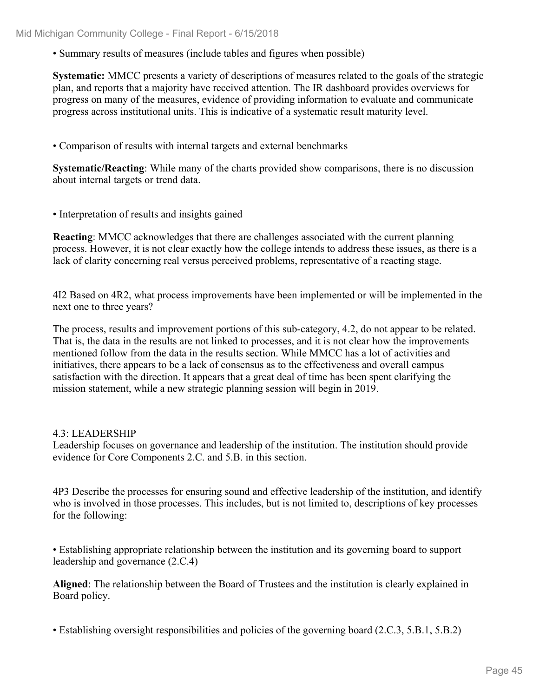• Summary results of measures (include tables and figures when possible)

**Systematic:** MMCC presents a variety of descriptions of measures related to the goals of the strategic plan, and reports that a majority have received attention. The IR dashboard provides overviews for progress on many of the measures, evidence of providing information to evaluate and communicate progress across institutional units. This is indicative of a systematic result maturity level.

• Comparison of results with internal targets and external benchmarks

**Systematic/Reacting**: While many of the charts provided show comparisons, there is no discussion about internal targets or trend data.

• Interpretation of results and insights gained

**Reacting**: MMCC acknowledges that there are challenges associated with the current planning process. However, it is not clear exactly how the college intends to address these issues, as there is a lack of clarity concerning real versus perceived problems, representative of a reacting stage.

4I2 Based on 4R2, what process improvements have been implemented or will be implemented in the next one to three years?

The process, results and improvement portions of this sub-category, 4.2, do not appear to be related. That is, the data in the results are not linked to processes, and it is not clear how the improvements mentioned follow from the data in the results section. While MMCC has a lot of activities and initiatives, there appears to be a lack of consensus as to the effectiveness and overall campus satisfaction with the direction. It appears that a great deal of time has been spent clarifying the mission statement, while a new strategic planning session will begin in 2019.

# 4.3: LEADERSHIP

Leadership focuses on governance and leadership of the institution. The institution should provide evidence for Core Components 2.C. and 5.B. in this section.

4P3 Describe the processes for ensuring sound and effective leadership of the institution, and identify who is involved in those processes. This includes, but is not limited to, descriptions of key processes for the following:

• Establishing appropriate relationship between the institution and its governing board to support leadership and governance (2.C.4)

**Aligned**: The relationship between the Board of Trustees and the institution is clearly explained in Board policy.

• Establishing oversight responsibilities and policies of the governing board (2.C.3, 5.B.1, 5.B.2)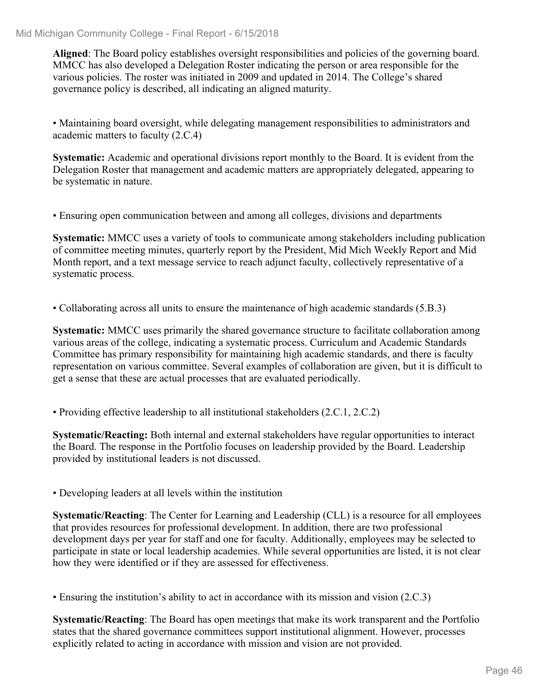**Aligned**: The Board policy establishes oversight responsibilities and policies of the governing board. MMCC has also developed a Delegation Roster indicating the person or area responsible for the various policies. The roster was initiated in 2009 and updated in 2014. The College's shared governance policy is described, all indicating an aligned maturity.

• Maintaining board oversight, while delegating management responsibilities to administrators and academic matters to faculty (2.C.4)

**Systematic:** Academic and operational divisions report monthly to the Board. It is evident from the Delegation Roster that management and academic matters are appropriately delegated, appearing to be systematic in nature.

• Ensuring open communication between and among all colleges, divisions and departments

**Systematic:** MMCC uses a variety of tools to communicate among stakeholders including publication of committee meeting minutes, quarterly report by the President, Mid Mich Weekly Report and Mid Month report, and a text message service to reach adjunct faculty, collectively representative of a systematic process.

• Collaborating across all units to ensure the maintenance of high academic standards (5.B.3)

**Systematic:** MMCC uses primarily the shared governance structure to facilitate collaboration among various areas of the college, indicating a systematic process. Curriculum and Academic Standards Committee has primary responsibility for maintaining high academic standards, and there is faculty representation on various committee. Several examples of collaboration are given, but it is difficult to get a sense that these are actual processes that are evaluated periodically.

• Providing effective leadership to all institutional stakeholders (2.C.1, 2.C.2)

**Systematic/Reacting:** Both internal and external stakeholders have regular opportunities to interact the Board. The response in the Portfolio focuses on leadership provided by the Board. Leadership provided by institutional leaders is not discussed.

• Developing leaders at all levels within the institution

**Systematic/Reacting:** The Center for Learning and Leadership (CLL) is a resource for all employees that provides resources for professional development. In addition, there are two professional development days per year for staff and one for faculty. Additionally, employees may be selected to participate in state or local leadership academies. While several opportunities are listed, it is not clear how they were identified or if they are assessed for effectiveness.

• Ensuring the institution's ability to act in accordance with its mission and vision (2.C.3)

**Systematic/Reacting**: The Board has open meetings that make its work transparent and the Portfolio states that the shared governance committees support institutional alignment. However, processes explicitly related to acting in accordance with mission and vision are not provided.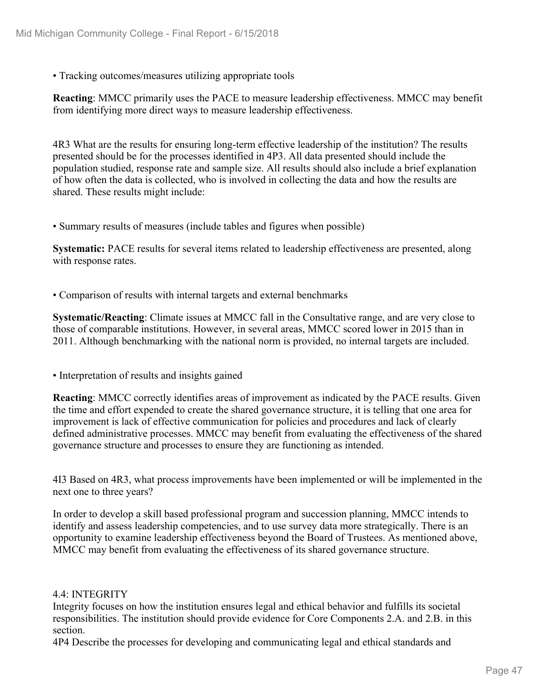• Tracking outcomes/measures utilizing appropriate tools

**Reacting**: MMCC primarily uses the PACE to measure leadership effectiveness. MMCC may benefit from identifying more direct ways to measure leadership effectiveness.

4R3 What are the results for ensuring long-term effective leadership of the institution? The results presented should be for the processes identified in 4P3. All data presented should include the population studied, response rate and sample size. All results should also include a brief explanation of how often the data is collected, who is involved in collecting the data and how the results are shared. These results might include:

• Summary results of measures (include tables and figures when possible)

**Systematic:** PACE results for several items related to leadership effectiveness are presented, along with response rates.

• Comparison of results with internal targets and external benchmarks

**Systematic/Reacting**: Climate issues at MMCC fall in the Consultative range, and are very close to those of comparable institutions. However, in several areas, MMCC scored lower in 2015 than in 2011. Although benchmarking with the national norm is provided, no internal targets are included.

• Interpretation of results and insights gained

**Reacting**: MMCC correctly identifies areas of improvement as indicated by the PACE results. Given the time and effort expended to create the shared governance structure, it is telling that one area for improvement is lack of effective communication for policies and procedures and lack of clearly defined administrative processes. MMCC may benefit from evaluating the effectiveness of the shared governance structure and processes to ensure they are functioning as intended.

4I3 Based on 4R3, what process improvements have been implemented or will be implemented in the next one to three years?

In order to develop a skill based professional program and succession planning, MMCC intends to identify and assess leadership competencies, and to use survey data more strategically. There is an opportunity to examine leadership effectiveness beyond the Board of Trustees. As mentioned above, MMCC may benefit from evaluating the effectiveness of its shared governance structure.

#### 4.4: INTEGRITY

Integrity focuses on how the institution ensures legal and ethical behavior and fulfills its societal responsibilities. The institution should provide evidence for Core Components 2.A. and 2.B. in this section.

4P4 Describe the processes for developing and communicating legal and ethical standards and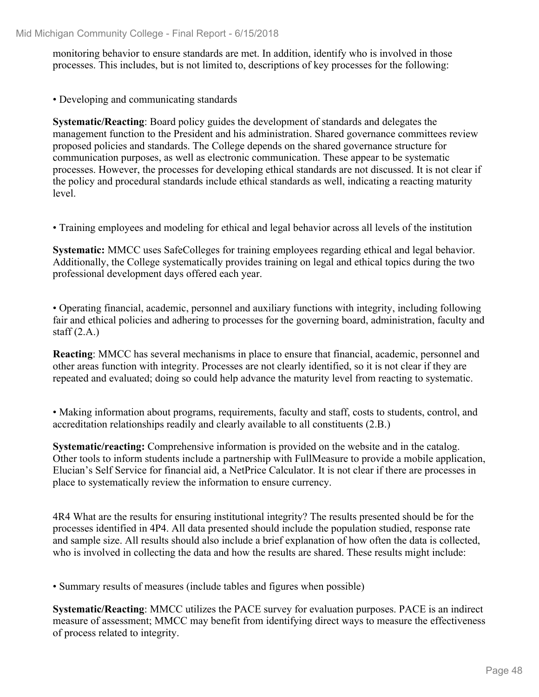monitoring behavior to ensure standards are met. In addition, identify who is involved in those processes. This includes, but is not limited to, descriptions of key processes for the following:

• Developing and communicating standards

**Systematic/Reacting**: Board policy guides the development of standards and delegates the management function to the President and his administration. Shared governance committees review proposed policies and standards. The College depends on the shared governance structure for communication purposes, as well as electronic communication. These appear to be systematic processes. However, the processes for developing ethical standards are not discussed. It is not clear if the policy and procedural standards include ethical standards as well, indicating a reacting maturity level.

• Training employees and modeling for ethical and legal behavior across all levels of the institution

**Systematic:** MMCC uses SafeColleges for training employees regarding ethical and legal behavior. Additionally, the College systematically provides training on legal and ethical topics during the two professional development days offered each year.

• Operating financial, academic, personnel and auxiliary functions with integrity, including following fair and ethical policies and adhering to processes for the governing board, administration, faculty and staff  $(2.A.)$ 

**Reacting**: MMCC has several mechanisms in place to ensure that financial, academic, personnel and other areas function with integrity. Processes are not clearly identified, so it is not clear if they are repeated and evaluated; doing so could help advance the maturity level from reacting to systematic.

• Making information about programs, requirements, faculty and staff, costs to students, control, and accreditation relationships readily and clearly available to all constituents (2.B.)

**Systematic/reacting:** Comprehensive information is provided on the website and in the catalog. Other tools to inform students include a partnership with FullMeasure to provide a mobile application, Elucian's Self Service for financial aid, a NetPrice Calculator. It is not clear if there are processes in place to systematically review the information to ensure currency.

4R4 What are the results for ensuring institutional integrity? The results presented should be for the processes identified in 4P4. All data presented should include the population studied, response rate and sample size. All results should also include a brief explanation of how often the data is collected, who is involved in collecting the data and how the results are shared. These results might include:

• Summary results of measures (include tables and figures when possible)

**Systematic/Reacting**: MMCC utilizes the PACE survey for evaluation purposes. PACE is an indirect measure of assessment; MMCC may benefit from identifying direct ways to measure the effectiveness of process related to integrity.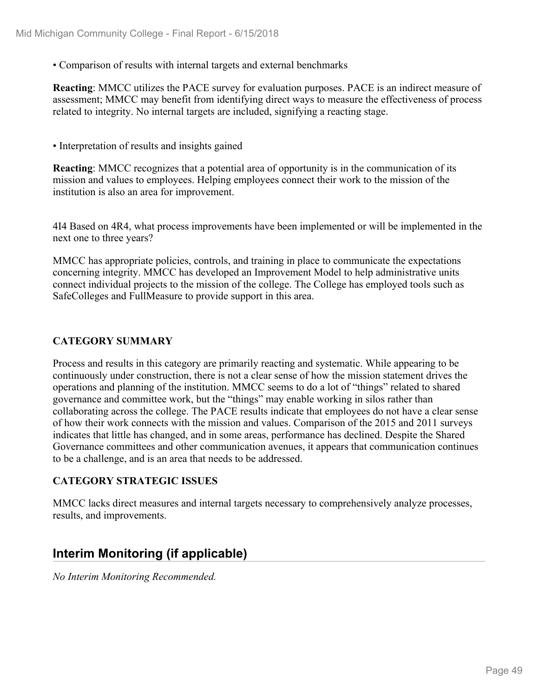• Comparison of results with internal targets and external benchmarks

**Reacting**: MMCC utilizes the PACE survey for evaluation purposes. PACE is an indirect measure of assessment; MMCC may benefit from identifying direct ways to measure the effectiveness of process related to integrity. No internal targets are included, signifying a reacting stage.

• Interpretation of results and insights gained

**Reacting**: MMCC recognizes that a potential area of opportunity is in the communication of its mission and values to employees. Helping employees connect their work to the mission of the institution is also an area for improvement.

4I4 Based on 4R4, what process improvements have been implemented or will be implemented in the next one to three years?

MMCC has appropriate policies, controls, and training in place to communicate the expectations concerning integrity. MMCC has developed an Improvement Model to help administrative units connect individual projects to the mission of the college. The College has employed tools such as SafeColleges and FullMeasure to provide support in this area.

#### **CATEGORY SUMMARY**

Process and results in this category are primarily reacting and systematic. While appearing to be continuously under construction, there is not a clear sense of how the mission statement drives the operations and planning of the institution. MMCC seems to do a lot of "things" related to shared governance and committee work, but the "things" may enable working in silos rather than collaborating across the college. The PACE results indicate that employees do not have a clear sense of how their work connects with the mission and values. Comparison of the 2015 and 2011 surveys indicates that little has changed, and in some areas, performance has declined. Despite the Shared Governance committees and other communication avenues, it appears that communication continues to be a challenge, and is an area that needs to be addressed.

#### **CATEGORY STRATEGIC ISSUES**

MMCC lacks direct measures and internal targets necessary to comprehensively analyze processes, results, and improvements.

#### **Interim Monitoring (if applicable)**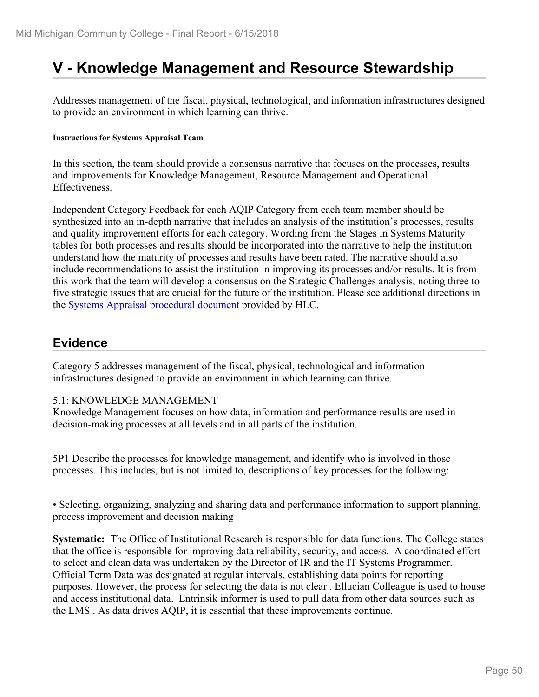# **V - Knowledge Management and Resource Stewardship**

Addresses management of the fiscal, physical, technological, and information infrastructures designed to provide an environment in which learning can thrive.

#### **Instructions for Systems Appraisal Team**

In this section, the team should provide a consensus narrative that focuses on the processes, results and improvements for Knowledge Management, Resource Management and Operational Effectiveness.

Independent Category Feedback for each AQIP Category from each team member should be synthesized into an in-depth narrative that includes an analysis of the institution's processes, results and quality improvement efforts for each category. Wording from the Stages in Systems Maturity tables for both processes and results should be incorporated into the narrative to help the institution understand how the maturity of processes and results have been rated. The narrative should also include recommendations to assist the institution in improving its processes and/or results. It is from this work that the team will develop a consensus on the Strategic Challenges analysis, noting three to five strategic issues that are crucial for the future of the institution. Please see additional directions in the **Systems Appraisal procedural document** provided by HLC.

#### **Evidence**

Category 5 addresses management of the fiscal, physical, technological and information infrastructures designed to provide an environment in which learning can thrive.

#### 5.1: KNOWLEDGE MANAGEMENT

Knowledge Management focuses on how data, information and performance results are used in decision-making processes at all levels and in all parts of the institution.

5P1 Describe the processes for knowledge management, and identify who is involved in those processes. This includes, but is not limited to, descriptions of key processes for the following:

• Selecting, organizing, analyzing and sharing data and performance information to support planning, process improvement and decision making

**Systematic:** The Office of Institutional Research is responsible for data functions. The College states that the office is responsible for improving data reliability, security, and access. A coordinated effort to select and clean data was undertaken by the Director of IR and the IT Systems Programmer. Official Term Data was designated at regular intervals, establishing data points for reporting purposes. However, the process for selecting the data is not clear . Ellucian Colleague is used to house and access institutional data. Entrinsik informer is used to pull data from other data sources such as the LMS . As data drives AQIP, it is essential that these improvements continue.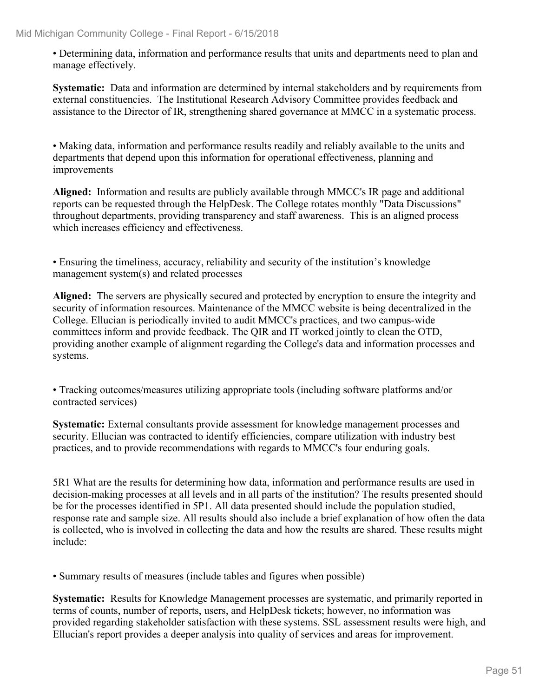• Determining data, information and performance results that units and departments need to plan and manage effectively.

**Systematic:** Data and information are determined by internal stakeholders and by requirements from external constituencies. The Institutional Research Advisory Committee provides feedback and assistance to the Director of IR, strengthening shared governance at MMCC in a systematic process.

• Making data, information and performance results readily and reliably available to the units and departments that depend upon this information for operational effectiveness, planning and improvements

**Aligned:** Information and results are publicly available through MMCC's IR page and additional reports can be requested through the HelpDesk. The College rotates monthly "Data Discussions" throughout departments, providing transparency and staff awareness. This is an aligned process which increases efficiency and effectiveness.

• Ensuring the timeliness, accuracy, reliability and security of the institution's knowledge management system(s) and related processes

**Aligned:** The servers are physically secured and protected by encryption to ensure the integrity and security of information resources. Maintenance of the MMCC website is being decentralized in the College. Ellucian is periodically invited to audit MMCC's practices, and two campus-wide committees inform and provide feedback. The QIR and IT worked jointly to clean the OTD, providing another example of alignment regarding the College's data and information processes and systems.

• Tracking outcomes/measures utilizing appropriate tools (including software platforms and/or contracted services)

**Systematic:** External consultants provide assessment for knowledge management processes and security. Ellucian was contracted to identify efficiencies, compare utilization with industry best practices, and to provide recommendations with regards to MMCC's four enduring goals.

5R1 What are the results for determining how data, information and performance results are used in decision-making processes at all levels and in all parts of the institution? The results presented should be for the processes identified in 5P1. All data presented should include the population studied, response rate and sample size. All results should also include a brief explanation of how often the data is collected, who is involved in collecting the data and how the results are shared. These results might include:

• Summary results of measures (include tables and figures when possible)

**Systematic:** Results for Knowledge Management processes are systematic, and primarily reported in terms of counts, number of reports, users, and HelpDesk tickets; however, no information was provided regarding stakeholder satisfaction with these systems. SSL assessment results were high, and Ellucian's report provides a deeper analysis into quality of services and areas for improvement.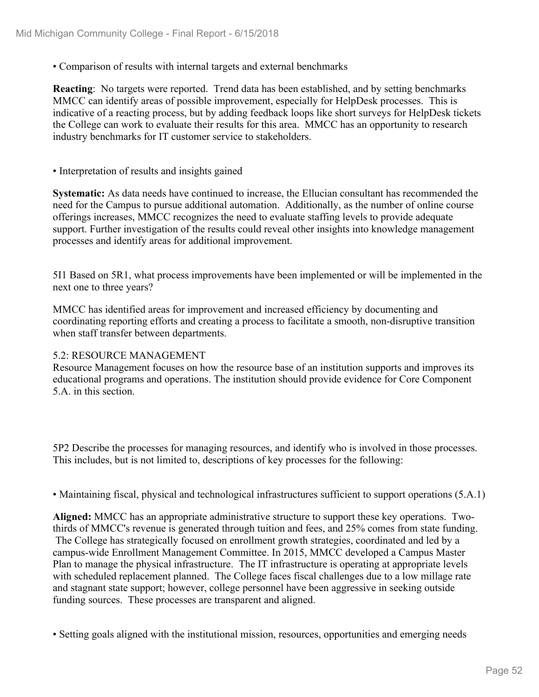• Comparison of results with internal targets and external benchmarks

**Reacting**: No targets were reported. Trend data has been established, and by setting benchmarks MMCC can identify areas of possible improvement, especially for HelpDesk processes. This is indicative of a reacting process, but by adding feedback loops like short surveys for HelpDesk tickets the College can work to evaluate their results for this area. MMCC has an opportunity to research industry benchmarks for IT customer service to stakeholders.

• Interpretation of results and insights gained

**Systematic:** As data needs have continued to increase, the Ellucian consultant has recommended the need for the Campus to pursue additional automation. Additionally, as the number of online course offerings increases, MMCC recognizes the need to evaluate staffing levels to provide adequate support. Further investigation of the results could reveal other insights into knowledge management processes and identify areas for additional improvement.

5I1 Based on 5R1, what process improvements have been implemented or will be implemented in the next one to three years?

MMCC has identified areas for improvement and increased efficiency by documenting and coordinating reporting efforts and creating a process to facilitate a smooth, non-disruptive transition when staff transfer between departments.

#### 5.2: RESOURCE MANAGEMENT

Resource Management focuses on how the resource base of an institution supports and improves its educational programs and operations. The institution should provide evidence for Core Component 5.A. in this section.

5P2 Describe the processes for managing resources, and identify who is involved in those processes. This includes, but is not limited to, descriptions of key processes for the following:

• Maintaining fiscal, physical and technological infrastructures sufficient to support operations (5.A.1)

**Aligned:** MMCC has an appropriate administrative structure to support these key operations. Twothirds of MMCC's revenue is generated through tuition and fees, and 25% comes from state funding. The College has strategically focused on enrollment growth strategies, coordinated and led by a campus-wide Enrollment Management Committee. In 2015, MMCC developed a Campus Master Plan to manage the physical infrastructure. The IT infrastructure is operating at appropriate levels with scheduled replacement planned. The College faces fiscal challenges due to a low millage rate and stagnant state support; however, college personnel have been aggressive in seeking outside funding sources. These processes are transparent and aligned.

• Setting goals aligned with the institutional mission, resources, opportunities and emerging needs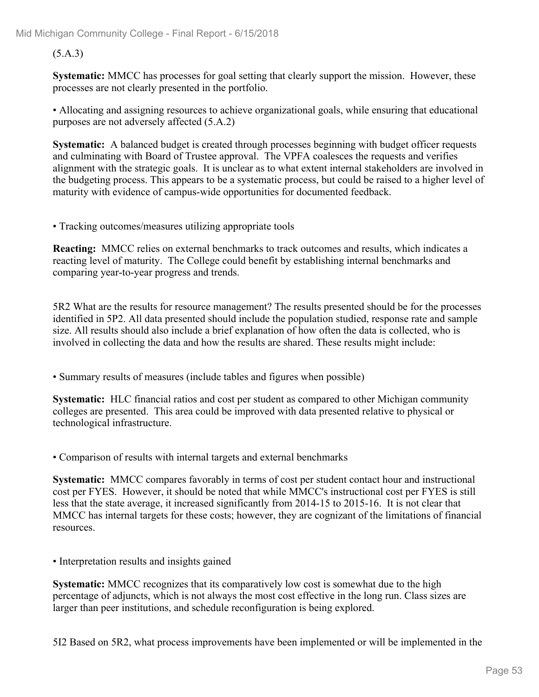#### (5.A.3)

**Systematic:** MMCC has processes for goal setting that clearly support the mission. However, these processes are not clearly presented in the portfolio.

• Allocating and assigning resources to achieve organizational goals, while ensuring that educational purposes are not adversely affected (5.A.2)

**Systematic:** A balanced budget is created through processes beginning with budget officer requests and culminating with Board of Trustee approval. The VPFA coalesces the requests and verifies alignment with the strategic goals. It is unclear as to what extent internal stakeholders are involved in the budgeting process. This appears to be a systematic process, but could be raised to a higher level of maturity with evidence of campus-wide opportunities for documented feedback.

• Tracking outcomes/measures utilizing appropriate tools

**Reacting:** MMCC relies on external benchmarks to track outcomes and results, which indicates a reacting level of maturity. The College could benefit by establishing internal benchmarks and comparing year-to-year progress and trends.

5R2 What are the results for resource management? The results presented should be for the processes identified in 5P2. All data presented should include the population studied, response rate and sample size. All results should also include a brief explanation of how often the data is collected, who is involved in collecting the data and how the results are shared. These results might include:

• Summary results of measures (include tables and figures when possible)

**Systematic:** HLC financial ratios and cost per student as compared to other Michigan community colleges are presented. This area could be improved with data presented relative to physical or technological infrastructure.

• Comparison of results with internal targets and external benchmarks

**Systematic:** MMCC compares favorably in terms of cost per student contact hour and instructional cost per FYES. However, it should be noted that while MMCC's instructional cost per FYES is still less that the state average, it increased significantly from 2014-15 to 2015-16. It is not clear that MMCC has internal targets for these costs; however, they are cognizant of the limitations of financial resources.

• Interpretation results and insights gained

**Systematic:** MMCC recognizes that its comparatively low cost is somewhat due to the high percentage of adjuncts, which is not always the most cost effective in the long run. Class sizes are larger than peer institutions, and schedule reconfiguration is being explored.

5I2 Based on 5R2, what process improvements have been implemented or will be implemented in the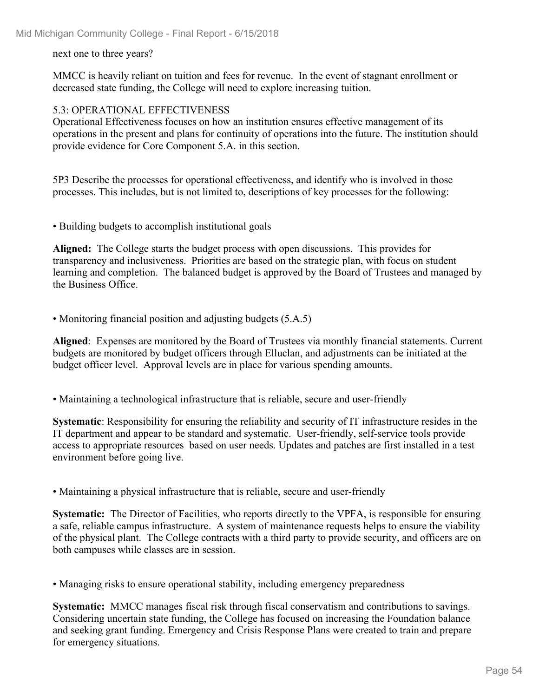next one to three years?

MMCC is heavily reliant on tuition and fees for revenue. In the event of stagnant enrollment or decreased state funding, the College will need to explore increasing tuition.

#### 5.3: OPERATIONAL EFFECTIVENESS

Operational Effectiveness focuses on how an institution ensures effective management of its operations in the present and plans for continuity of operations into the future. The institution should provide evidence for Core Component 5.A. in this section.

5P3 Describe the processes for operational effectiveness, and identify who is involved in those processes. This includes, but is not limited to, descriptions of key processes for the following:

• Building budgets to accomplish institutional goals

**Aligned:** The College starts the budget process with open discussions. This provides for transparency and inclusiveness. Priorities are based on the strategic plan, with focus on student learning and completion. The balanced budget is approved by the Board of Trustees and managed by the Business Office.

• Monitoring financial position and adjusting budgets (5.A.5)

**Aligned**: Expenses are monitored by the Board of Trustees via monthly financial statements. Current budgets are monitored by budget officers through Elluclan, and adjustments can be initiated at the budget officer level. Approval levels are in place for various spending amounts.

• Maintaining a technological infrastructure that is reliable, secure and user-friendly

**Systematic**: Responsibility for ensuring the reliability and security of IT infrastructure resides in the IT department and appear to be standard and systematic. User-friendly, self-service tools provide access to appropriate resources based on user needs. Updates and patches are first installed in a test environment before going live.

• Maintaining a physical infrastructure that is reliable, secure and user-friendly

**Systematic:** The Director of Facilities, who reports directly to the VPFA, is responsible for ensuring a safe, reliable campus infrastructure. A system of maintenance requests helps to ensure the viability of the physical plant. The College contracts with a third party to provide security, and officers are on both campuses while classes are in session.

• Managing risks to ensure operational stability, including emergency preparedness

**Systematic:** MMCC manages fiscal risk through fiscal conservatism and contributions to savings. Considering uncertain state funding, the College has focused on increasing the Foundation balance and seeking grant funding. Emergency and Crisis Response Plans were created to train and prepare for emergency situations.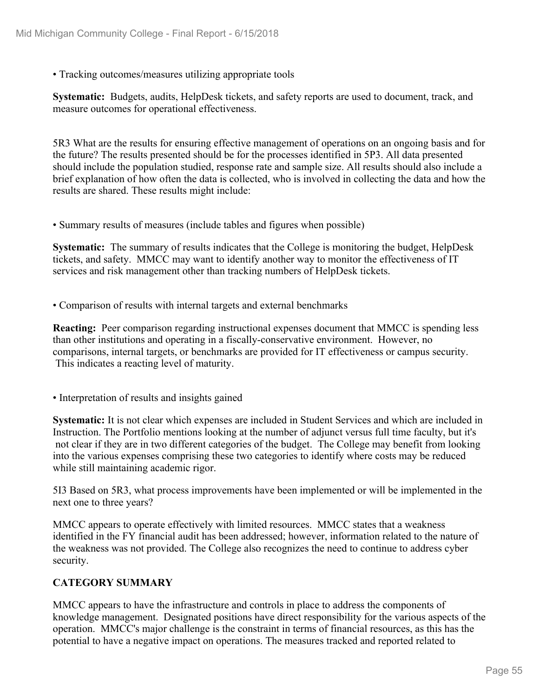• Tracking outcomes/measures utilizing appropriate tools

**Systematic:** Budgets, audits, HelpDesk tickets, and safety reports are used to document, track, and measure outcomes for operational effectiveness.

5R3 What are the results for ensuring effective management of operations on an ongoing basis and for the future? The results presented should be for the processes identified in 5P3. All data presented should include the population studied, response rate and sample size. All results should also include a brief explanation of how often the data is collected, who is involved in collecting the data and how the results are shared. These results might include:

• Summary results of measures (include tables and figures when possible)

**Systematic:** The summary of results indicates that the College is monitoring the budget, HelpDesk tickets, and safety. MMCC may want to identify another way to monitor the effectiveness of IT services and risk management other than tracking numbers of HelpDesk tickets.

• Comparison of results with internal targets and external benchmarks

**Reacting:** Peer comparison regarding instructional expenses document that MMCC is spending less than other institutions and operating in a fiscally-conservative environment. However, no comparisons, internal targets, or benchmarks are provided for IT effectiveness or campus security. This indicates a reacting level of maturity.

• Interpretation of results and insights gained

**Systematic:** It is not clear which expenses are included in Student Services and which are included in Instruction. The Portfolio mentions looking at the number of adjunct versus full time faculty, but it's not clear if they are in two different categories of the budget. The College may benefit from looking into the various expenses comprising these two categories to identify where costs may be reduced while still maintaining academic rigor.

5I3 Based on 5R3, what process improvements have been implemented or will be implemented in the next one to three years?

MMCC appears to operate effectively with limited resources. MMCC states that a weakness identified in the FY financial audit has been addressed; however, information related to the nature of the weakness was not provided. The College also recognizes the need to continue to address cyber security.

#### **CATEGORY SUMMARY**

MMCC appears to have the infrastructure and controls in place to address the components of knowledge management. Designated positions have direct responsibility for the various aspects of the operation. MMCC's major challenge is the constraint in terms of financial resources, as this has the potential to have a negative impact on operations. The measures tracked and reported related to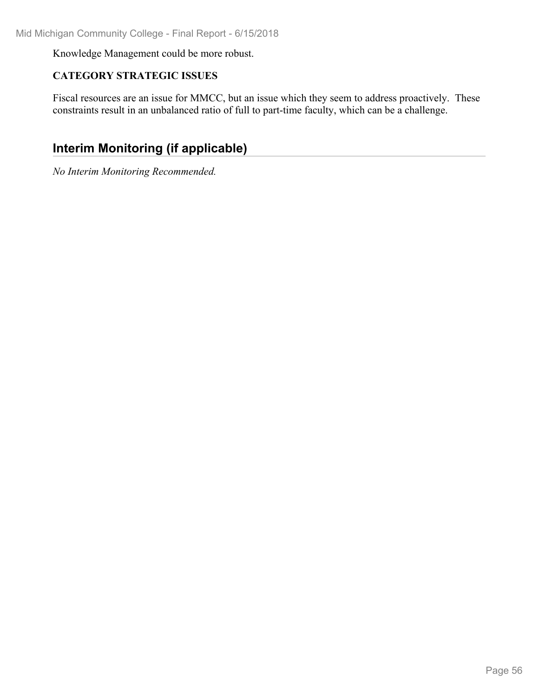Knowledge Management could be more robust.

#### **CATEGORY STRATEGIC ISSUES**

Fiscal resources are an issue for MMCC, but an issue which they seem to address proactively. These constraints result in an unbalanced ratio of full to part-time faculty, which can be a challenge.

### **Interim Monitoring (if applicable)**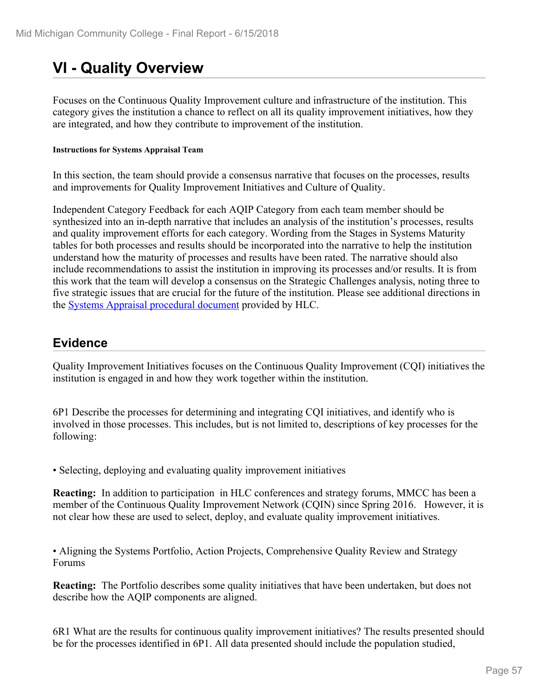# **VI - Quality Overview**

Focuses on the Continuous Quality Improvement culture and infrastructure of the institution. This category gives the institution a chance to reflect on all its quality improvement initiatives, how they are integrated, and how they contribute to improvement of the institution.

#### **Instructions for Systems Appraisal Team**

In this section, the team should provide a consensus narrative that focuses on the processes, results and improvements for Quality Improvement Initiatives and Culture of Quality.

Independent Category Feedback for each AQIP Category from each team member should be synthesized into an in-depth narrative that includes an analysis of the institution's processes, results and quality improvement efforts for each category. Wording from the Stages in Systems Maturity tables for both processes and results should be incorporated into the narrative to help the institution understand how the maturity of processes and results have been rated. The narrative should also include recommendations to assist the institution in improving its processes and/or results. It is from this work that the team will develop a consensus on the Strategic Challenges analysis, noting three to five strategic issues that are crucial for the future of the institution. Please see additional directions in the **Systems Appraisal procedural document** provided by HLC.

#### **Evidence**

Quality Improvement Initiatives focuses on the Continuous Quality Improvement (CQI) initiatives the institution is engaged in and how they work together within the institution.

6P1 Describe the processes for determining and integrating CQI initiatives, and identify who is involved in those processes. This includes, but is not limited to, descriptions of key processes for the following:

• Selecting, deploying and evaluating quality improvement initiatives

**Reacting:** In addition to participation in HLC conferences and strategy forums, MMCC has been a member of the Continuous Quality Improvement Network (CQIN) since Spring 2016. However, it is not clear how these are used to select, deploy, and evaluate quality improvement initiatives.

• Aligning the Systems Portfolio, Action Projects, Comprehensive Quality Review and Strategy Forums

**Reacting:** The Portfolio describes some quality initiatives that have been undertaken, but does not describe how the AQIP components are aligned.

6R1 What are the results for continuous quality improvement initiatives? The results presented should be for the processes identified in 6P1. All data presented should include the population studied,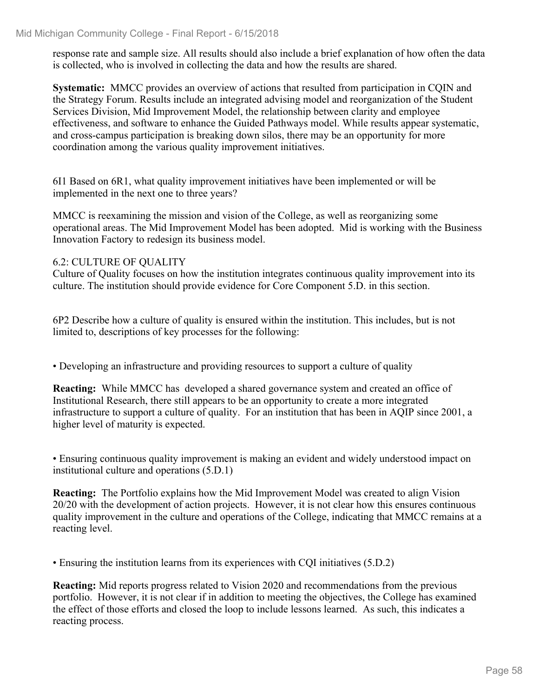response rate and sample size. All results should also include a brief explanation of how often the data is collected, who is involved in collecting the data and how the results are shared.

**Systematic:** MMCC provides an overview of actions that resulted from participation in CQIN and the Strategy Forum. Results include an integrated advising model and reorganization of the Student Services Division, Mid Improvement Model, the relationship between clarity and employee effectiveness, and software to enhance the Guided Pathways model. While results appear systematic, and cross-campus participation is breaking down silos, there may be an opportunity for more coordination among the various quality improvement initiatives.

6I1 Based on 6R1, what quality improvement initiatives have been implemented or will be implemented in the next one to three years?

MMCC is reexamining the mission and vision of the College, as well as reorganizing some operational areas. The Mid Improvement Model has been adopted. Mid is working with the Business Innovation Factory to redesign its business model.

#### 6.2: CULTURE OF QUALITY

Culture of Quality focuses on how the institution integrates continuous quality improvement into its culture. The institution should provide evidence for Core Component 5.D. in this section.

6P2 Describe how a culture of quality is ensured within the institution. This includes, but is not limited to, descriptions of key processes for the following:

• Developing an infrastructure and providing resources to support a culture of quality

**Reacting:** While MMCC has developed a shared governance system and created an office of Institutional Research, there still appears to be an opportunity to create a more integrated infrastructure to support a culture of quality. For an institution that has been in AQIP since 2001, a higher level of maturity is expected.

• Ensuring continuous quality improvement is making an evident and widely understood impact on institutional culture and operations (5.D.1)

**Reacting:** The Portfolio explains how the Mid Improvement Model was created to align Vision 20/20 with the development of action projects. However, it is not clear how this ensures continuous quality improvement in the culture and operations of the College, indicating that MMCC remains at a reacting level.

• Ensuring the institution learns from its experiences with CQI initiatives (5.D.2)

**Reacting:** Mid reports progress related to Vision 2020 and recommendations from the previous portfolio. However, it is not clear if in addition to meeting the objectives, the College has examined the effect of those efforts and closed the loop to include lessons learned. As such, this indicates a reacting process.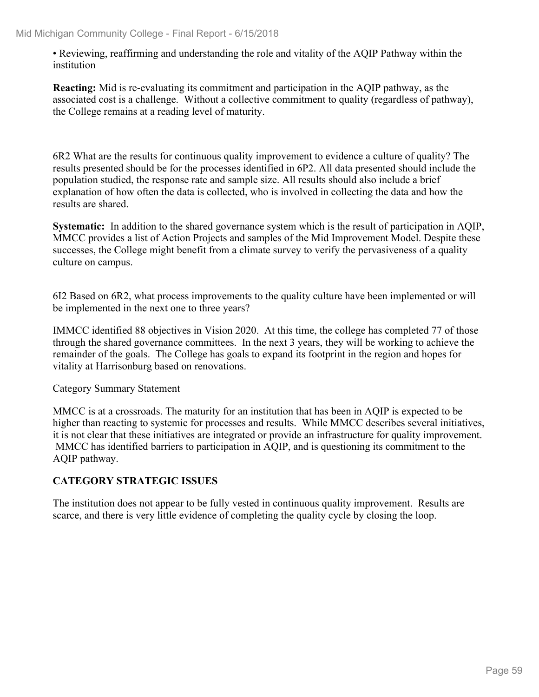• Reviewing, reaffirming and understanding the role and vitality of the AQIP Pathway within the institution

**Reacting:** Mid is re-evaluating its commitment and participation in the AQIP pathway, as the associated cost is a challenge. Without a collective commitment to quality (regardless of pathway), the College remains at a reading level of maturity.

6R2 What are the results for continuous quality improvement to evidence a culture of quality? The results presented should be for the processes identified in 6P2. All data presented should include the population studied, the response rate and sample size. All results should also include a brief explanation of how often the data is collected, who is involved in collecting the data and how the results are shared.

**Systematic:** In addition to the shared governance system which is the result of participation in AQIP, MMCC provides a list of Action Projects and samples of the Mid Improvement Model. Despite these successes, the College might benefit from a climate survey to verify the pervasiveness of a quality culture on campus.

6I2 Based on 6R2, what process improvements to the quality culture have been implemented or will be implemented in the next one to three years?

IMMCC identified 88 objectives in Vision 2020. At this time, the college has completed 77 of those through the shared governance committees. In the next 3 years, they will be working to achieve the remainder of the goals. The College has goals to expand its footprint in the region and hopes for vitality at Harrisonburg based on renovations.

Category Summary Statement

MMCC is at a crossroads. The maturity for an institution that has been in AQIP is expected to be higher than reacting to systemic for processes and results. While MMCC describes several initiatives, it is not clear that these initiatives are integrated or provide an infrastructure for quality improvement. MMCC has identified barriers to participation in AQIP, and is questioning its commitment to the AQIP pathway.

#### **CATEGORY STRATEGIC ISSUES**

The institution does not appear to be fully vested in continuous quality improvement. Results are scarce, and there is very little evidence of completing the quality cycle by closing the loop.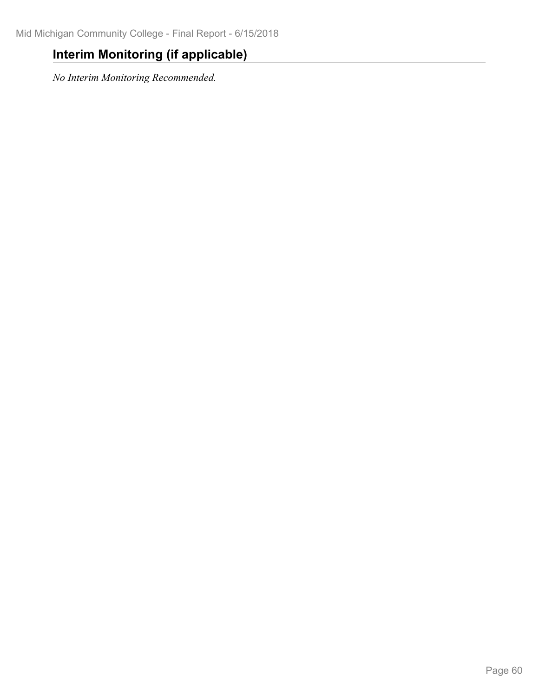### **Interim Monitoring (if applicable)**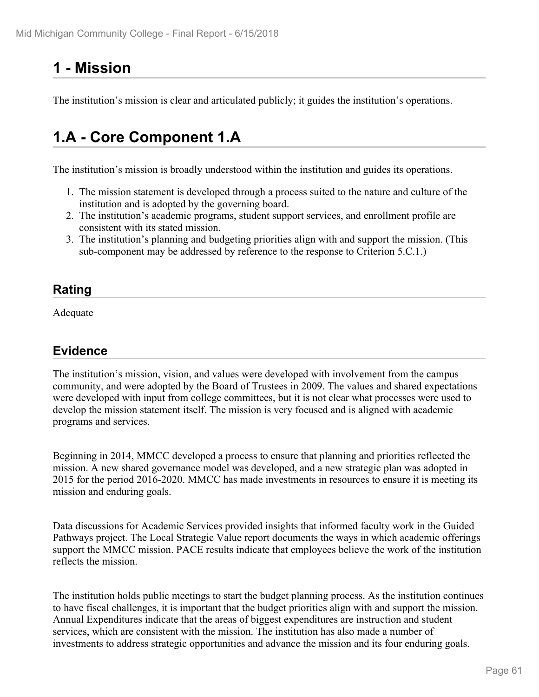# **1 - Mission**

The institution's mission is clear and articulated publicly; it guides the institution's operations.

# **1.A - Core Component 1.A**

The institution's mission is broadly understood within the institution and guides its operations.

- 1. The mission statement is developed through a process suited to the nature and culture of the institution and is adopted by the governing board.
- 2. The institution's academic programs, student support services, and enrollment profile are consistent with its stated mission.
- 3. The institution's planning and budgeting priorities align with and support the mission. (This sub-component may be addressed by reference to the response to Criterion 5.C.1.)

### **Rating**

Adequate

#### **Evidence**

The institution's mission, vision, and values were developed with involvement from the campus community, and were adopted by the Board of Trustees in 2009. The values and shared expectations were developed with input from college committees, but it is not clear what processes were used to develop the mission statement itself. The mission is very focused and is aligned with academic programs and services.

Beginning in 2014, MMCC developed a process to ensure that planning and priorities reflected the mission. A new shared governance model was developed, and a new strategic plan was adopted in 2015 for the period 2016-2020. MMCC has made investments in resources to ensure it is meeting its mission and enduring goals.

Data discussions for Academic Services provided insights that informed faculty work in the Guided Pathways project. The Local Strategic Value report documents the ways in which academic offerings support the MMCC mission. PACE results indicate that employees believe the work of the institution reflects the mission.

The institution holds public meetings to start the budget planning process. As the institution continues to have fiscal challenges, it is important that the budget priorities align with and support the mission. Annual Expenditures indicate that the areas of biggest expenditures are instruction and student services, which are consistent with the mission. The institution has also made a number of investments to address strategic opportunities and advance the mission and its four enduring goals.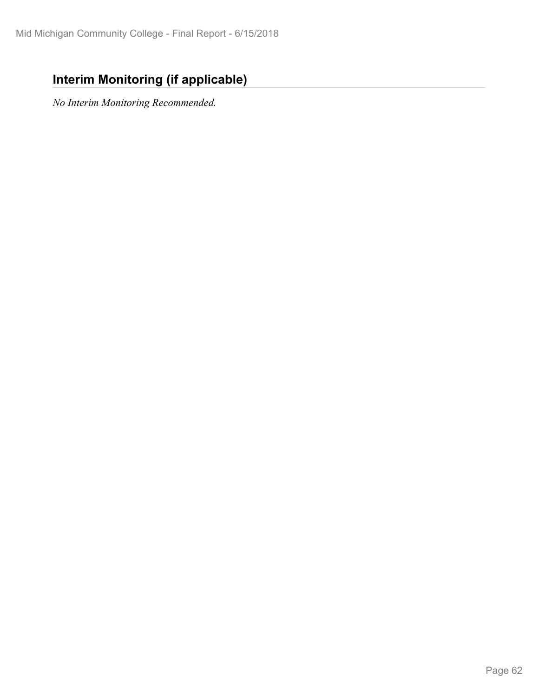### **Interim Monitoring (if applicable)**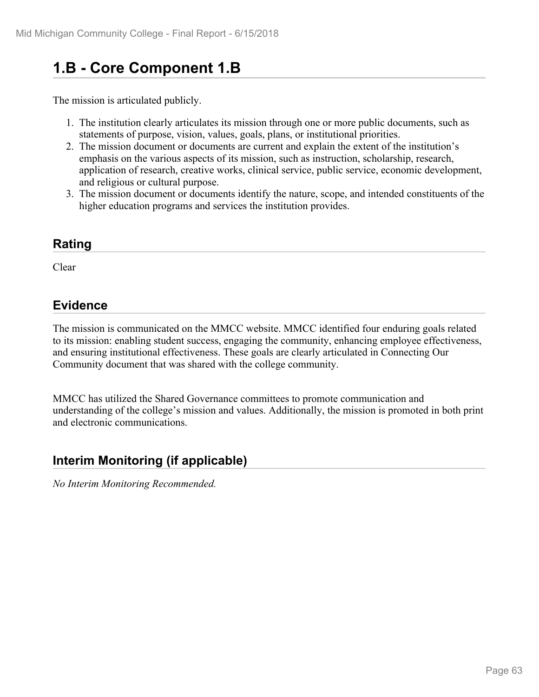# **1.B - Core Component 1.B**

The mission is articulated publicly.

- 1. The institution clearly articulates its mission through one or more public documents, such as statements of purpose, vision, values, goals, plans, or institutional priorities.
- 2. The mission document or documents are current and explain the extent of the institution's emphasis on the various aspects of its mission, such as instruction, scholarship, research, application of research, creative works, clinical service, public service, economic development, and religious or cultural purpose.
- 3. The mission document or documents identify the nature, scope, and intended constituents of the higher education programs and services the institution provides.

### **Rating**

Clear

### **Evidence**

The mission is communicated on the MMCC website. MMCC identified four enduring goals related to its mission: enabling student success, engaging the community, enhancing employee effectiveness, and ensuring institutional effectiveness. These goals are clearly articulated in Connecting Our Community document that was shared with the college community.

MMCC has utilized the Shared Governance committees to promote communication and understanding of the college's mission and values. Additionally, the mission is promoted in both print and electronic communications.

### **Interim Monitoring (if applicable)**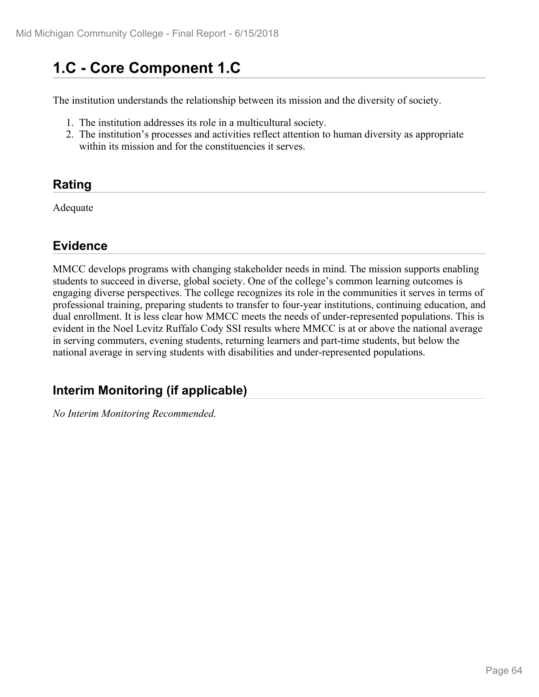# **1.C - Core Component 1.C**

The institution understands the relationship between its mission and the diversity of society.

- 1. The institution addresses its role in a multicultural society.
- 2. The institution's processes and activities reflect attention to human diversity as appropriate within its mission and for the constituencies it serves.

### **Rating**

Adequate

#### **Evidence**

MMCC develops programs with changing stakeholder needs in mind. The mission supports enabling students to succeed in diverse, global society. One of the college's common learning outcomes is engaging diverse perspectives. The college recognizes its role in the communities it serves in terms of professional training, preparing students to transfer to four-year institutions, continuing education, and dual enrollment. It is less clear how MMCC meets the needs of under-represented populations. This is evident in the Noel Levitz Ruffalo Cody SSI results where MMCC is at or above the national average in serving commuters, evening students, returning learners and part-time students, but below the national average in serving students with disabilities and under-represented populations.

### **Interim Monitoring (if applicable)**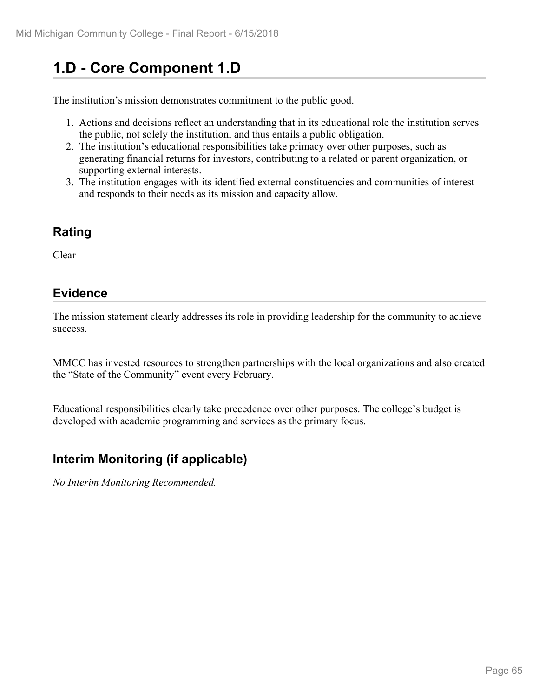# **1.D - Core Component 1.D**

The institution's mission demonstrates commitment to the public good.

- 1. Actions and decisions reflect an understanding that in its educational role the institution serves the public, not solely the institution, and thus entails a public obligation.
- 2. The institution's educational responsibilities take primacy over other purposes, such as generating financial returns for investors, contributing to a related or parent organization, or supporting external interests.
- 3. The institution engages with its identified external constituencies and communities of interest and responds to their needs as its mission and capacity allow.

#### **Rating**

Clear

#### **Evidence**

The mission statement clearly addresses its role in providing leadership for the community to achieve success.

MMCC has invested resources to strengthen partnerships with the local organizations and also created the "State of the Community" event every February.

Educational responsibilities clearly take precedence over other purposes. The college's budget is developed with academic programming and services as the primary focus.

#### **Interim Monitoring (if applicable)**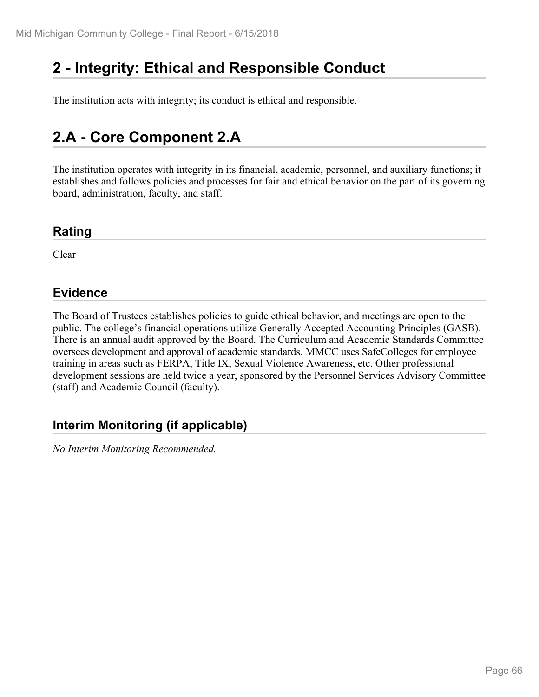# **2 - Integrity: Ethical and Responsible Conduct**

The institution acts with integrity; its conduct is ethical and responsible.

# **2.A - Core Component 2.A**

The institution operates with integrity in its financial, academic, personnel, and auxiliary functions; it establishes and follows policies and processes for fair and ethical behavior on the part of its governing board, administration, faculty, and staff.

#### **Rating**

Clear

#### **Evidence**

The Board of Trustees establishes policies to guide ethical behavior, and meetings are open to the public. The college's financial operations utilize Generally Accepted Accounting Principles (GASB). There is an annual audit approved by the Board. The Curriculum and Academic Standards Committee oversees development and approval of academic standards. MMCC uses SafeColleges for employee training in areas such as FERPA, Title IX, Sexual Violence Awareness, etc. Other professional development sessions are held twice a year, sponsored by the Personnel Services Advisory Committee (staff) and Academic Council (faculty).

### **Interim Monitoring (if applicable)**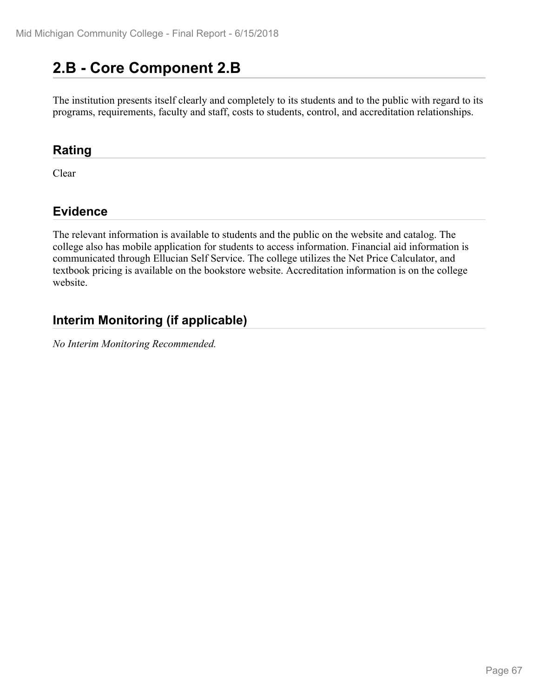# **2.B - Core Component 2.B**

The institution presents itself clearly and completely to its students and to the public with regard to its programs, requirements, faculty and staff, costs to students, control, and accreditation relationships.

#### **Rating**

Clear

### **Evidence**

The relevant information is available to students and the public on the website and catalog. The college also has mobile application for students to access information. Financial aid information is communicated through Ellucian Self Service. The college utilizes the Net Price Calculator, and textbook pricing is available on the bookstore website. Accreditation information is on the college website.

### **Interim Monitoring (if applicable)**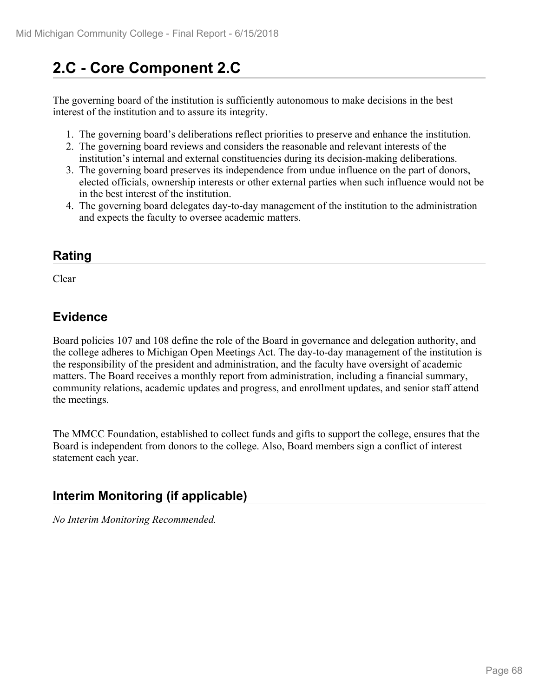# **2.C - Core Component 2.C**

The governing board of the institution is sufficiently autonomous to make decisions in the best interest of the institution and to assure its integrity.

- 1. The governing board's deliberations reflect priorities to preserve and enhance the institution.
- 2. The governing board reviews and considers the reasonable and relevant interests of the institution's internal and external constituencies during its decision-making deliberations.
- 3. The governing board preserves its independence from undue influence on the part of donors, elected officials, ownership interests or other external parties when such influence would not be in the best interest of the institution.
- 4. The governing board delegates day-to-day management of the institution to the administration and expects the faculty to oversee academic matters.

#### **Rating**

Clear and the contract of the contract of the contract of the contract of the contract of the contract of the contract of the contract of the contract of the contract of the contract of the contract of the contract of the

#### **Evidence**

Board policies 107 and 108 define the role of the Board in governance and delegation authority, and the college adheres to Michigan Open Meetings Act. The day-to-day management of the institution is the responsibility of the president and administration, and the faculty have oversight of academic matters. The Board receives a monthly report from administration, including a financial summary, community relations, academic updates and progress, and enrollment updates, and senior staff attend the meetings.

The MMCC Foundation, established to collect funds and gifts to support the college, ensures that the Board is independent from donors to the college. Also, Board members sign a conflict of interest statement each year.

### **Interim Monitoring (if applicable)**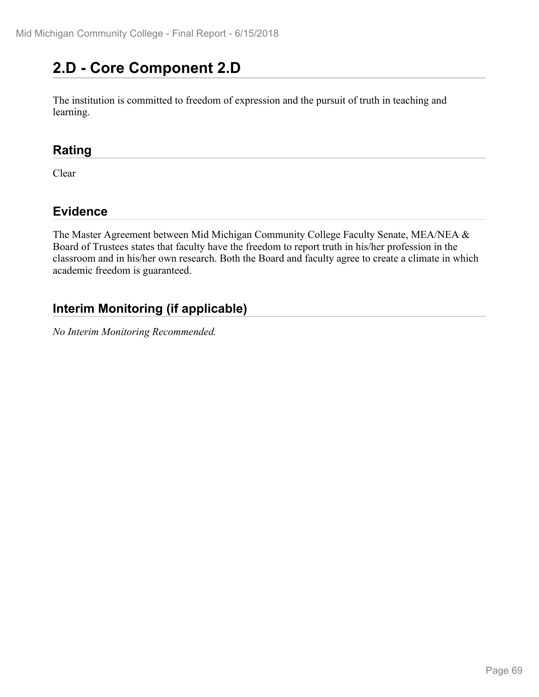# **2.D - Core Component 2.D**

The institution is committed to freedom of expression and the pursuit of truth in teaching and learning.

#### **Rating**

Clear

### **Evidence**

The Master Agreement between Mid Michigan Community College Faculty Senate, MEA/NEA & Board of Trustees states that faculty have the freedom to report truth in his/her profession in the classroom and in his/her own research. Both the Board and faculty agree to create a climate in which academic freedom is guaranteed.

### **Interim Monitoring (if applicable)**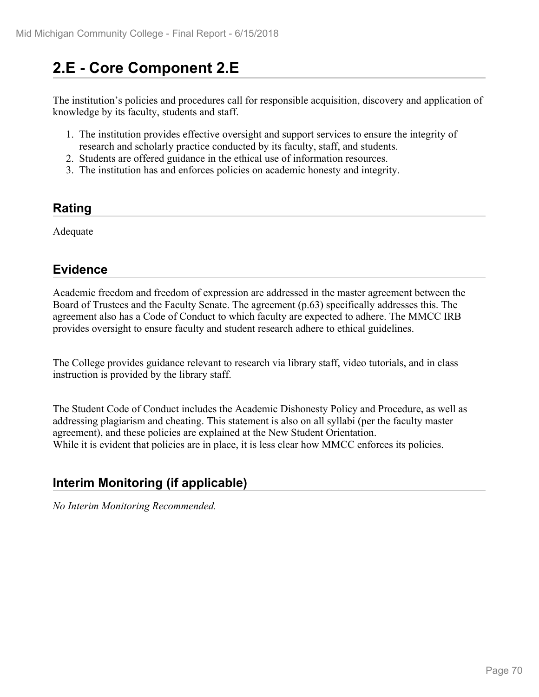# **2.E - Core Component 2.E**

The institution's policies and procedures call for responsible acquisition, discovery and application of knowledge by its faculty, students and staff.

- 1. The institution provides effective oversight and support services to ensure the integrity of research and scholarly practice conducted by its faculty, staff, and students.
- 2. Students are offered guidance in the ethical use of information resources.
- 3. The institution has and enforces policies on academic honesty and integrity.

#### **Rating**

Adequate

### **Evidence**

Academic freedom and freedom of expression are addressed in the master agreement between the Board of Trustees and the Faculty Senate. The agreement (p.63) specifically addresses this. The agreement also has a Code of Conduct to which faculty are expected to adhere. The MMCC IRB provides oversight to ensure faculty and student research adhere to ethical guidelines.

The College provides guidance relevant to research via library staff, video tutorials, and in class instruction is provided by the library staff.

The Student Code of Conduct includes the Academic Dishonesty Policy and Procedure, as well as addressing plagiarism and cheating. This statement is also on all syllabi (per the faculty master agreement), and these policies are explained at the New Student Orientation. While it is evident that policies are in place, it is less clear how MMCC enforces its policies.

### **Interim Monitoring (if applicable)**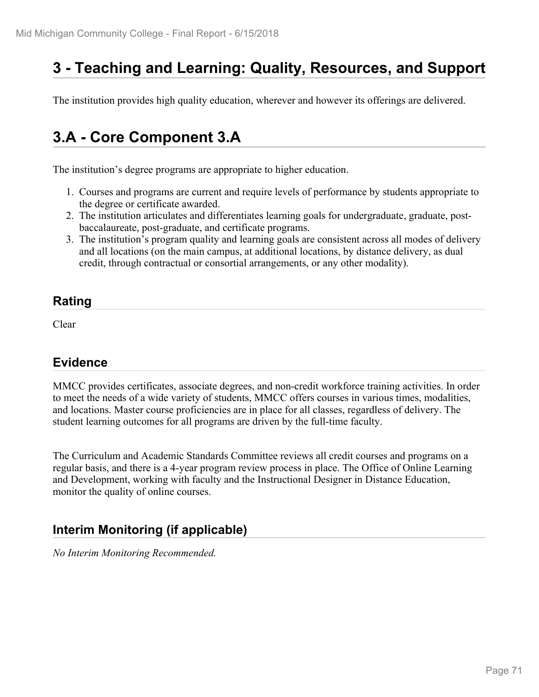# **3 - Teaching and Learning: Quality, Resources, and Support**

The institution provides high quality education, wherever and however its offerings are delivered.

# **3.A - Core Component 3.A**

The institution's degree programs are appropriate to higher education.

- 1. Courses and programs are current and require levels of performance by students appropriate to the degree or certificate awarded.
- 2. The institution articulates and differentiates learning goals for undergraduate, graduate, postbaccalaureate, post-graduate, and certificate programs.
- 3. The institution's program quality and learning goals are consistent across all modes of delivery and all locations (on the main campus, at additional locations, by distance delivery, as dual credit, through contractual or consortial arrangements, or any other modality).

#### **Rating**

Clear

### **Evidence**

MMCC provides certificates, associate degrees, and non-credit workforce training activities. In order to meet the needs of a wide variety of students, MMCC offers courses in various times, modalities, and locations. Master course proficiencies are in place for all classes, regardless of delivery. The student learning outcomes for all programs are driven by the full-time faculty.

The Curriculum and Academic Standards Committee reviews all credit courses and programs on a regular basis, and there is a 4-year program review process in place. The Office of Online Learning and Development, working with faculty and the Instructional Designer in Distance Education, monitor the quality of online courses.

### **Interim Monitoring (if applicable)**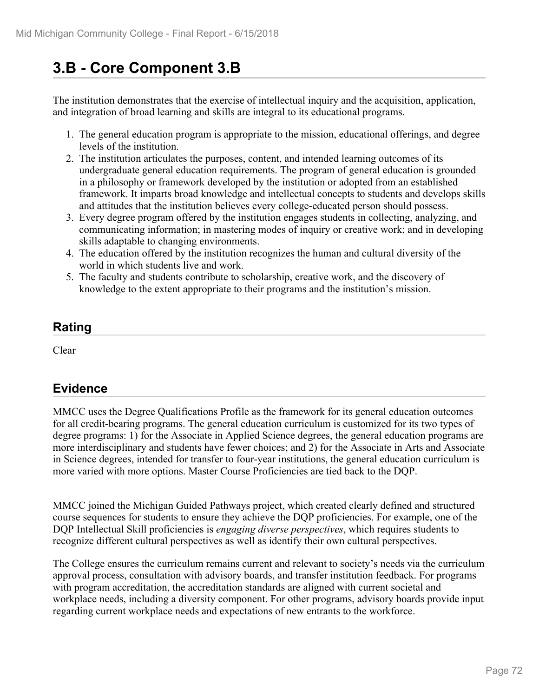# **3.B - Core Component 3.B**

The institution demonstrates that the exercise of intellectual inquiry and the acquisition, application, and integration of broad learning and skills are integral to its educational programs.

- 1. The general education program is appropriate to the mission, educational offerings, and degree levels of the institution.
- 2. The institution articulates the purposes, content, and intended learning outcomes of its undergraduate general education requirements. The program of general education is grounded in a philosophy or framework developed by the institution or adopted from an established framework. It imparts broad knowledge and intellectual concepts to students and develops skills and attitudes that the institution believes every college-educated person should possess.
- 3. Every degree program offered by the institution engages students in collecting, analyzing, and communicating information; in mastering modes of inquiry or creative work; and in developing skills adaptable to changing environments.
- 4. The education offered by the institution recognizes the human and cultural diversity of the world in which students live and work.
- 5. The faculty and students contribute to scholarship, creative work, and the discovery of knowledge to the extent appropriate to their programs and the institution's mission.

### **Rating**

Clear

### **Evidence**

MMCC uses the Degree Qualifications Profile as the framework for its general education outcomes for all credit-bearing programs. The general education curriculum is customized for its two types of degree programs: 1) for the Associate in Applied Science degrees, the general education programs are more interdisciplinary and students have fewer choices; and 2) for the Associate in Arts and Associate in Science degrees, intended for transfer to four-year institutions, the general education curriculum is more varied with more options. Master Course Proficiencies are tied back to the DQP.

MMCC joined the Michigan Guided Pathways project, which created clearly defined and structured course sequences for students to ensure they achieve the DQP proficiencies. For example, one of the DQP Intellectual Skill proficiencies is *engaging diverse perspectives*, which requires students to recognize different cultural perspectives as well as identify their own cultural perspectives.

The College ensures the curriculum remains current and relevant to society's needs via the curriculum approval process, consultation with advisory boards, and transfer institution feedback. For programs with program accreditation, the accreditation standards are aligned with current societal and workplace needs, including a diversity component. For other programs, advisory boards provide input regarding current workplace needs and expectations of new entrants to the workforce.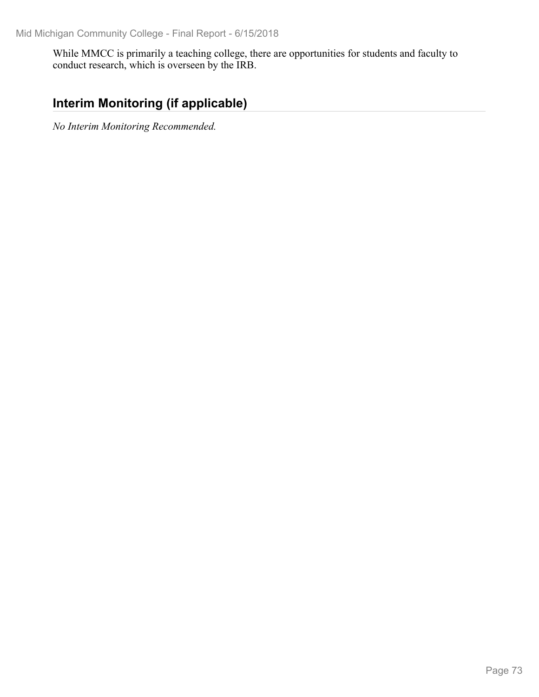While MMCC is primarily a teaching college, there are opportunities for students and faculty to conduct research, which is overseen by the IRB.

## **Interim Monitoring (if applicable)**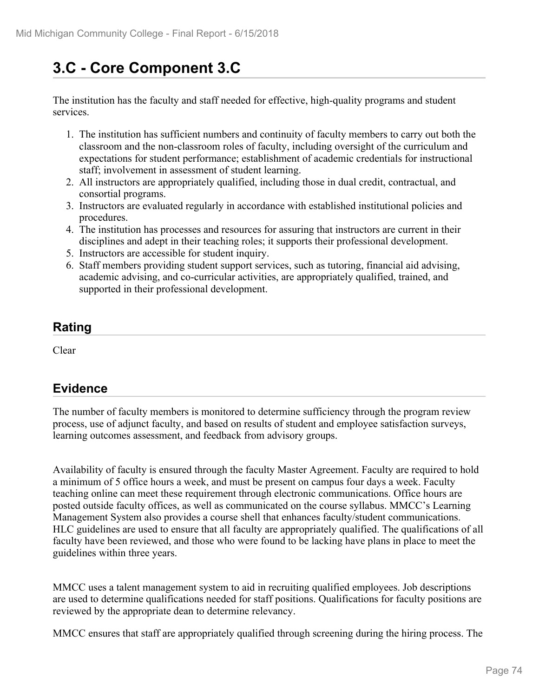# **3.C - Core Component 3.C**

The institution has the faculty and staff needed for effective, high-quality programs and student services.

- 1. The institution has sufficient numbers and continuity of faculty members to carry out both the classroom and the non-classroom roles of faculty, including oversight of the curriculum and expectations for student performance; establishment of academic credentials for instructional staff; involvement in assessment of student learning.
- 2. All instructors are appropriately qualified, including those in dual credit, contractual, and consortial programs.
- 3. Instructors are evaluated regularly in accordance with established institutional policies and procedures.
- 4. The institution has processes and resources for assuring that instructors are current in their disciplines and adept in their teaching roles; it supports their professional development.
- 5. Instructors are accessible for student inquiry.
- 6. Staff members providing student support services, such as tutoring, financial aid advising, academic advising, and co-curricular activities, are appropriately qualified, trained, and supported in their professional development.

### **Rating**

Clear

## **Evidence**

The number of faculty members is monitored to determine sufficiency through the program review process, use of adjunct faculty, and based on results of student and employee satisfaction surveys, learning outcomes assessment, and feedback from advisory groups.

Availability of faculty is ensured through the faculty Master Agreement. Faculty are required to hold a minimum of 5 office hours a week, and must be present on campus four days a week. Faculty teaching online can meet these requirement through electronic communications. Office hours are posted outside faculty offices, as well as communicated on the course syllabus. MMCC's Learning Management System also provides a course shell that enhances faculty/student communications. HLC guidelines are used to ensure that all faculty are appropriately qualified. The qualifications of all faculty have been reviewed, and those who were found to be lacking have plans in place to meet the guidelines within three years.

MMCC uses a talent management system to aid in recruiting qualified employees. Job descriptions are used to determine qualifications needed for staff positions. Qualifications for faculty positions are reviewed by the appropriate dean to determine relevancy.

MMCC ensures that staff are appropriately qualified through screening during the hiring process. The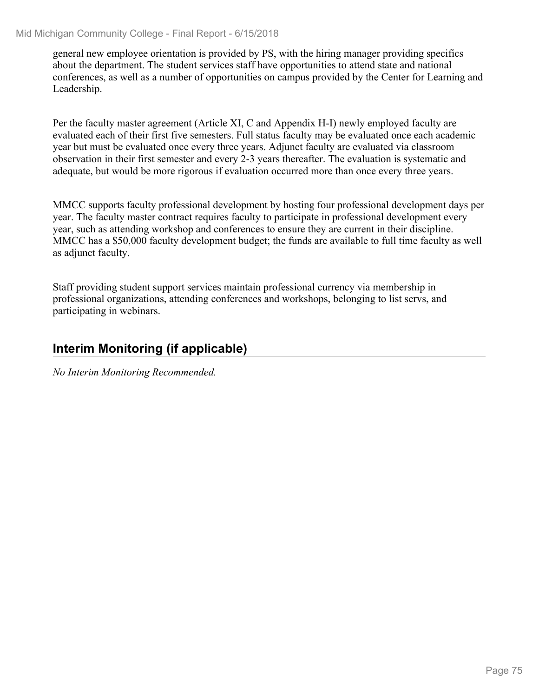general new employee orientation is provided by PS, with the hiring manager providing specifics about the department. The student services staff have opportunities to attend state and national conferences, as well as a number of opportunities on campus provided by the Center for Learning and Leadership.

Per the faculty master agreement (Article XI, C and Appendix H-I) newly employed faculty are evaluated each of their first five semesters. Full status faculty may be evaluated once each academic year but must be evaluated once every three years. Adjunct faculty are evaluated via classroom observation in their first semester and every 2-3 years thereafter. The evaluation is systematic and adequate, but would be more rigorous if evaluation occurred more than once every three years.

MMCC supports faculty professional development by hosting four professional development days per year. The faculty master contract requires faculty to participate in professional development every year, such as attending workshop and conferences to ensure they are current in their discipline. MMCC has a \$50,000 faculty development budget; the funds are available to full time faculty as well as adjunct faculty.

Staff providing student support services maintain professional currency via membership in professional organizations, attending conferences and workshops, belonging to list servs, and participating in webinars.

#### **Interim Monitoring (if applicable)**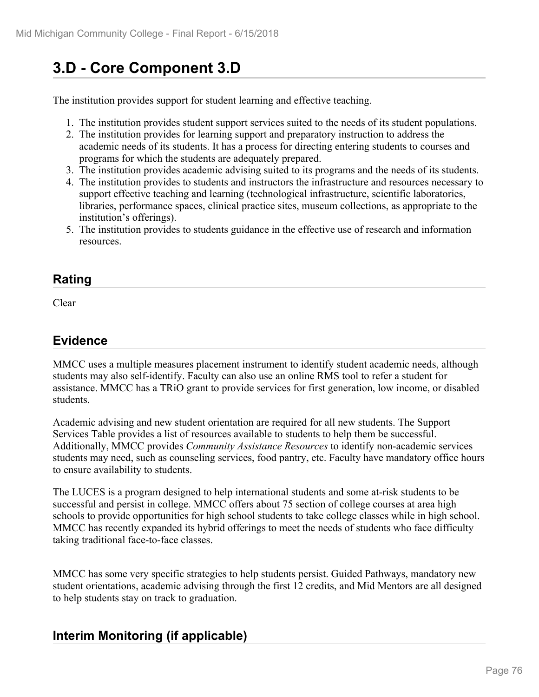# **3.D - Core Component 3.D**

The institution provides support for student learning and effective teaching.

- 1. The institution provides student support services suited to the needs of its student populations.
- 2. The institution provides for learning support and preparatory instruction to address the academic needs of its students. It has a process for directing entering students to courses and programs for which the students are adequately prepared.
- 3. The institution provides academic advising suited to its programs and the needs of its students.
- 4. The institution provides to students and instructors the infrastructure and resources necessary to support effective teaching and learning (technological infrastructure, scientific laboratories, libraries, performance spaces, clinical practice sites, museum collections, as appropriate to the institution's offerings).
- 5. The institution provides to students guidance in the effective use of research and information resources.

#### **Rating**

Clear

## **Evidence**

MMCC uses a multiple measures placement instrument to identify student academic needs, although students may also self-identify. Faculty can also use an online RMS tool to refer a student for assistance. MMCC has a TRiO grant to provide services for first generation, low income, or disabled students.

Academic advising and new student orientation are required for all new students. The Support Services Table provides a list of resources available to students to help them be successful. Additionally, MMCC provides *Community Assistance Resources* to identify non-academic services students may need, such as counseling services, food pantry, etc. Faculty have mandatory office hours to ensure availability to students.

The LUCES is a program designed to help international students and some at-risk students to be successful and persist in college. MMCC offers about 75 section of college courses at area high schools to provide opportunities for high school students to take college classes while in high school. MMCC has recently expanded its hybrid offerings to meet the needs of students who face difficulty taking traditional face-to-face classes.

MMCC has some very specific strategies to help students persist. Guided Pathways, mandatory new student orientations, academic advising through the first 12 credits, and Mid Mentors are all designed to help students stay on track to graduation.

## **Interim Monitoring (if applicable)**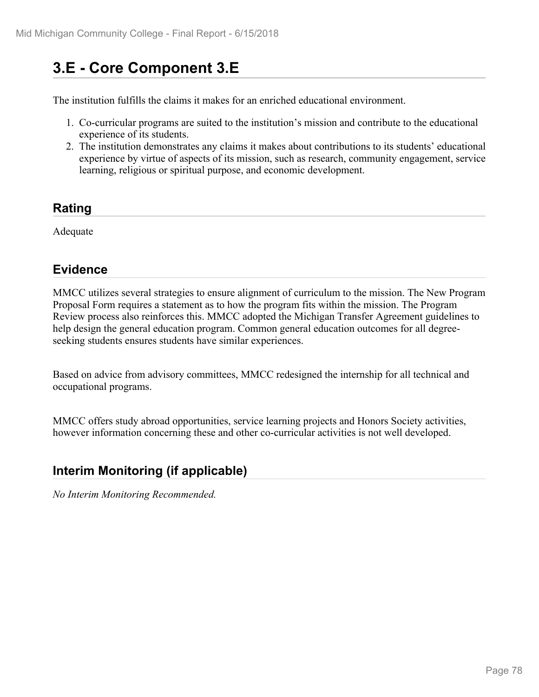## **3.E - Core Component 3.E**

The institution fulfills the claims it makes for an enriched educational environment.

- 1. Co-curricular programs are suited to the institution's mission and contribute to the educational experience of its students.
- 2. The institution demonstrates any claims it makes about contributions to its students' educational experience by virtue of aspects of its mission, such as research, community engagement, service learning, religious or spiritual purpose, and economic development.

#### **Rating**

Adequate

## **Evidence**

MMCC utilizes several strategies to ensure alignment of curriculum to the mission. The New Program Proposal Form requires a statement as to how the program fits within the mission. The Program Review process also reinforces this. MMCC adopted the Michigan Transfer Agreement guidelines to help design the general education program. Common general education outcomes for all degreeseeking students ensures students have similar experiences.

Based on advice from advisory committees, MMCC redesigned the internship for all technical and occupational programs.

MMCC offers study abroad opportunities, service learning projects and Honors Society activities, however information concerning these and other co-curricular activities is not well developed.

## **Interim Monitoring (if applicable)**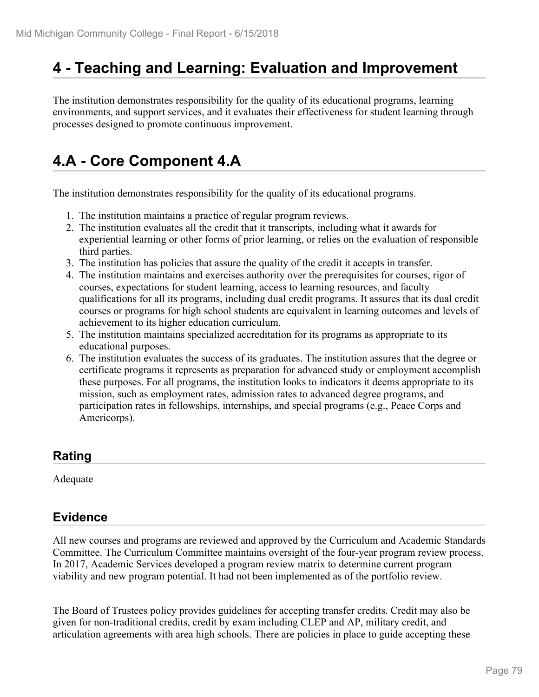## **4 - Teaching and Learning: Evaluation and Improvement**

The institution demonstrates responsibility for the quality of its educational programs, learning environments, and support services, and it evaluates their effectiveness for student learning through processes designed to promote continuous improvement.

# **4.A - Core Component 4.A**

The institution demonstrates responsibility for the quality of its educational programs.

- 1. The institution maintains a practice of regular program reviews.
- 2. The institution evaluates all the credit that it transcripts, including what it awards for experiential learning or other forms of prior learning, or relies on the evaluation of responsible third parties.
- 3. The institution has policies that assure the quality of the credit it accepts in transfer.
- 4. The institution maintains and exercises authority over the prerequisites for courses, rigor of courses, expectations for student learning, access to learning resources, and faculty qualifications for all its programs, including dual credit programs. It assures that its dual credit courses or programs for high school students are equivalent in learning outcomes and levels of achievement to its higher education curriculum.
- 5. The institution maintains specialized accreditation for its programs as appropriate to its educational purposes.
- 6. The institution evaluates the success of its graduates. The institution assures that the degree or certificate programs it represents as preparation for advanced study or employment accomplish these purposes. For all programs, the institution looks to indicators it deems appropriate to its mission, such as employment rates, admission rates to advanced degree programs, and participation rates in fellowships, internships, and special programs (e.g., Peace Corps and Americorps).

#### **Rating**

Adequate

#### **Evidence**

All new courses and programs are reviewed and approved by the Curriculum and Academic Standards Committee. The Curriculum Committee maintains oversight of the four-year program review process. In 2017, Academic Services developed a program review matrix to determine current program viability and new program potential. It had not been implemented as of the portfolio review.

The Board of Trustees policy provides guidelines for accepting transfer credits. Credit may also be given for non-traditional credits, credit by exam including CLEP and AP, military credit, and articulation agreements with area high schools. There are policies in place to guide accepting these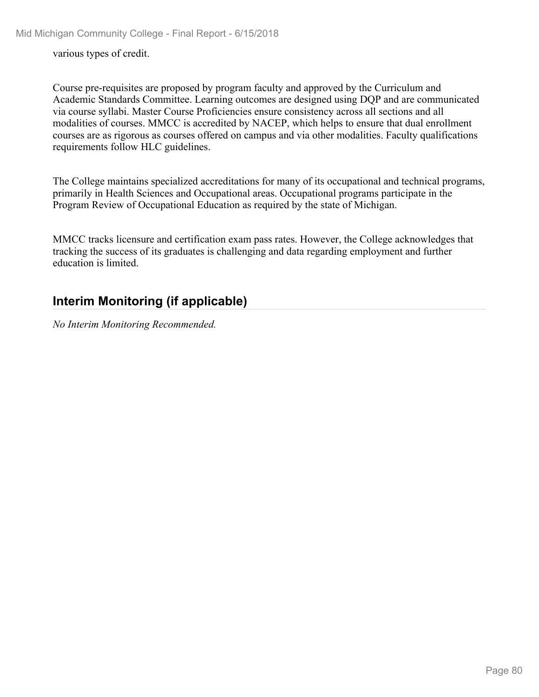various types of credit.

Course pre-requisites are proposed by program faculty and approved by the Curriculum and Academic Standards Committee. Learning outcomes are designed using DQP and are communicated via course syllabi. Master Course Proficiencies ensure consistency across all sections and all modalities of courses. MMCC is accredited by NACEP, which helps to ensure that dual enrollment courses are as rigorous as courses offered on campus and via other modalities. Faculty qualifications requirements follow HLC guidelines.

The College maintains specialized accreditations for many of its occupational and technical programs, primarily in Health Sciences and Occupational areas. Occupational programs participate in the Program Review of Occupational Education as required by the state of Michigan.

MMCC tracks licensure and certification exam pass rates. However, the College acknowledges that tracking the success of its graduates is challenging and data regarding employment and further education is limited.

### **Interim Monitoring (if applicable)**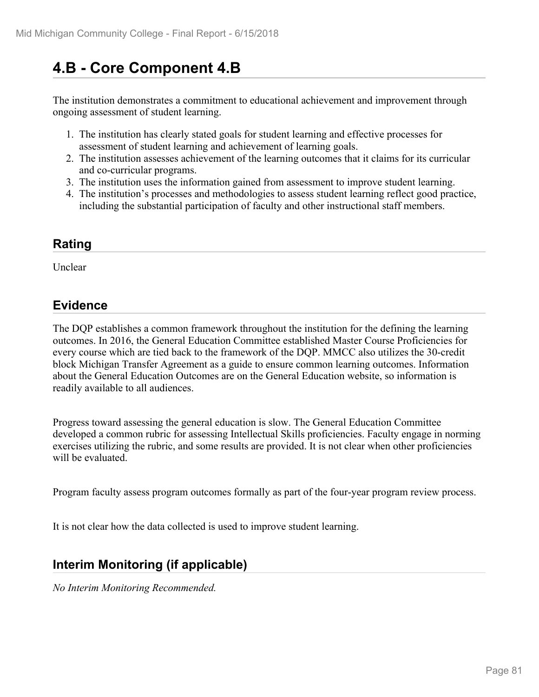## **4.B - Core Component 4.B**

The institution demonstrates a commitment to educational achievement and improvement through ongoing assessment of student learning.

- 1. The institution has clearly stated goals for student learning and effective processes for assessment of student learning and achievement of learning goals.
- 2. The institution assesses achievement of the learning outcomes that it claims for its curricular and co-curricular programs.
- 3. The institution uses the information gained from assessment to improve student learning.
- 4. The institution's processes and methodologies to assess student learning reflect good practice, including the substantial participation of faculty and other instructional staff members.

## **Rating**

Unclear

## **Evidence**

The DQP establishes a common framework throughout the institution for the defining the learning outcomes. In 2016, the General Education Committee established Master Course Proficiencies for every course which are tied back to the framework of the DQP. MMCC also utilizes the 30-credit block Michigan Transfer Agreement as a guide to ensure common learning outcomes. Information about the General Education Outcomes are on the General Education website, so information is readily available to all audiences.

Progress toward assessing the general education is slow. The General Education Committee developed a common rubric for assessing Intellectual Skills proficiencies. Faculty engage in norming exercises utilizing the rubric, and some results are provided. It is not clear when other proficiencies will be evaluated.

Program faculty assess program outcomes formally as part of the four-year program review process.

It is not clear how the data collected is used to improve student learning.

## **Interim Monitoring (if applicable)**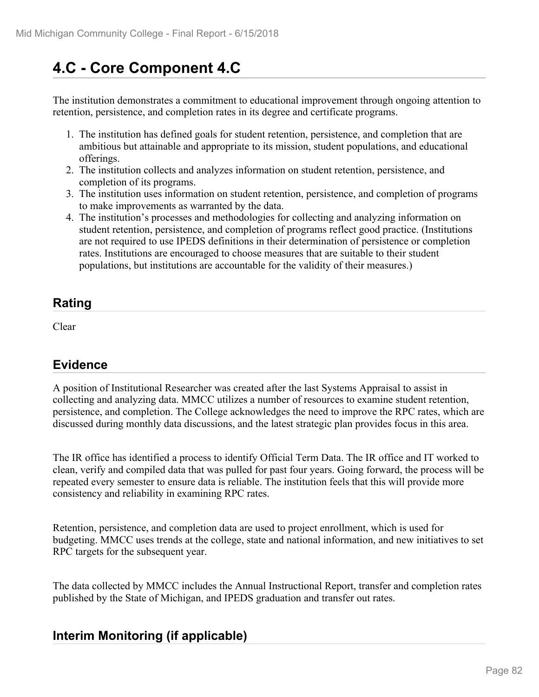# **4.C - Core Component 4.C**

The institution demonstrates a commitment to educational improvement through ongoing attention to retention, persistence, and completion rates in its degree and certificate programs.

- 1. The institution has defined goals for student retention, persistence, and completion that are ambitious but attainable and appropriate to its mission, student populations, and educational offerings.
- 2. The institution collects and analyzes information on student retention, persistence, and completion of its programs.
- 3. The institution uses information on student retention, persistence, and completion of programs to make improvements as warranted by the data.
- 4. The institution's processes and methodologies for collecting and analyzing information on student retention, persistence, and completion of programs reflect good practice. (Institutions are not required to use IPEDS definitions in their determination of persistence or completion rates. Institutions are encouraged to choose measures that are suitable to their student populations, but institutions are accountable for the validity of their measures.)

## **Rating**

Clear

## **Evidence**

A position of Institutional Researcher was created after the last Systems Appraisal to assist in collecting and analyzing data. MMCC utilizes a number of resources to examine student retention, persistence, and completion. The College acknowledges the need to improve the RPC rates, which are discussed during monthly data discussions, and the latest strategic plan provides focus in this area.

The IR office has identified a process to identify Official Term Data. The IR office and IT worked to clean, verify and compiled data that was pulled for past four years. Going forward, the process will be repeated every semester to ensure data is reliable. The institution feels that this will provide more consistency and reliability in examining RPC rates.

Retention, persistence, and completion data are used to project enrollment, which is used for budgeting. MMCC uses trends at the college, state and national information, and new initiatives to set RPC targets for the subsequent year.

The data collected by MMCC includes the Annual Instructional Report, transfer and completion rates published by the State of Michigan, and IPEDS graduation and transfer out rates.

## **Interim Monitoring (if applicable)**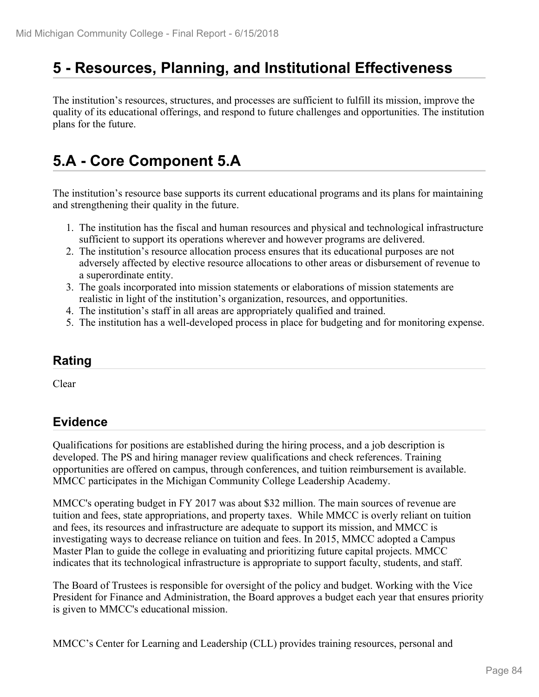## **5 - Resources, Planning, and Institutional Effectiveness**

The institution's resources, structures, and processes are sufficient to fulfill its mission, improve the quality of its educational offerings, and respond to future challenges and opportunities. The institution plans for the future.

# **5.A - Core Component 5.A**

The institution's resource base supports its current educational programs and its plans for maintaining and strengthening their quality in the future.

- 1. The institution has the fiscal and human resources and physical and technological infrastructure sufficient to support its operations wherever and however programs are delivered.
- 2. The institution's resource allocation process ensures that its educational purposes are not adversely affected by elective resource allocations to other areas or disbursement of revenue to a superordinate entity.
- 3. The goals incorporated into mission statements or elaborations of mission statements are realistic in light of the institution's organization, resources, and opportunities.
- 4. The institution's staff in all areas are appropriately qualified and trained.
- 5. The institution has a well-developed process in place for budgeting and for monitoring expense.

#### **Rating**

Clear

#### **Evidence**

Qualifications for positions are established during the hiring process, and a job description is developed. The PS and hiring manager review qualifications and check references. Training opportunities are offered on campus, through conferences, and tuition reimbursement is available. MMCC participates in the Michigan Community College Leadership Academy.

MMCC's operating budget in FY 2017 was about \$32 million. The main sources of revenue are tuition and fees, state appropriations, and property taxes. While MMCC is overly reliant on tuition and fees, its resources and infrastructure are adequate to support its mission, and MMCC is investigating ways to decrease reliance on tuition and fees. In 2015, MMCC adopted a Campus Master Plan to guide the college in evaluating and prioritizing future capital projects. MMCC indicates that its technological infrastructure is appropriate to support faculty, students, and staff.

The Board of Trustees is responsible for oversight of the policy and budget. Working with the Vice President for Finance and Administration, the Board approves a budget each year that ensures priority is given to MMCC's educational mission.

MMCC's Center for Learning and Leadership (CLL) provides training resources, personal and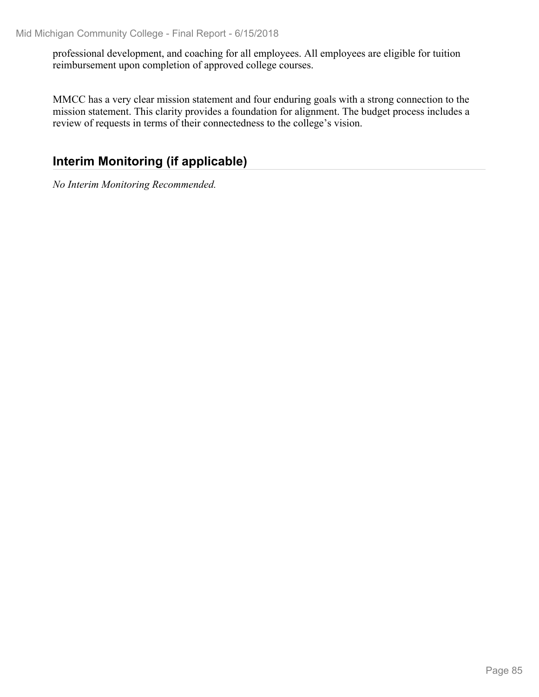professional development, and coaching for all employees. All employees are eligible for tuition reimbursement upon completion of approved college courses.

MMCC has a very clear mission statement and four enduring goals with a strong connection to the mission statement. This clarity provides a foundation for alignment. The budget process includes a review of requests in terms of their connectedness to the college's vision.

## **Interim Monitoring (if applicable)**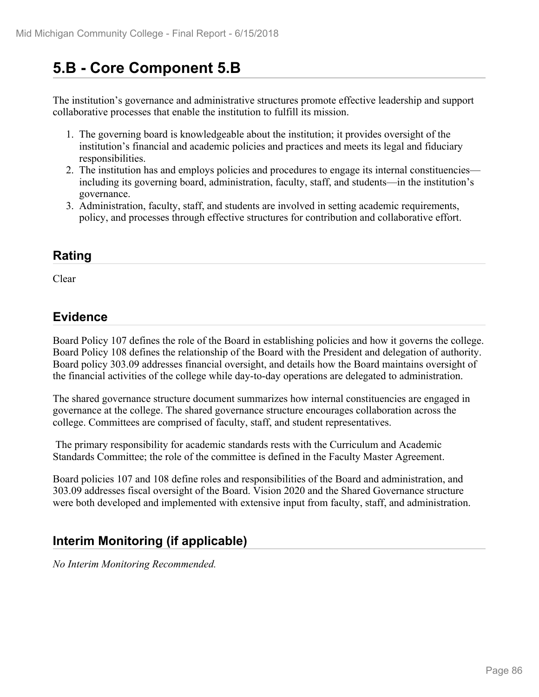## **5.B - Core Component 5.B**

The institution's governance and administrative structures promote effective leadership and support collaborative processes that enable the institution to fulfill its mission.

- 1. The governing board is knowledgeable about the institution; it provides oversight of the institution's financial and academic policies and practices and meets its legal and fiduciary responsibilities.
- 2. The institution has and employs policies and procedures to engage its internal constituencies including its governing board, administration, faculty, staff, and students—in the institution's governance.
- 3. Administration, faculty, staff, and students are involved in setting academic requirements, policy, and processes through effective structures for contribution and collaborative effort.

### **Rating**

Clear and the contract of the contract of the contract of the contract of the contract of the contract of the contract of the contract of the contract of the contract of the contract of the contract of the contract of the

#### **Evidence**

Board Policy 107 defines the role of the Board in establishing policies and how it governs the college. Board Policy 108 defines the relationship of the Board with the President and delegation of authority. Board policy 303.09 addresses financial oversight, and details how the Board maintains oversight of the financial activities of the college while day-to-day operations are delegated to administration.

The shared governance structure document summarizes how internal constituencies are engaged in governance at the college. The shared governance structure encourages collaboration across the college. Committees are comprised of faculty, staff, and student representatives.

 The primary responsibility for academic standards rests with the Curriculum and Academic Standards Committee; the role of the committee is defined in the Faculty Master Agreement.

Board policies 107 and 108 define roles and responsibilities of the Board and administration, and 303.09 addresses fiscal oversight of the Board. Vision 2020 and the Shared Governance structure were both developed and implemented with extensive input from faculty, staff, and administration.

## **Interim Monitoring (if applicable)**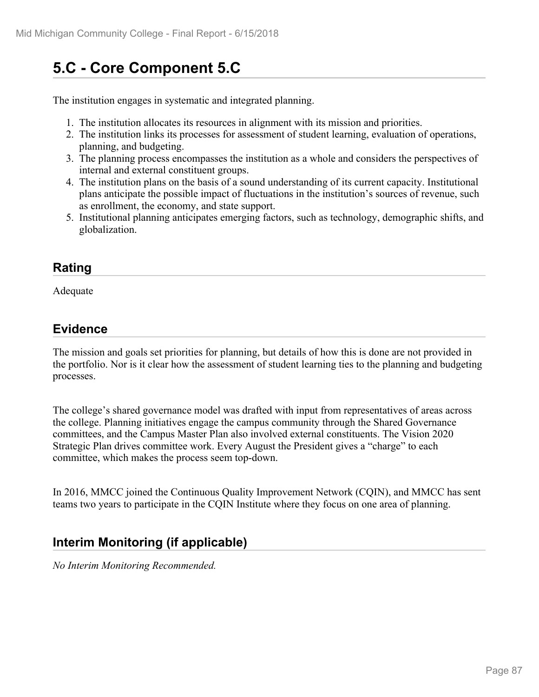# **5.C - Core Component 5.C**

The institution engages in systematic and integrated planning.

- 1. The institution allocates its resources in alignment with its mission and priorities.
- 2. The institution links its processes for assessment of student learning, evaluation of operations, planning, and budgeting.
- 3. The planning process encompasses the institution as a whole and considers the perspectives of internal and external constituent groups.
- 4. The institution plans on the basis of a sound understanding of its current capacity. Institutional plans anticipate the possible impact of fluctuations in the institution's sources of revenue, such as enrollment, the economy, and state support.
- 5. Institutional planning anticipates emerging factors, such as technology, demographic shifts, and globalization.

### **Rating**

Adequate

## **Evidence**

The mission and goals set priorities for planning, but details of how this is done are not provided in the portfolio. Nor is it clear how the assessment of student learning ties to the planning and budgeting processes.

The college's shared governance model was drafted with input from representatives of areas across the college. Planning initiatives engage the campus community through the Shared Governance committees, and the Campus Master Plan also involved external constituents. The Vision 2020 Strategic Plan drives committee work. Every August the President gives a "charge" to each committee, which makes the process seem top-down.

In 2016, MMCC joined the Continuous Quality Improvement Network (CQIN), and MMCC has sent teams two years to participate in the CQIN Institute where they focus on one area of planning.

## **Interim Monitoring (if applicable)**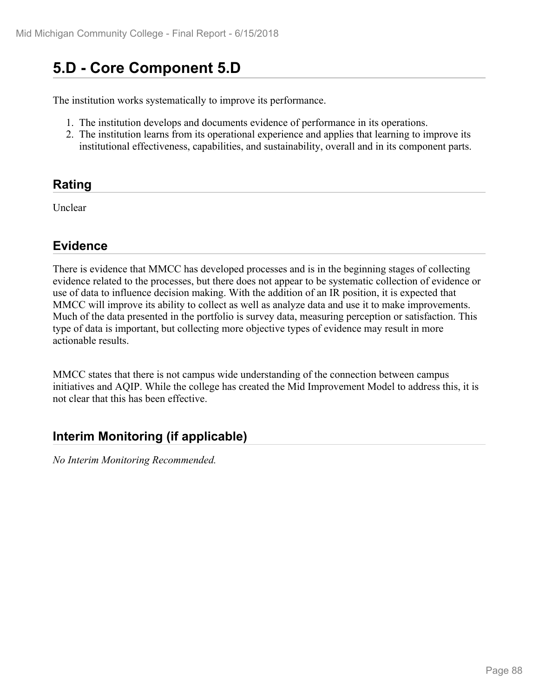## **5.D - Core Component 5.D**

The institution works systematically to improve its performance.

- 1. The institution develops and documents evidence of performance in its operations.
- 2. The institution learns from its operational experience and applies that learning to improve its institutional effectiveness, capabilities, and sustainability, overall and in its component parts.

### **Rating**

Unclear

#### **Evidence**

There is evidence that MMCC has developed processes and is in the beginning stages of collecting evidence related to the processes, but there does not appear to be systematic collection of evidence or use of data to influence decision making. With the addition of an IR position, it is expected that MMCC will improve its ability to collect as well as analyze data and use it to make improvements. Much of the data presented in the portfolio is survey data, measuring perception or satisfaction. This type of data is important, but collecting more objective types of evidence may result in more actionable results.

MMCC states that there is not campus wide understanding of the connection between campus initiatives and AQIP. While the college has created the Mid Improvement Model to address this, it is not clear that this has been effective.

#### **Interim Monitoring (if applicable)**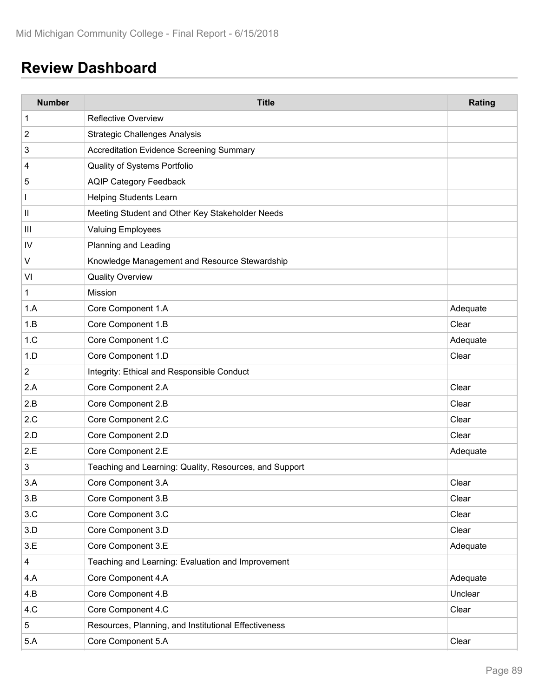# **Review Dashboard**

| <b>Number</b>  | <b>Title</b>                                           | Rating   |
|----------------|--------------------------------------------------------|----------|
| 1              | <b>Reflective Overview</b>                             |          |
| $\overline{c}$ | <b>Strategic Challenges Analysis</b>                   |          |
| 3              | Accreditation Evidence Screening Summary               |          |
| 4              | Quality of Systems Portfolio                           |          |
| 5              | <b>AQIP Category Feedback</b>                          |          |
|                | <b>Helping Students Learn</b>                          |          |
| $\mathsf{II}$  | Meeting Student and Other Key Stakeholder Needs        |          |
| Ш              | <b>Valuing Employees</b>                               |          |
| IV             | Planning and Leading                                   |          |
| V              | Knowledge Management and Resource Stewardship          |          |
| VI             | <b>Quality Overview</b>                                |          |
| 1              | Mission                                                |          |
| 1.A            | Core Component 1.A                                     | Adequate |
| 1.B            | Core Component 1.B                                     | Clear    |
| 1.C            | Core Component 1.C                                     | Adequate |
| 1.D            | Core Component 1.D                                     | Clear    |
| $\overline{2}$ | Integrity: Ethical and Responsible Conduct             |          |
| 2.A            | Core Component 2.A                                     | Clear    |
| 2.B            | Core Component 2.B                                     | Clear    |
| 2.C            | Core Component 2.C                                     | Clear    |
| 2.D            | Core Component 2.D                                     | Clear    |
| 2.E            | Core Component 2.E                                     | Adequate |
| 3              | Teaching and Learning: Quality, Resources, and Support |          |
| 3.A            | Core Component 3.A                                     | Clear    |
| 3.B            | Core Component 3.B                                     | Clear    |
| 3.C            | Core Component 3.C                                     | Clear    |
| 3.D            | Core Component 3.D                                     | Clear    |
| 3.E            | Core Component 3.E                                     | Adequate |
| $\overline{4}$ | Teaching and Learning: Evaluation and Improvement      |          |
| 4.A            | Core Component 4.A                                     | Adequate |
| 4.B            | Core Component 4.B                                     | Unclear  |
| 4.C            | Core Component 4.C                                     | Clear    |
| $\sqrt{5}$     | Resources, Planning, and Institutional Effectiveness   |          |
| 5.A            | Core Component 5.A                                     | Clear    |
|                |                                                        |          |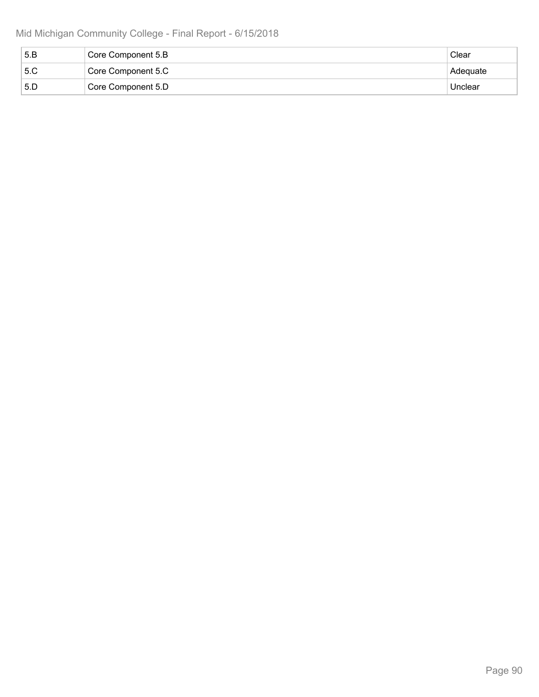| 5.B | Core Component 5.B | Clear    |
|-----|--------------------|----------|
| 5.C | Core Component 5.C | Adequate |
| 5.D | Core Component 5.D | Unclear  |